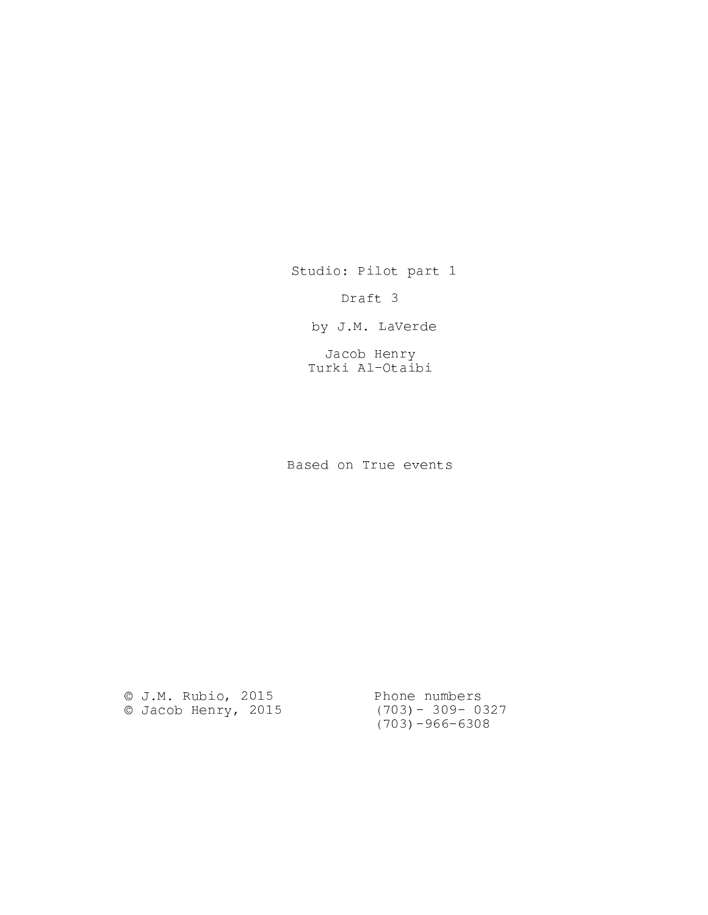Studio: Pilot part 1

Draft 3

by J.M. LaVerde

Jacob Henry Turki Al-Otaibi

Based on True events

© J.M. Rubio, 2015 © Jacob Henry, 2015 Phone numbers (703)- 309- 0327 (703)-966-6308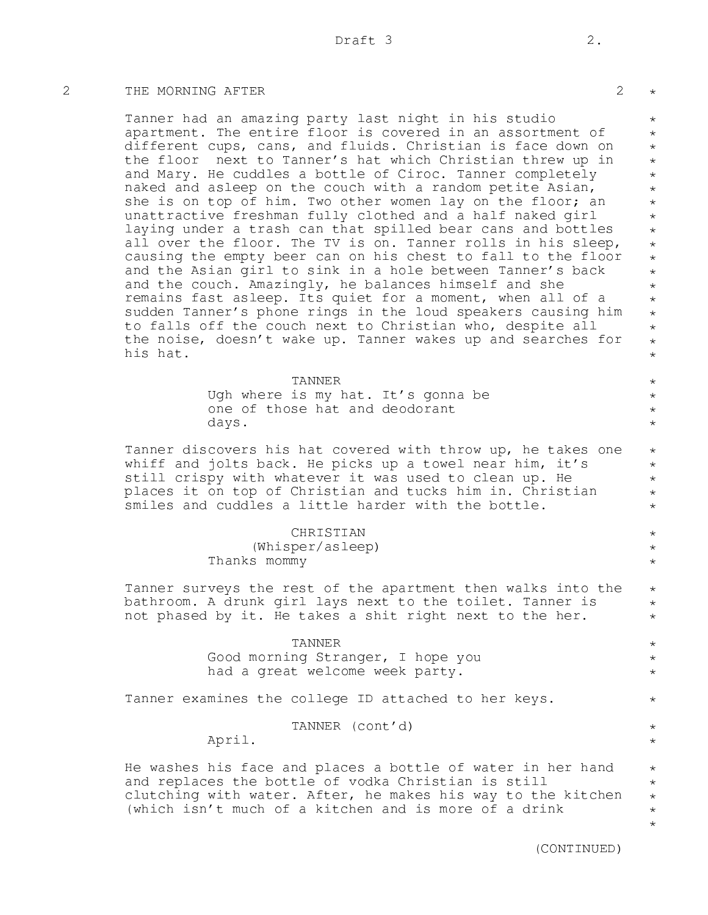### 2 THE MORNING AFTER 2

Tanner had an amazing party last night in his studio apartment. The entire floor is covered in an assortment of different cups, cans, and fluids. Christian is face down on the floor next to Tanner's hat which Christian threw up in and Mary. He cuddles a bottle of Ciroc. Tanner completely naked and asleep on the couch with a random petite Asian, she is on top of him. Two other women lay on the floor; an unattractive freshman fully clothed and a half naked girl laying under a trash can that spilled bear cans and bottles all over the floor. The TV is on. Tanner rolls in his sleep, causing the empty beer can on his chest to fall to the floor and the Asian girl to sink in a hole between Tanner's back and the couch. Amazingly, he balances himself and she remains fast asleep. Its quiet for a moment, when all of a sudden Tanner's phone rings in the loud speakers causing him to falls off the couch next to Christian who, despite all the noise, doesn't wake up. Tanner wakes up and searches for his hat.

> TANNER Ugh where is my hat. It's gonna be one of those hat and deodorant days.

Tanner discovers his hat covered with throw up, he takes one whiff and jolts back. He picks up a towel near him, it's still crispy with whatever it was used to clean up. He places it on top of Christian and tucks him in. Christian smiles and cuddles a little harder with the bottle.

> CHRISTIAN (Whisper/asleep) Thanks mommy

Tanner surveys the rest of the apartment then walks into the bathroom. A drunk girl lays next to the toilet. Tanner is not phased by it. He takes a shit right next to the her.

#### TANNER

Good morning Stranger, I hope you had a great welcome week party.

Tanner examines the college ID attached to her keys.

TANNER (cont'd)

April.

He washes his face and places a bottle of water in her hand and replaces the bottle of vodka Christian is still clutching with water. After, he makes his way to the kitchen (which isn't much of a kitchen and is more of a drink \* \*

(CONTINUED)

\*

\* \* \* \* \* \* \* \* \* \*  $\star$ \* \* \* \*  $\star$ \* \*

\* \* \* \*

\* \* \* \* \*

> \* \* \*

 $\star$ \* \*

\* \*  $\star$ 

\*

\* \*

> \* \*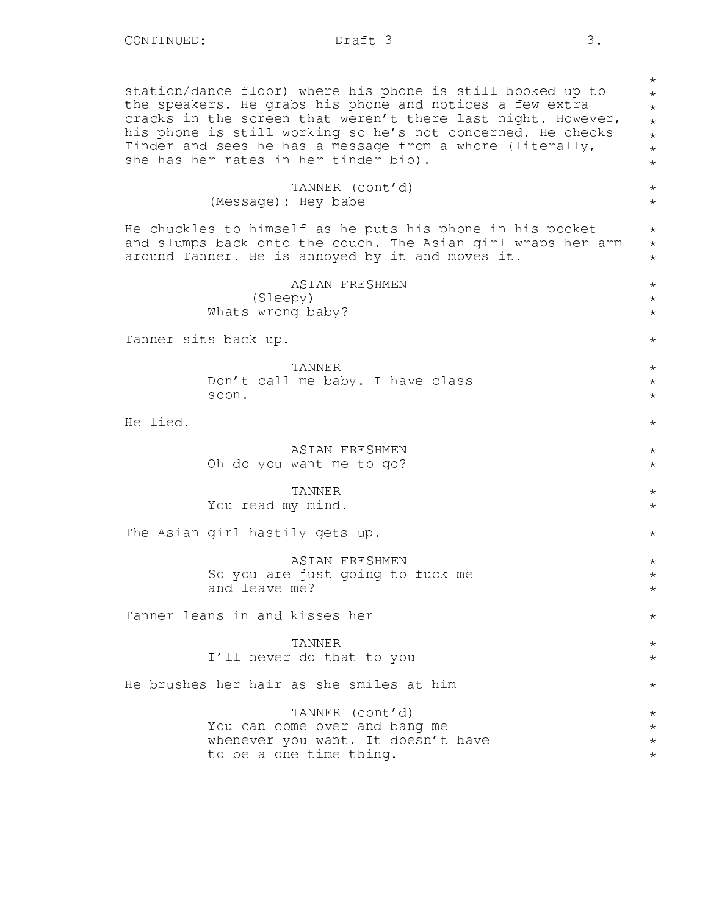station/dance floor) where his phone is still hooked up to the speakers. He grabs his phone and notices a few extra cracks in the screen that weren't there last night. However, his phone is still working so he's not concerned. He checks Tinder and sees he has a message from a whore (literally, she has her rates in her tinder bio).

# TANNER (cont'd) (Message): Hey babe

He chuckles to himself as he puts his phone in his pocket and slumps back onto the couch. The Asian girl wraps her arm around Tanner. He is annoyed by it and moves it.

> ASIAN FRESHMEN (Sleepy) Whats wrong baby?

Tanner sits back up.

TANNER Don't call me baby. I have class soon.

He lied.

ASIAN FRESHMEN Oh do you want me to go?

TANNER You read my mind.

The Asian girl hastily gets up.

ASIAN FRESHMEN So you are just going to fuck me and leave me?

Tanner leans in and kisses her

TANNER I'll never do that to you

He brushes her hair as she smiles at him

TANNER (cont'd) You can come over and bang me whenever you want. It doesn't have to be a one time thing.

\* \* \* \* \* \* \*

\* \*

\* \* \*

\* \* \*

\*

 $\star$ \* \*

\*

\* \*

\* \*

\*

\* \* \*

\*

\* \*

\*

\* \* \* \*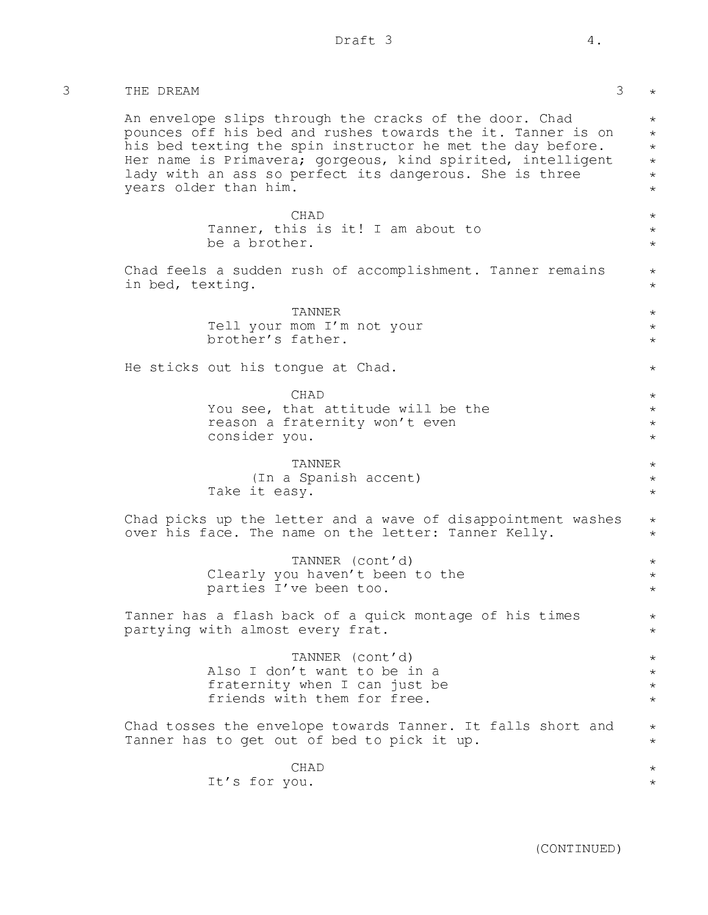| 3 | THE DREAM                                                                                                                                                                                                                                                                                                                              | 3<br>$\star$                                                   |
|---|----------------------------------------------------------------------------------------------------------------------------------------------------------------------------------------------------------------------------------------------------------------------------------------------------------------------------------------|----------------------------------------------------------------|
|   | An envelope slips through the cracks of the door. Chad<br>pounces off his bed and rushes towards the it. Tanner is on<br>his bed texting the spin instructor he met the day before.<br>Her name is Primavera; gorgeous, kind spirited, intelligent<br>lady with an ass so perfect its dangerous. She is three<br>years older than him. | $\star$<br>$\star$<br>$\star$<br>$\star$<br>$\star$<br>$\star$ |
|   | <b>CHAD</b><br>Tanner, this is it! I am about to<br>be a brother.                                                                                                                                                                                                                                                                      | $\star$<br>$\star$<br>$\star$                                  |
|   | Chad feels a sudden rush of accomplishment. Tanner remains<br>in bed, texting.                                                                                                                                                                                                                                                         | $\star$<br>$\star$                                             |
|   | TANNER<br>Tell your mom I'm not your<br>brother's father.                                                                                                                                                                                                                                                                              | $\star$<br>$^\star$<br>$\star$                                 |
|   | He sticks out his tongue at Chad.                                                                                                                                                                                                                                                                                                      | $\star$                                                        |
|   | CHAD<br>You see, that attitude will be the<br>reason a fraternity won't even<br>consider you.                                                                                                                                                                                                                                          | $\star$<br>$\star$<br>$\star$<br>$\star$                       |
|   | TANNER<br>(In a Spanish accent)<br>Take it easy.                                                                                                                                                                                                                                                                                       | $\star$<br>$\star$<br>$\star$                                  |
|   | Chad picks up the letter and a wave of disappointment washes<br>over his face. The name on the letter: Tanner Kelly.                                                                                                                                                                                                                   | $\star$<br>$\star$                                             |
|   | TANNER (cont'd)<br>Clearly you haven't been to the<br>parties I've been too.                                                                                                                                                                                                                                                           | $\star$<br>$^\star$<br>$\star$                                 |
|   | Tanner has a flash back of a quick montage of his times<br>partying with almost every frat.                                                                                                                                                                                                                                            | $^\star$<br>$\star$                                            |
|   | TANNER (cont'd)<br>Also I don't want to be in a<br>fraternity when I can just be<br>friends with them for free.                                                                                                                                                                                                                        | $\star$<br>$\star$<br>$\star$                                  |
|   | Chad tosses the envelope towards Tanner. It falls short and<br>Tanner has to get out of bed to pick it up.                                                                                                                                                                                                                             | $\star$<br>$^\star$                                            |
|   | CHAD<br>It's for you.                                                                                                                                                                                                                                                                                                                  | $^\star$<br>$\star$                                            |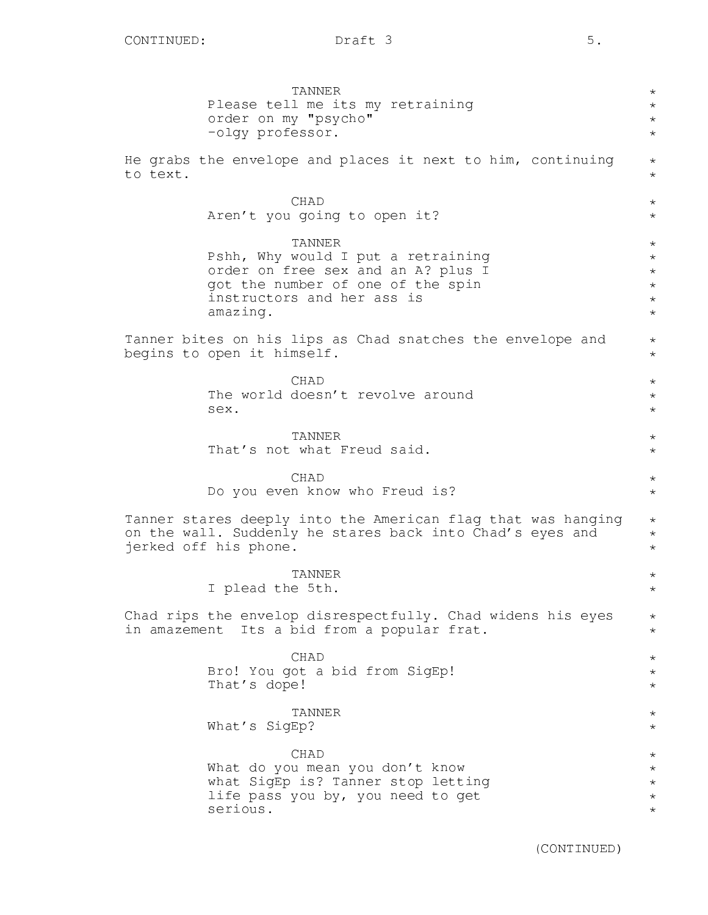TANNER Please tell me its my retraining order on my "psycho" -olgy professor. He grabs the envelope and places it next to him, continuing to text. CHAD Aren't you going to open it? TANNER Pshh, Why would I put a retraining order on free sex and an A? plus I got the number of one of the spin instructors and her ass is amazing. Tanner bites on his lips as Chad snatches the envelope and begins to open it himself. CHAD The world doesn't revolve around sex. TANNER That's not what Freud said. CHAD Do you even know who Freud is? Tanner stares deeply into the American flag that was hanging on the wall. Suddenly he stares back into Chad's eyes and jerked off his phone. TANNER I plead the 5th. Chad rips the envelop disrespectfully. Chad widens his eyes in amazement Its a bid from a popular frat. CHAD Bro! You got a bid from SigEp! That's dope! TANNER What's SigEp? CHAD What do you mean you don't know what SigEp is? Tanner stop letting life pass you by, you need to get serious. \* \* \* \* \* \*  $\star$ \* \* \* \* \* \* \*  $\star$ \* \* \* \*  $\star$ \* \* \* \* \* \*  $\star$  $\star$ \* \* \* \* \*  $\star$ \* \* \* \* \* \*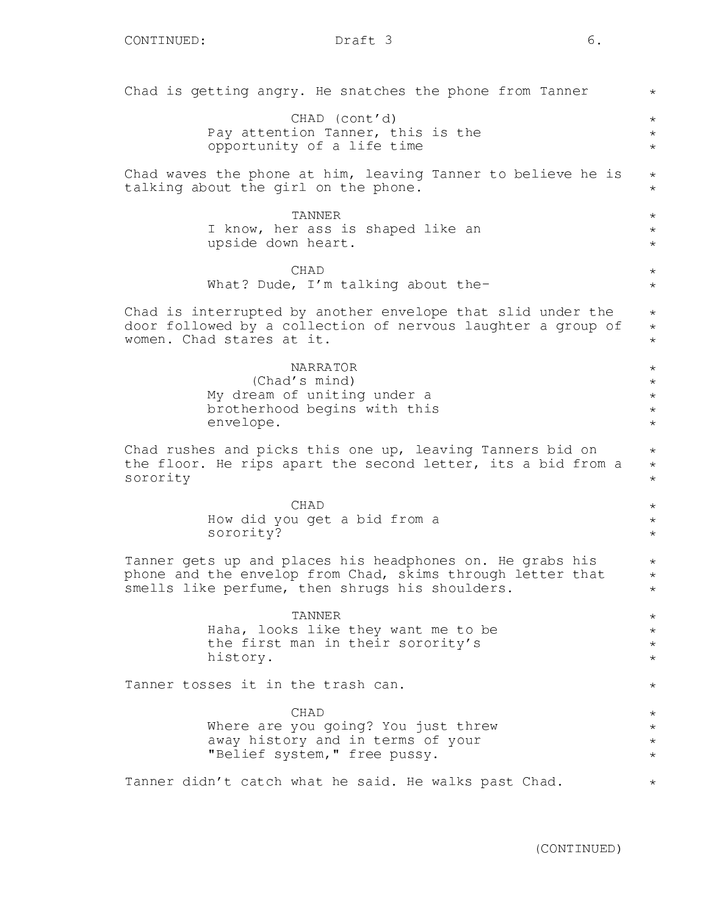Chad is getting angry. He snatches the phone from Tanner CHAD (cont'd) Pay attention Tanner, this is the opportunity of a life time Chad waves the phone at him, leaving Tanner to believe he is talking about the girl on the phone. TANNER I know, her ass is shaped like an upside down heart. CHAD What? Dude, I'm talking about the-Chad is interrupted by another envelope that slid under the door followed by a collection of nervous laughter a group of women. Chad stares at it. NARRATOR (Chad's mind) My dream of uniting under a brotherhood begins with this envelope. Chad rushes and picks this one up, leaving Tanners bid on the floor. He rips apart the second letter, its a bid from a sorority CHAD How did you get a bid from a sorority? Tanner gets up and places his headphones on. He grabs his phone and the envelop from Chad, skims through letter that smells like perfume, then shrugs his shoulders. TANNER Haha, looks like they want me to be the first man in their sorority's history. Tanner tosses it in the trash can. CHAD Where are you going? You just threw away history and in terms of your "Belief system," free pussy. Tanner didn't catch what he said. He walks past Chad. \* \* \* \* \*  $\star$ \* \* \*  $\star$ \* \* \* \* \* \* \* \* \* \* \* \* \* \* \* \* \* \* \* \* \* \* \* \* \* \* \* \*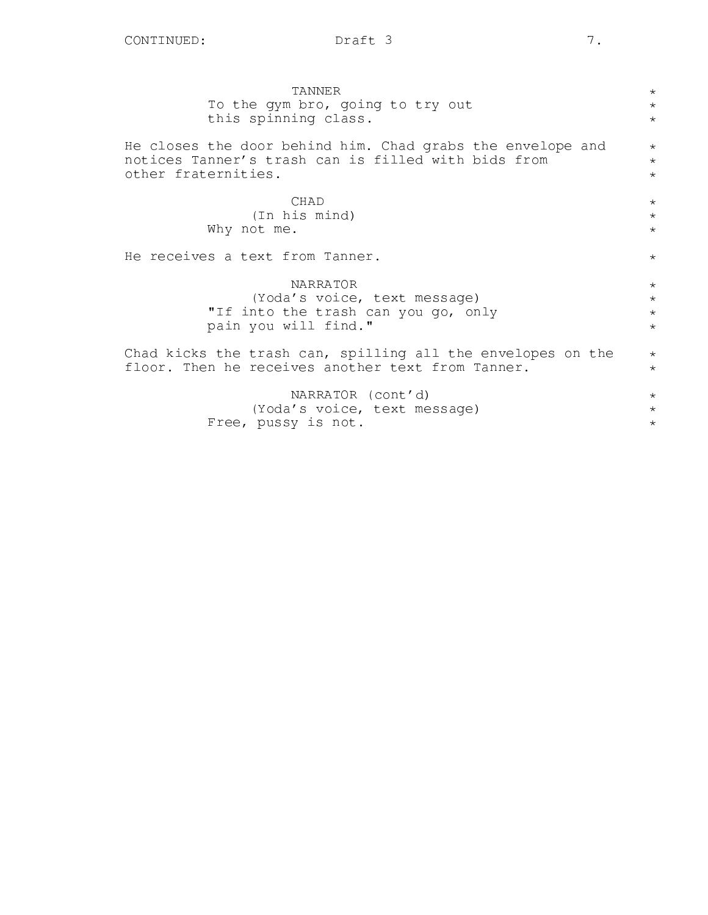| TANNER                                                      | $\star$ |
|-------------------------------------------------------------|---------|
| To the gym bro, going to try out                            | $\star$ |
| this spinning class.                                        | $\star$ |
|                                                             |         |
| He closes the door behind him. Chad grabs the envelope and  | $\star$ |
| notices Tanner's trash can is filled with bids from         | $\star$ |
| other fraternities.                                         | $\star$ |
|                                                             |         |
| <b>CHAD</b>                                                 | $\star$ |
| (In his mind)                                               | $\star$ |
| Why not me.                                                 | $\star$ |
| He receives a text from Tanner.                             | $\star$ |
|                                                             |         |
| <b>NARRATOR</b>                                             | $\star$ |
| (Yoda's voice, text message)                                | $\star$ |
| "If into the trash can you go, only                         | $\star$ |
| pain you will find."                                        | $\star$ |
|                                                             |         |
| Chad kicks the trash can, spilling all the envelopes on the | $\star$ |
| floor. Then he receives another text from Tanner.           | $\star$ |
|                                                             |         |
| NARRATOR (cont'd)                                           | $\star$ |
| (Yoda's voice, text message)                                | $\star$ |
| Free, pussy is not.                                         | $\star$ |
|                                                             |         |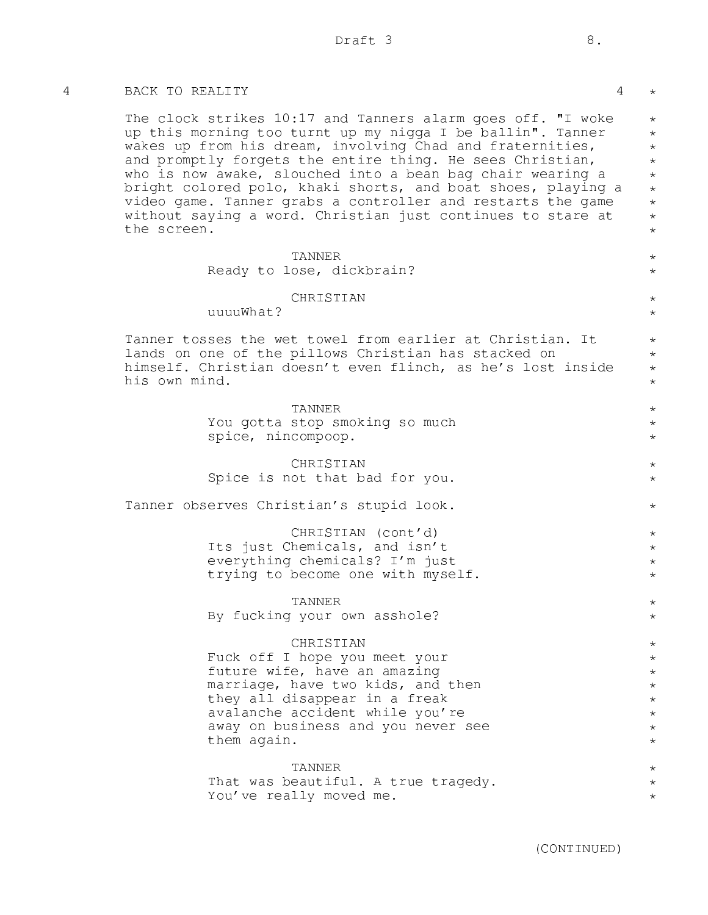### 4 BACK TO REALITY 4

The clock strikes 10:17 and Tanners alarm goes off. "I woke up this morning too turnt up my nigga I be ballin". Tanner wakes up from his dream, involving Chad and fraternities, and promptly forgets the entire thing. He sees Christian, who is now awake, slouched into a bean bag chair wearing a bright colored polo, khaki shorts, and boat shoes, playing a video game. Tanner grabs a controller and restarts the game without saying a word. Christian just continues to stare at the screen.

# TANNER

Ready to lose, dickbrain?

### **CHRISTIAN**

uuuuWhat?

Tanner tosses the wet towel from earlier at Christian. It lands on one of the pillows Christian has stacked on himself. Christian doesn't even flinch, as he's lost inside his own mind.

> TANNER You gotta stop smoking so much spice, nincompoop.

# CHRISTIAN Spice is not that bad for you.

Tanner observes Christian's stupid look.

CHRISTIAN (cont'd) Its just Chemicals, and isn't everything chemicals? I'm just trying to become one with myself.

TANNER By fucking your own asshole?

### CHRISTIAN

Fuck off I hope you meet your future wife, have an amazing marriage, have two kids, and then they all disappear in a freak avalanche accident while you're away on business and you never see them again.

### TANNER

That was beautiful. A true tragedy. You've really moved me.

\*

\* \* \* \* \* \* \* \* \*

> $\star$  $\star$

> \* \*

\* \* \* \*

\* \* \*

\* \*

\*

\* \* \*  $\star$ 

 $\star$ \*

\* \* \* \* \* \* \* \*

\* \* \*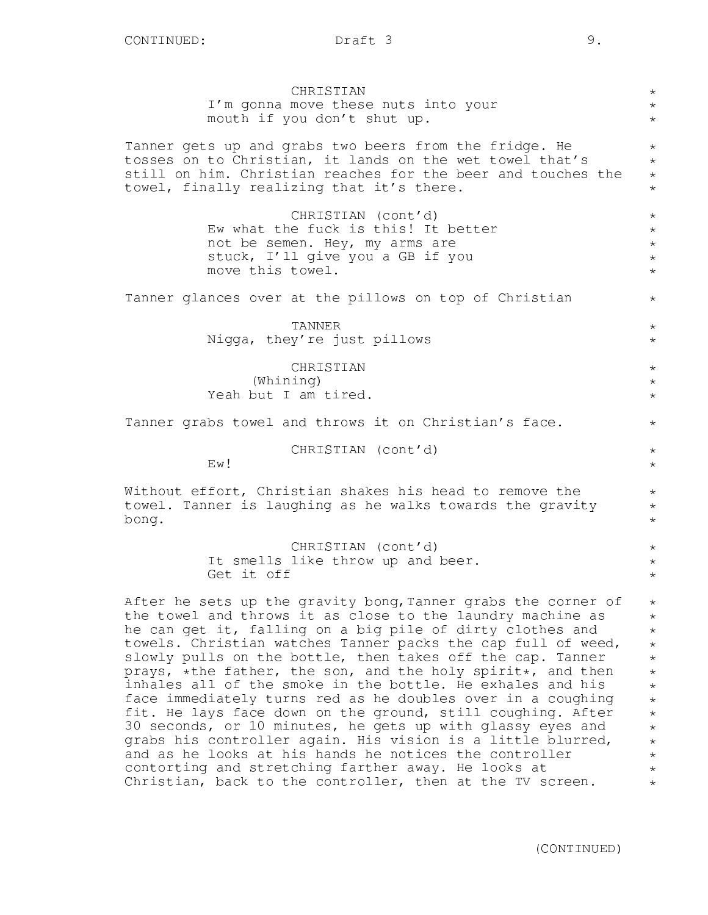| CHRISTIAN<br>I'm gonna move these nuts into your                                                                        | $\star$<br>$\star$    |
|-------------------------------------------------------------------------------------------------------------------------|-----------------------|
| mouth if you don't shut up.                                                                                             | $\star$               |
| Tanner gets up and grabs two beers from the fridge. He<br>tosses on to Christian, it lands on the wet towel that's      | $\star$<br>$\star$    |
| still on him. Christian reaches for the beer and touches the<br>towel, finally realizing that it's there.               | $\star$<br>$\star$    |
|                                                                                                                         |                       |
| CHRISTIAN (cont'd)<br>Ew what the fuck is this! It better                                                               | $\star$<br>$\star$    |
| not be semen. Hey, my arms are<br>stuck, I'll give you a GB if you                                                      | $\star$<br>$\star$    |
| move this towel.                                                                                                        | $\star$               |
| Tanner glances over at the pillows on top of Christian                                                                  | $\star$               |
| TANNER                                                                                                                  | $\star$               |
| Nigga, they're just pillows                                                                                             | $\star$               |
| CHRISTIAN                                                                                                               | $\star$               |
| (Whining)<br>Yeah but I am tired.                                                                                       | $\star$<br>$\star$    |
| Tanner grabs towel and throws it on Christian's face.                                                                   | $\star$               |
| CHRISTIAN (cont'd)<br>Ew!                                                                                               | $\star$<br>$\star$    |
| Without effort, Christian shakes his head to remove the                                                                 | $\star$               |
| towel. Tanner is laughing as he walks towards the gravity                                                               | $\star$               |
| bong.                                                                                                                   | $^{\star}$            |
| CHRISTIAN (cont'd)                                                                                                      | $\star$               |
| It smells like throw up and beer.<br>Get it off                                                                         | $\star$               |
|                                                                                                                         | $^{\star}$            |
| After he sets up the gravity bong, Tanner grabs the corner of                                                           | $\star$               |
| the towel and throws it as close to the laundry machine as<br>he can get it, falling on a big pile of dirty clothes and | $\star$<br>$^{\star}$ |
| towels. Christian watches Tanner packs the cap full of weed,                                                            | $\star$               |
| slowly pulls on the bottle, then takes off the cap. Tanner                                                              | $\star$               |
| prays, *the father, the son, and the holy spirit*, and then                                                             | $\star$               |
| inhales all of the smoke in the bottle. He exhales and his                                                              | $\star$               |
| face immediately turns red as he doubles over in a coughing                                                             | $\star$               |
| fit. He lays face down on the ground, still coughing. After                                                             | $^{\star}$            |
| 30 seconds, or 10 minutes, he gets up with glassy eyes and                                                              | $\star$               |
| grabs his controller again. His vision is a little blurred,                                                             | $\star$               |

and as he looks at his hands he notices the controller contorting and stretching farther away. He looks at Christian, back to the controller, then at the TV screen.

(CONTINUED)

\* \* \*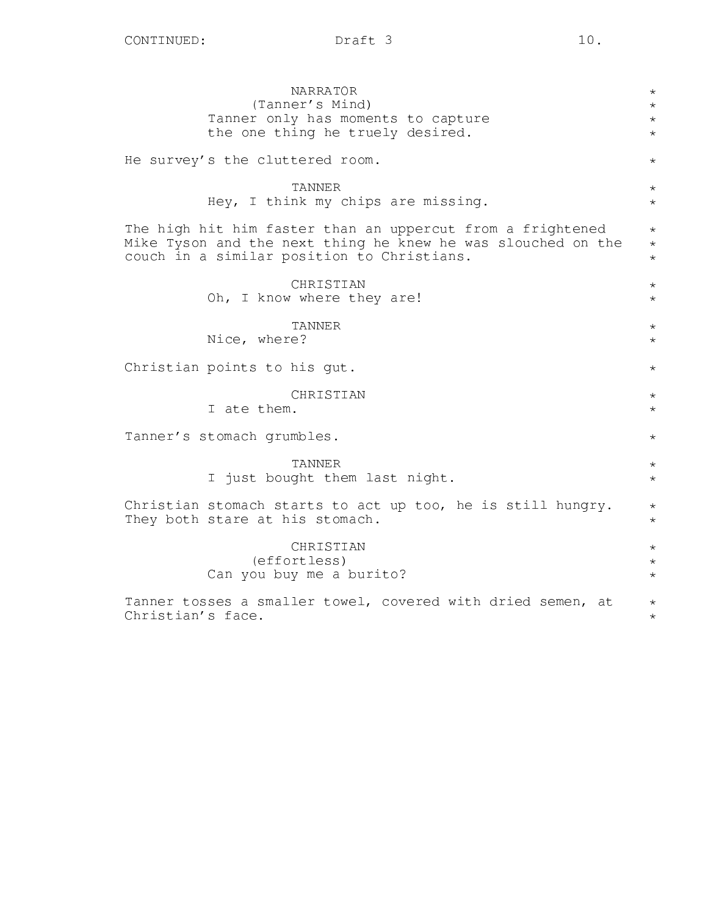| <b>NARRATOR</b>                                              | $^\star$   |
|--------------------------------------------------------------|------------|
| (Tanner's Mind)                                              | $^\star$   |
| Tanner only has moments to capture                           | $^\star$   |
| the one thing he truely desired.                             | $\star$    |
| He survey's the cluttered room.                              | $^{\star}$ |
| TANNER                                                       | $^\star$   |
| Hey, I think my chips are missing.                           | $^\star$   |
| The high hit him faster than an uppercut from a frightened   | $^\star$   |
| Mike Tyson and the next thing he knew he was slouched on the | $^\star$   |
| couch in a similar position to Christians.                   | $\star$    |
| CHRISTIAN                                                    | $^{\star}$ |
| Oh, I know where they are!                                   | $^\star$   |
| TANNER                                                       | $^\star$   |
| Nice, where?                                                 | $^\star$   |
| Christian points to his gut.                                 | $^\star$   |
| CHRISTIAN                                                    | $^\star$   |
| I ate them.                                                  | $\star$    |
| Tanner's stomach grumbles.                                   | $^\star$   |
| TANNER                                                       | $^\star$   |
| I just bought them last night.                               | $^\star$   |
| Christian stomach starts to act up too, he is still hungry.  | $^\star$   |
| They both stare at his stomach.                              | $^\star$   |
| CHRISTIAN                                                    | $^\star$   |
| (effortless)                                                 | $\star$    |
| Can you buy me a burito?                                     | $\star$    |
| Tanner tosses a smaller towel, covered with dried semen, at  | $^\star$   |
| Christian's face.                                            | $\star$    |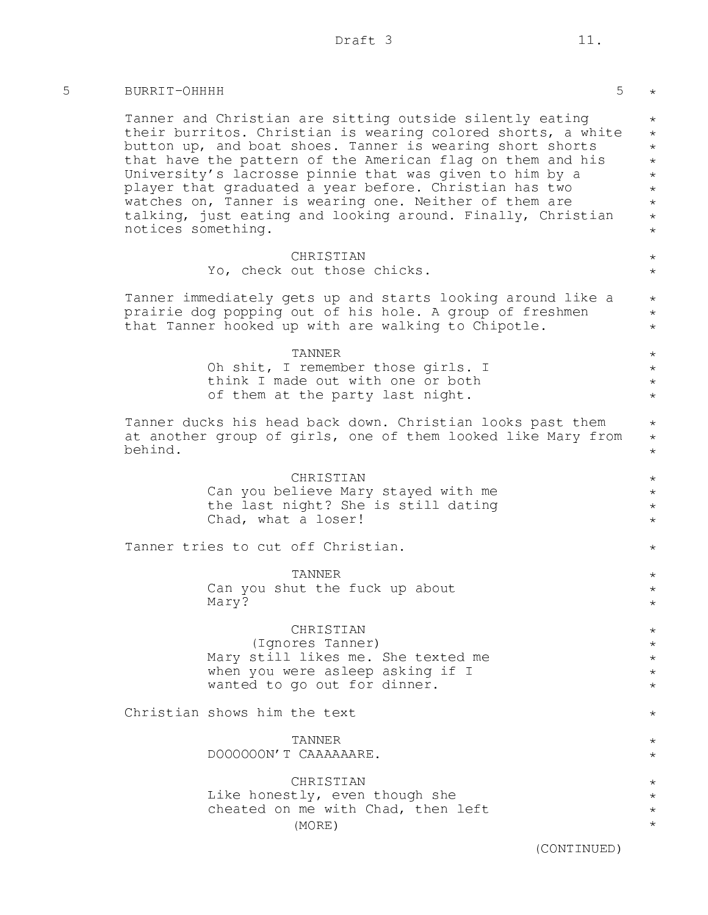5 BURRIT-OHHHH 5

| Tanner and Christian are sitting outside silently eating<br>their burritos. Christian is wearing colored shorts, a white<br>button up, and boat shoes. Tanner is wearing short shorts<br>that have the pattern of the American flag on them and his<br>University's lacrosse pinnie that was given to him by a<br>player that graduated a year before. Christian has two<br>watches on, Tanner is wearing one. Neither of them are<br>talking, just eating and looking around. Finally, Christian<br>notices something. |
|-------------------------------------------------------------------------------------------------------------------------------------------------------------------------------------------------------------------------------------------------------------------------------------------------------------------------------------------------------------------------------------------------------------------------------------------------------------------------------------------------------------------------|
| CHRISTIAN<br>Yo, check out those chicks.                                                                                                                                                                                                                                                                                                                                                                                                                                                                                |
| Tanner immediately gets up and starts looking around like a<br>prairie dog popping out of his hole. A group of freshmen<br>that Tanner hooked up with are walking to Chipotle.                                                                                                                                                                                                                                                                                                                                          |
| TANNER<br>Oh shit, I remember those girls. I<br>think I made out with one or both<br>of them at the party last night.                                                                                                                                                                                                                                                                                                                                                                                                   |
| Tanner ducks his head back down. Christian looks past them<br>at another group of girls, one of them looked like Mary from<br>behind.                                                                                                                                                                                                                                                                                                                                                                                   |
| CHRISTIAN<br>Can you believe Mary stayed with me<br>the last night? She is still dating<br>Chad, what a loser!                                                                                                                                                                                                                                                                                                                                                                                                          |
| Tanner tries to cut off Christian.                                                                                                                                                                                                                                                                                                                                                                                                                                                                                      |
| TANNER<br>Can you shut the fuck up about<br>Mary?                                                                                                                                                                                                                                                                                                                                                                                                                                                                       |
| CHRISTIAN<br>(Ignores Tanner)<br>Mary still likes me. She texted me<br>when you were asleep asking if I<br>wanted to go out for dinner.                                                                                                                                                                                                                                                                                                                                                                                 |
| Christian shows him the text                                                                                                                                                                                                                                                                                                                                                                                                                                                                                            |
| TANNER<br>DOOOOOON'T CAAAAAARE.                                                                                                                                                                                                                                                                                                                                                                                                                                                                                         |
| CHRISTIAN<br>Like honestly, even though she<br>cheated on me with Chad, then left<br>(MORE)                                                                                                                                                                                                                                                                                                                                                                                                                             |
| (CONTINUED)                                                                                                                                                                                                                                                                                                                                                                                                                                                                                                             |

 $5 \times$ 

 $\qquad \, \star$ \* \* \* \* \* \* \* \*

> \* \*

> \* \* \*

> \* \* \* \*

\* \* \*

\* \* \* \*

\*

\* \* \*

\* \* \* \* \*

\* \* \* \* \*

\*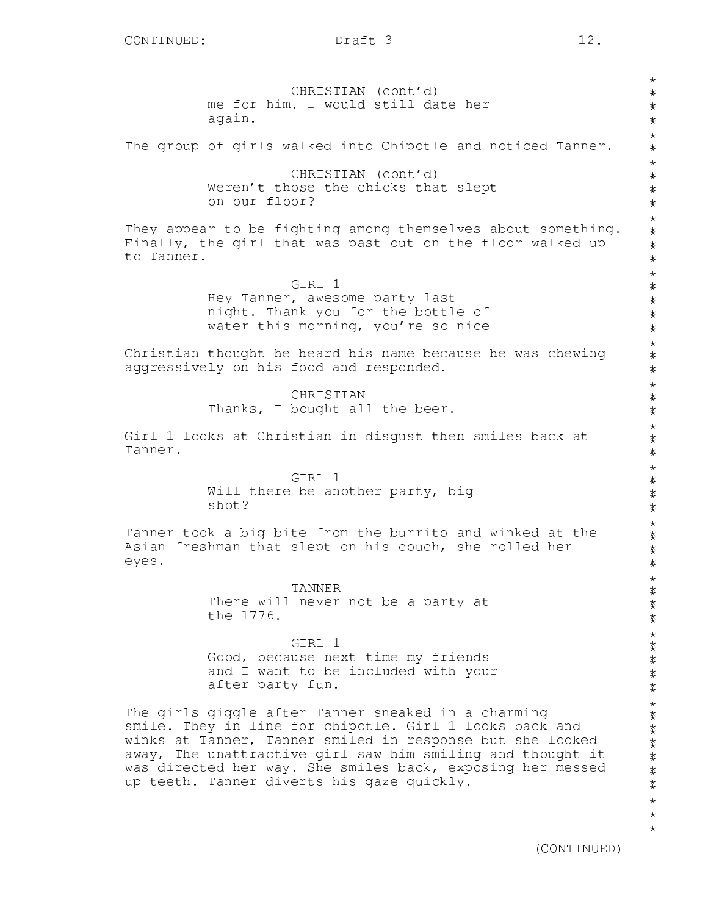CHRISTIAN (cont'd) me for him. I would still date her again. The group of girls walked into Chipotle and noticed Tanner. CHRISTIAN (cont'd) Weren't those the chicks that slept on our floor? They appear to be fighting among themselves about something. Finally, the girl that was past out on the floor walked up to Tanner. GIRL 1 Hey Tanner, awesome party last night. Thank you for the bottle of water this morning, you're so nice Christian thought he heard his name because he was chewing aggressively on his food and responded. **CHRISTIAN** Thanks, I bought all the beer. Girl 1 looks at Christian in disgust then smiles back at Tanner. GIRL 1 Will there be another party, big shot? Tanner took a big bite from the burrito and winked at the Asian freshman that slept on his couch, she rolled her eyes. TANNER There will never not be a party at the 1776. GIRL 1 Good, because next time my friends and I want to be included with your after party fun. The girls giggle after Tanner sneaked in a charming smile. They in line for chipotle. Girl 1 looks back and winks at Tanner, Tanner smiled in response but she looked away, The unattractive girl saw him smiling and thought it was directed her way. She smiles back, exposing her messed up teeth. Tanner diverts his gaze quickly. \* \* \* \* \* \* \* \* \* \* \* \* \* \* \* \* \* \* \* \* \* \* \* \* \* \* \* \* \* \* \* \* \* \* \* \* \* \* \* \* \* \* \* \* \* \* \* \* \* \* \* \* \* \* \* \* \* \* \* \* \* \* \* \* \* \* \* \* \* \* \* \* \* \* \* \* \* \* \* \* \* \* \* \* \* \* \* \* \* \* \*

(CONTINUED)

\* \* \*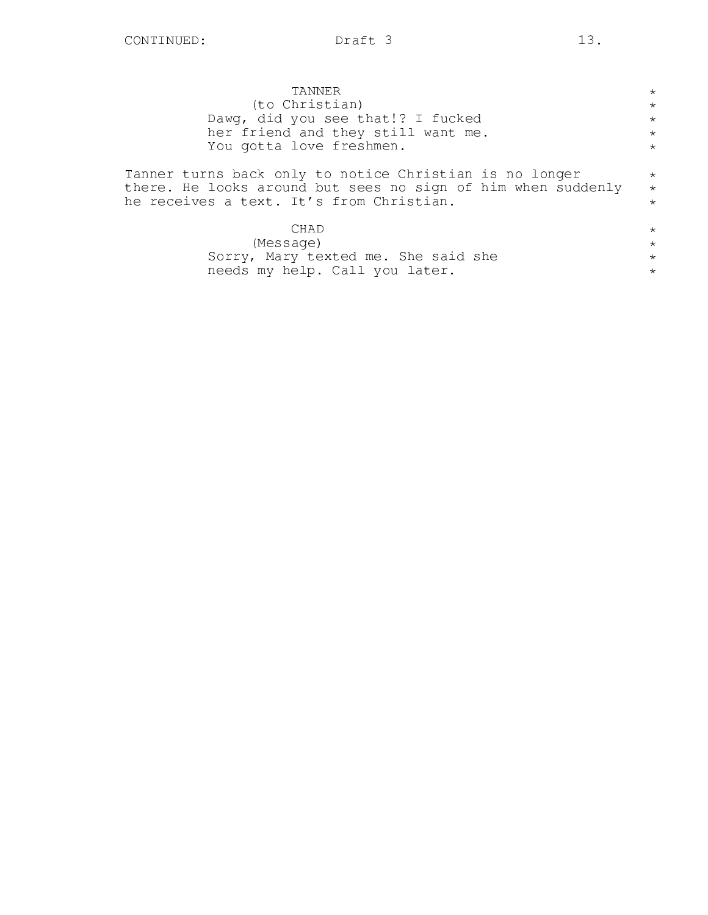needs my help. Call you later.

| TANNER                                                                                                                                                              | $\star$                       |
|---------------------------------------------------------------------------------------------------------------------------------------------------------------------|-------------------------------|
| (to Christian)                                                                                                                                                      | $\star$                       |
| Dawg, did you see that!? I fucked                                                                                                                                   | $\star$                       |
| her friend and they still want me.                                                                                                                                  | $\star$                       |
| You gotta love freshmen.                                                                                                                                            | $\star$                       |
| Tanner turns back only to notice Christian is no longer<br>there. He looks around but sees no sign of him when suddenly<br>he receives a text. It's from Christian. | $\star$<br>$\star$<br>$\star$ |
| CHAD                                                                                                                                                                | $\star$                       |
| (Message)                                                                                                                                                           | $\star$                       |
| Sorry, Mary texted me. She said she                                                                                                                                 | $\star$                       |
|                                                                                                                                                                     |                               |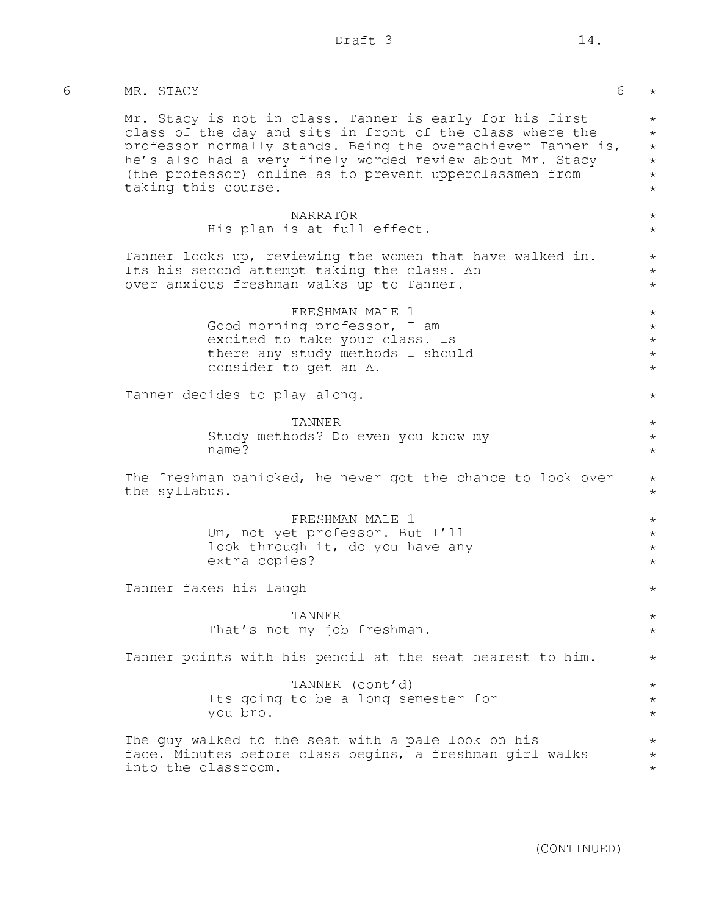| MR. STACY     |                                                                                                                                                                                                                                                                                                                                      | 6 |
|---------------|--------------------------------------------------------------------------------------------------------------------------------------------------------------------------------------------------------------------------------------------------------------------------------------------------------------------------------------|---|
|               | Mr. Stacy is not in class. Tanner is early for his first<br>class of the day and sits in front of the class where the<br>professor normally stands. Being the overachiever Tanner is,<br>he's also had a very finely worded review about Mr. Stacy<br>(the professor) online as to prevent upperclassmen from<br>taking this course. |   |
|               | <b>NARRATOR</b><br>His plan is at full effect.                                                                                                                                                                                                                                                                                       |   |
|               | Tanner looks up, reviewing the women that have walked in.<br>Its his second attempt taking the class. An<br>over anxious freshman walks up to Tanner.                                                                                                                                                                                |   |
|               | FRESHMAN MALE 1<br>Good morning professor, I am<br>excited to take your class. Is<br>there any study methods I should<br>consider to get an A.                                                                                                                                                                                       |   |
|               | Tanner decides to play along.                                                                                                                                                                                                                                                                                                        |   |
|               | TANNER<br>Study methods? Do even you know my<br>name?                                                                                                                                                                                                                                                                                |   |
| the syllabus. | The freshman panicked, he never got the chance to look over                                                                                                                                                                                                                                                                          |   |
|               | FRESHMAN MALE 1<br>Um, not yet professor. But I'll<br>look through it, do you have any<br>extra copies?                                                                                                                                                                                                                              |   |
|               | Tanner fakes his laugh                                                                                                                                                                                                                                                                                                               |   |
|               | TANNER<br>That's not my job freshman.                                                                                                                                                                                                                                                                                                |   |
|               | Tanner points with his pencil at the seat nearest to him.                                                                                                                                                                                                                                                                            |   |
|               | TANNER (cont'd)<br>Its going to be a long semester for<br>you bro.                                                                                                                                                                                                                                                                   |   |
|               | The guy walked to the seat with a pale look on his<br>face. Minutes before class begins, a freshman girl walks<br>into the classroom.                                                                                                                                                                                                |   |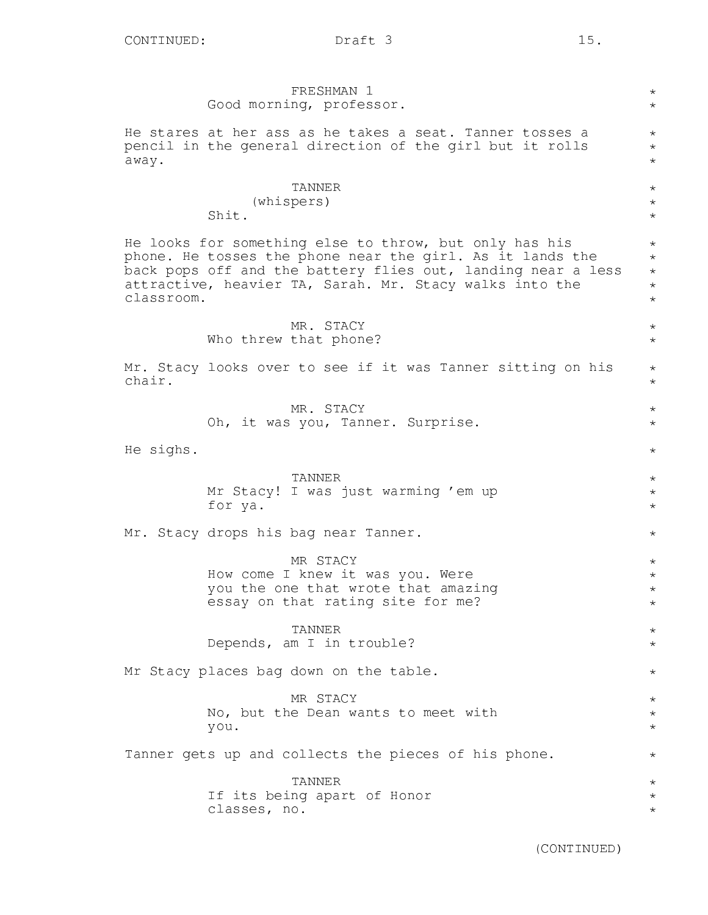|            | FRESHMAN 1<br>Good morning, professor.                                                                                                                                                                                                         | $\star$<br>$\star$                                      |
|------------|------------------------------------------------------------------------------------------------------------------------------------------------------------------------------------------------------------------------------------------------|---------------------------------------------------------|
| away.      | He stares at her ass as he takes a seat. Tanner tosses a<br>pencil in the general direction of the girl but it rolls                                                                                                                           | $\star$<br>$^\star$<br>$^\star$                         |
|            | TANNER<br>(whispers)<br>Shit.                                                                                                                                                                                                                  | $\star$<br>$^\star$<br>$\star$                          |
| classroom. | He looks for something else to throw, but only has his<br>phone. He tosses the phone near the girl. As it lands the<br>back pops off and the battery flies out, landing near a less<br>attractive, heavier TA, Sarah. Mr. Stacy walks into the | $^\star$<br>$^\star$<br>$\star$<br>$^\star$<br>$^\star$ |
|            | MR. STACY<br>Who threw that phone?                                                                                                                                                                                                             | $\star$<br>$\star$                                      |
| chair.     | Mr. Stacy looks over to see if it was Tanner sitting on his                                                                                                                                                                                    | $\star$<br>$\star$                                      |
|            | MR. STACY<br>Oh, it was you, Tanner. Surprise.                                                                                                                                                                                                 | $\star$<br>$\star$                                      |
| He sighs.  |                                                                                                                                                                                                                                                | $^\star$                                                |
|            | TANNER<br>Mr Stacy! I was just warming 'em up<br>for ya.                                                                                                                                                                                       | $^\star$<br>$^\star$<br>$\star$                         |
|            | Mr. Stacy drops his bag near Tanner.                                                                                                                                                                                                           | $\star$                                                 |
|            | MR STACY<br>How come I knew it was you. Were<br>you the one that wrote that amazing<br>essay on that rating site for me?                                                                                                                       | $^\star$<br>$^\star$<br>$^\star$<br>$^\star$            |
|            | <b>TANNER</b><br>Depends, am I in trouble?                                                                                                                                                                                                     | $^\star$<br>$\star$                                     |
|            | Mr Stacy places bag down on the table.                                                                                                                                                                                                         | $\star$                                                 |
|            | MR STACY<br>No, but the Dean wants to meet with<br>you.                                                                                                                                                                                        | $\star$<br>$^\star$<br>$\star$                          |
|            | Tanner gets up and collects the pieces of his phone.                                                                                                                                                                                           | $^\star$                                                |
|            | <b>TANNER</b><br>If its being apart of Honor<br>classes, no.                                                                                                                                                                                   | $^\star$<br>$^\star$<br>$^\star$                        |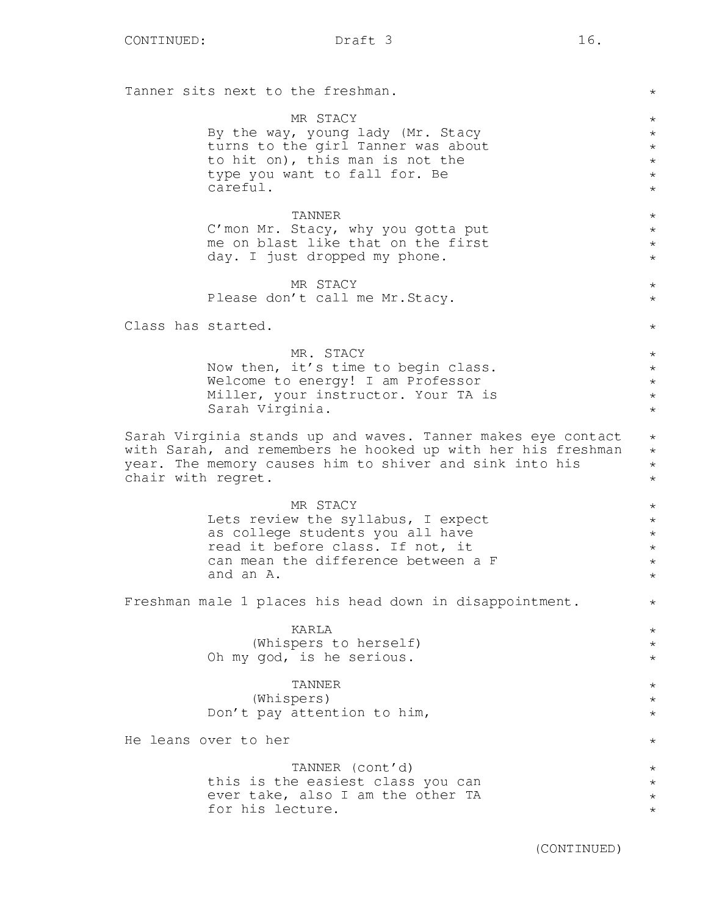Tanner sits next to the freshman. MR STACY By the way, young lady (Mr. Stacy turns to the girl Tanner was about to hit on), this man is not the type you want to fall for. Be careful. TANNER C'mon Mr. Stacy, why you gotta put me on blast like that on the first day. I just dropped my phone. MR STACY Please don't call me Mr.Stacy. Class has started. MR. STACY Now then, it's time to begin class. Welcome to energy! I am Professor Miller, your instructor. Your TA is Sarah Virginia. Sarah Virginia stands up and waves. Tanner makes eye contact with Sarah, and remembers he hooked up with her his freshman year. The memory causes him to shiver and sink into his chair with regret. MR STACY Lets review the syllabus, I expect as college students you all have read it before class. If not, it can mean the difference between a F and an A. Freshman male 1 places his head down in disappointment. KARLA (Whispers to herself) Oh my god, is he serious. TANNER (Whispers) Don't pay attention to him, He leans over to her TANNER (cont'd) this is the easiest class you can ever take, also I am the other TA for his lecture. \* \* \* \* \* \* \* \* \* \* \* \* \* \* \* \* \* \* \*  $\star$ \* \* \* \*  $\star$ \* \* \* \*  $\star$ \* \* \* \* \* \*  $\star$ \* \* \* \*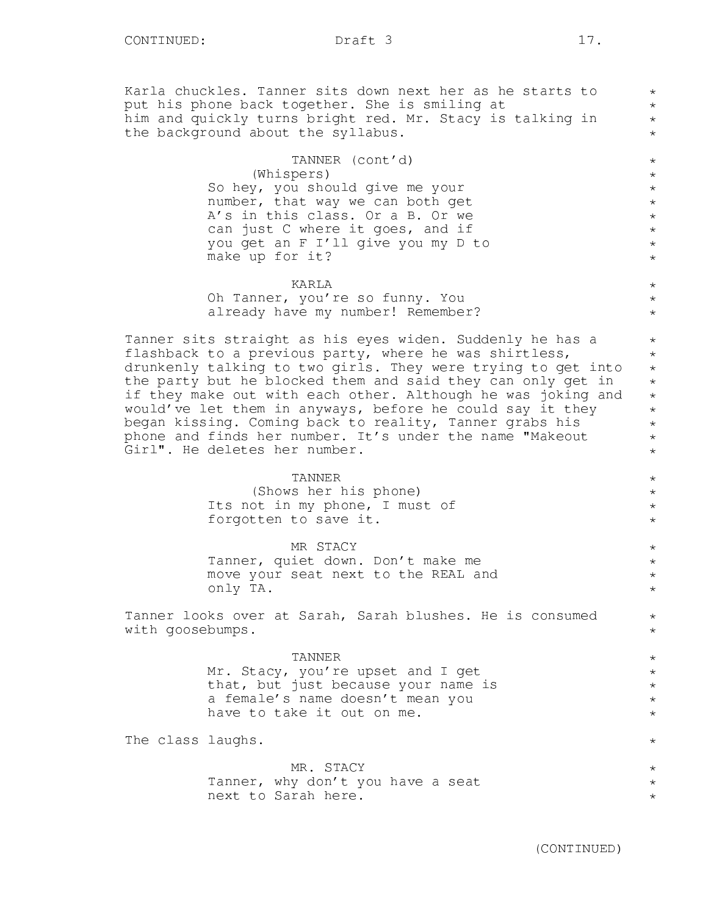Karla chuckles. Tanner sits down next her as he starts to put his phone back together. She is smiling at him and quickly turns bright red. Mr. Stacy is talking in the background about the syllabus.

> TANNER (cont'd) (Whispers) So hey, you should give me your number, that way we can both get A's in this class. Or a B. Or we can just C where it goes, and if you get an F I'll give you my D to make up for it?

KARLA Oh Tanner, you're so funny. You already have my number! Remember?

Tanner sits straight as his eyes widen. Suddenly he has a flashback to a previous party, where he was shirtless, drunkenly talking to two girls. They were trying to get into the party but he blocked them and said they can only get in if they make out with each other. Although he was joking and would've let them in anyways, before he could say it they began kissing. Coming back to reality, Tanner grabs his phone and finds her number. It's under the name "Makeout Girl". He deletes her number.

#### TANNER

(Shows her his phone) Its not in my phone, I must of forgotten to save it.

MR STACY

Tanner, quiet down. Don't make me move your seat next to the REAL and only TA.

Tanner looks over at Sarah, Sarah blushes. He is consumed with goosebumps.

#### TANNER

Mr. Stacy, you're upset and I get that, but just because your name is a female's name doesn't mean you have to take it out on me.

The class laughs.

MR. STACY Tanner, why don't you have a seat next to Sarah here.

\* \* \* \*

\* \* \* \* \* \* \* \*

\* \* \*

\* \* \* \* \* \* \* \* \*

> \* \* \* \*

> \* \* \* \*

\* \*

\* \* \* \* \*

 $\star$ 

\*  $\star$ \*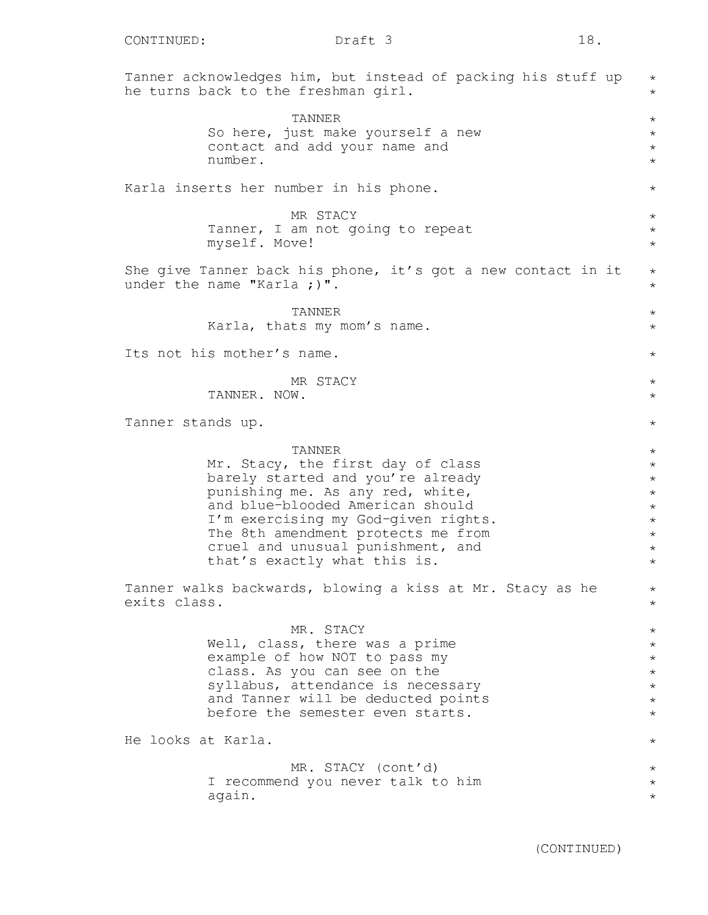Tanner acknowledges him, but instead of packing his stuff up he turns back to the freshman girl. TANNER So here, just make yourself a new contact and add your name and number. Karla inserts her number in his phone. MR STACY Tanner, I am not going to repeat myself. Move! She give Tanner back his phone, it's got a new contact in it under the name "Karla ;)". TANNER Karla, thats my mom's name. Its not his mother's name. MR STACY TANNER. NOW. Tanner stands up. TANNER Mr. Stacy, the first day of class barely started and you're already punishing me. As any red, white, and blue-blooded American should I'm exercising my God-given rights. The 8th amendment protects me from cruel and unusual punishment, and that's exactly what this is. Tanner walks backwards, blowing a kiss at Mr. Stacy as he exits class. MR. STACY Well, class, there was a prime example of how NOT to pass my class. As you can see on the syllabus, attendance is necessary and Tanner will be deducted points before the semester even starts. He looks at Karla. MR. STACY (cont'd) I recommend you never talk to him again. \* \* \* \* \* \* \* \* \* \*  $\star$ \*  $\star$  $\star$ \*  $\star$  $\star$ \* \* \* \* \* \* \* \* \* \* \* \* \* \* \* \* \* \* \*  $\star$ \* \* \*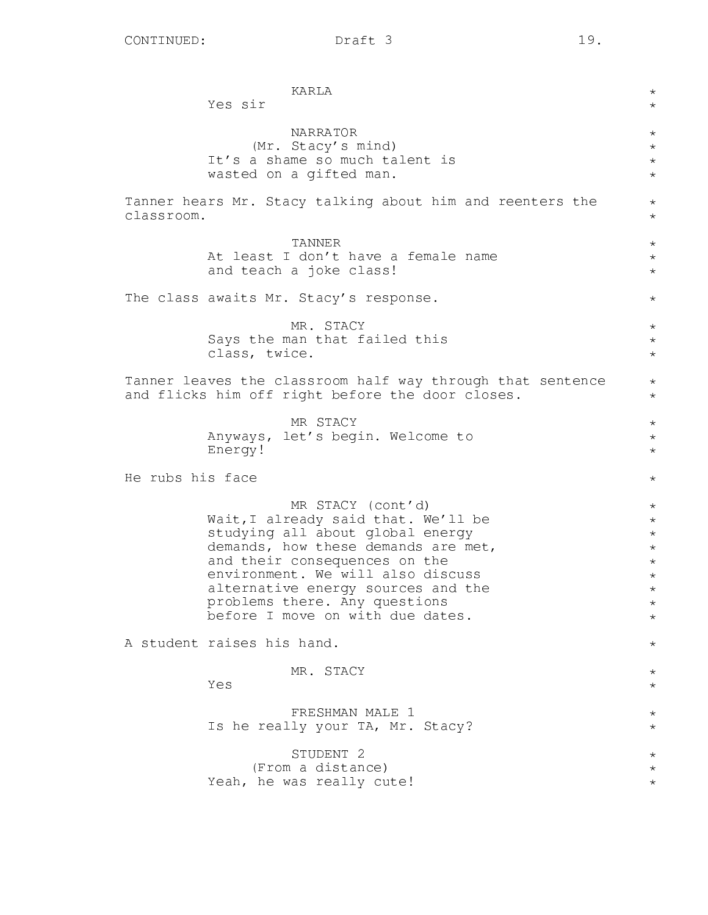|                  | KARLA<br>Yes sir                                                                                                                                                                                                                                                                                                     | $^\star$<br>$\star$                                                                                     |
|------------------|----------------------------------------------------------------------------------------------------------------------------------------------------------------------------------------------------------------------------------------------------------------------------------------------------------------------|---------------------------------------------------------------------------------------------------------|
|                  | <b>NARRATOR</b><br>(Mr. Stacy's mind)<br>It's a shame so much talent is<br>wasted on a gifted man.                                                                                                                                                                                                                   | $^\star$<br>$\star$<br>$\star$<br>$^{\star}$                                                            |
| classroom.       | Tanner hears Mr. Stacy talking about him and reenters the                                                                                                                                                                                                                                                            | $^\star$<br>$^{\star}$                                                                                  |
|                  | TANNER<br>At least I don't have a female name<br>and teach a joke class!                                                                                                                                                                                                                                             | $^\star$<br>$^\star$<br>$^\star$                                                                        |
|                  | The class awaits Mr. Stacy's response.                                                                                                                                                                                                                                                                               | $^{\star}$                                                                                              |
|                  | MR. STACY<br>Says the man that failed this<br>class, twice.                                                                                                                                                                                                                                                          | $\star$<br>$^{\star}$<br>$^\star$                                                                       |
|                  | Tanner leaves the classroom half way through that sentence<br>and flicks him off right before the door closes.                                                                                                                                                                                                       | $\star$<br>$\star$                                                                                      |
|                  | MR STACY<br>Anyways, let's begin. Welcome to<br>Energy!                                                                                                                                                                                                                                                              | $\star$<br>$^\star$<br>$^{\star}$                                                                       |
| He rubs his face |                                                                                                                                                                                                                                                                                                                      | $^{\star}$                                                                                              |
|                  | MR STACY (cont'd)<br>Wait, I already said that. We'll be<br>studying all about global energy<br>demands, how these demands are met,<br>and their consequences on the<br>environment. We will also discuss<br>alternative energy sources and the<br>problems there. Any questions<br>before I move on with due dates. | $\star$<br>$^\star$<br>$^\star$<br>$^\star$<br>$^\star$<br>$^\star$<br>$^\star$<br>$^\star$<br>$^\star$ |
|                  | A student raises his hand.                                                                                                                                                                                                                                                                                           | $^\star$                                                                                                |
|                  | MR. STACY<br>Yes                                                                                                                                                                                                                                                                                                     | $^\star$<br>$^\star$                                                                                    |
|                  | FRESHMAN MALE 1<br>Is he really your TA, Mr. Stacy?                                                                                                                                                                                                                                                                  | $^\star$<br>$\star$                                                                                     |
|                  | STUDENT <sub>2</sub><br>(From a distance)<br>Yeah, he was really cute!                                                                                                                                                                                                                                               | $^\star$<br>$^\star$<br>$^\star$                                                                        |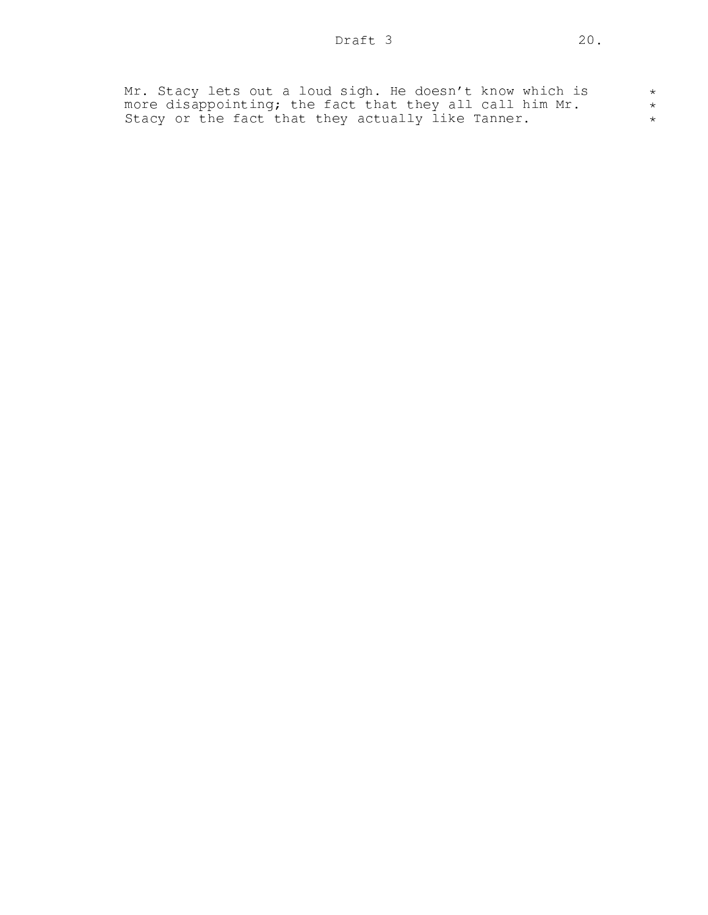| Mr. Stacy lets out a loud sigh. He doesn't know which is |  |
|----------------------------------------------------------|--|
| more disappointing; the fact that they all call him Mr.  |  |
| Stacy or the fact that they actually like Tanner.        |  |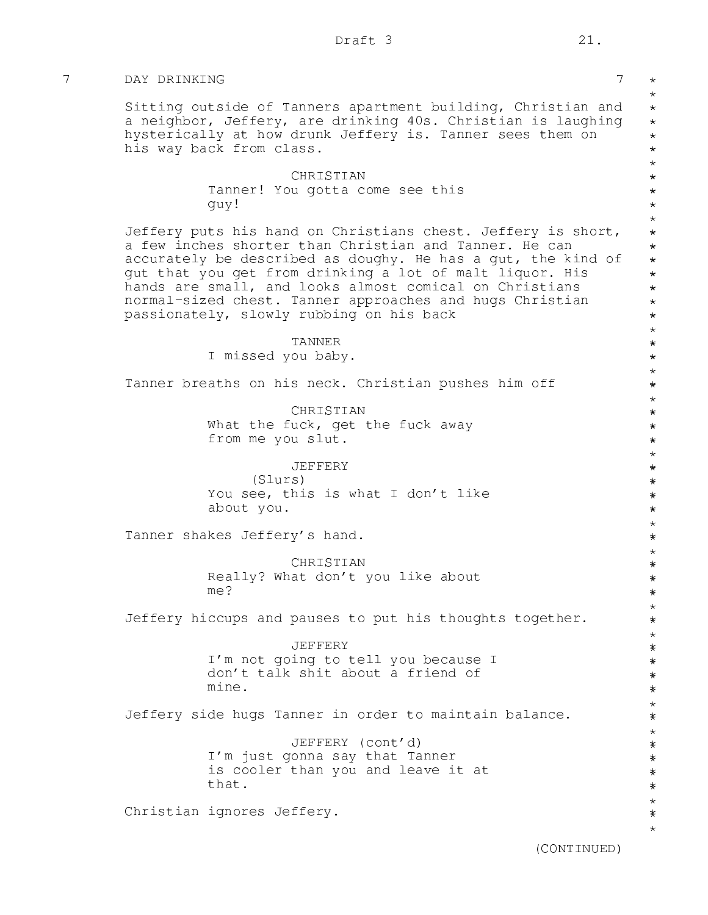\* \* \* \* \* \* \* \* \* \* \* \* \* \* \* \* \* \* \* \* \* \* \* \* \* \* \* \* \* \* \* \* \* \* \* \* \* \* \* \* \* \* \* \* \* \* \* \* \* \* \* \* \* \* \* \* \* \* \* \* \* \* \* \* \* \* \* \* \* \* \* \* \* \* \* \* \* \* \*\*

# 7 DAY DRINKING 7

Sitting outside of Tanners apartment building, Christian and a neighbor, Jeffery, are drinking 40s. Christian is laughing hysterically at how drunk Jeffery is. Tanner sees them on his way back from class.

## CHRISTIAN Tanner! You gotta come see this guy!

Jeffery puts his hand on Christians chest. Jeffery is short, a few inches shorter than Christian and Tanner. He can accurately be described as doughy. He has a gut, the kind of gut that you get from drinking a lot of malt liquor. His hands are small, and looks almost comical on Christians normal-sized chest. Tanner approaches and hugs Christian passionately, slowly rubbing on his back

> TANNER I missed you baby.

Tanner breaths on his neck. Christian pushes him off

CHRISTIAN What the fuck, get the fuck away from me you slut.

JEFFERY (Slurs) You see, this is what I don't like about you.

Tanner shakes Jeffery's hand.

CHRISTIAN Really? What don't you like about me?

Jeffery hiccups and pauses to put his thoughts together.

JEFFERY I'm not going to tell you because I don't talk shit about a friend of mine.

Jeffery side hugs Tanner in order to maintain balance.

JEFFERY (cont'd) I'm just gonna say that Tanner is cooler than you and leave it at that.

Christian ignores Jeffery.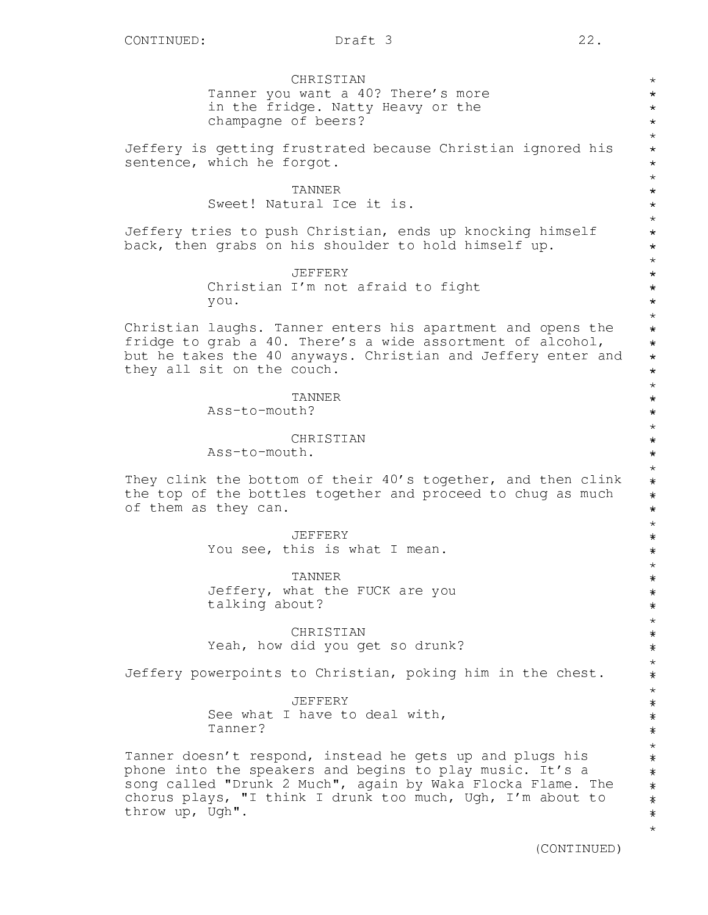**CHRISTIAN** Tanner you want a 40? There's more in the fridge. Natty Heavy or the champagne of beers?

Jeffery is getting frustrated because Christian ignored his sentence, which he forgot.

> TANNER Sweet! Natural Ice it is.

Jeffery tries to push Christian, ends up knocking himself back, then grabs on his shoulder to hold himself up.

> JEFFERY Christian I'm not afraid to fight you.

Christian laughs. Tanner enters his apartment and opens the fridge to grab a 40. There's a wide assortment of alcohol, but he takes the 40 anyways. Christian and Jeffery enter and they all sit on the couch.

TANNER

Ass-to-mouth?

**CHRISTIAN** 

Ass-to-mouth.

They clink the bottom of their 40's together, and then clink the top of the bottles together and proceed to chug as much of them as they can.

> JEFFERY You see, this is what I mean.

TANNER Jeffery, what the FUCK are you talking about?

CHRISTIAN Yeah, how did you get so drunk?

Jeffery powerpoints to Christian, poking him in the chest.

JEFFERY See what I have to deal with, Tanner?

Tanner doesn't respond, instead he gets up and plugs his phone into the speakers and begins to play music. It's a song called "Drunk 2 Much", again by Waka Flocka Flame. The chorus plays, "I think I drunk too much, Ugh, I'm about to throw up, Ugh".

\* \* \* \* \* \* \* \* \* \* \* \* \* \* \* \* \* \* \* \* \* \* \* \* \* \* \* \* \* \* \* \* \* \* \* \* \* \* \* \* \* \* \* \* \* \* \* \* \* \* \* \* \* \* \* \* \* \* \* \* \* \* \* \* \* \* \* \* \* \* \* \* \* \* \* \* \* \* \* \* \*\*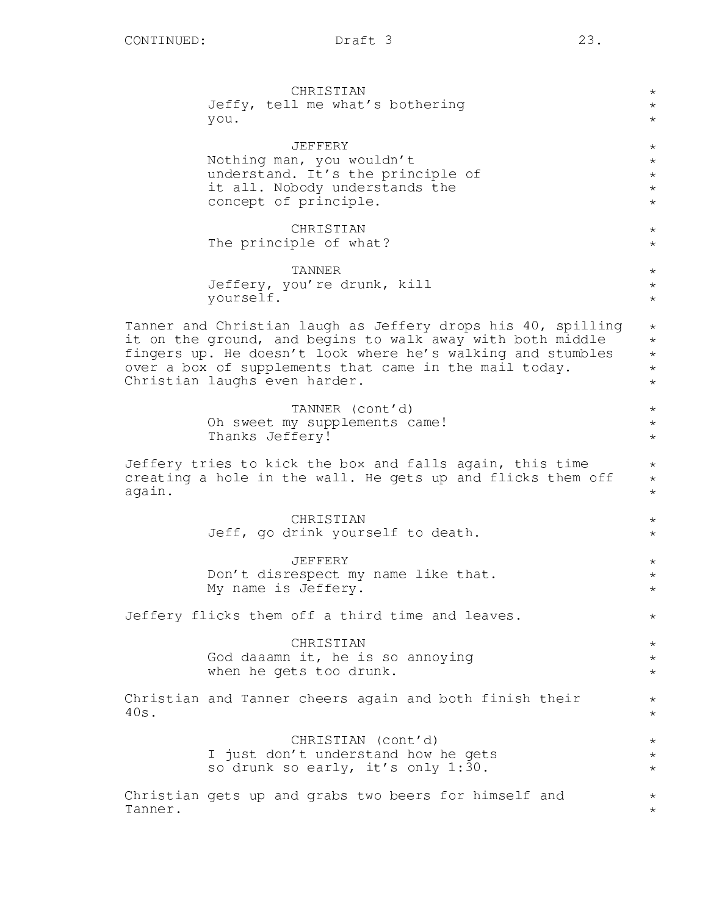CHRISTIAN Jeffy, tell me what's bothering you. JEFFERY Nothing man, you wouldn't understand. It's the principle of it all. Nobody understands the concept of principle. CHRISTIAN The principle of what? TANNER Jeffery, you're drunk, kill yourself. Tanner and Christian laugh as Jeffery drops his 40, spilling it on the ground, and begins to walk away with both middle fingers up. He doesn't look where he's walking and stumbles over a box of supplements that came in the mail today. Christian laughs even harder. TANNER (cont'd) Oh sweet my supplements came! Thanks Jeffery! Jeffery tries to kick the box and falls again, this time creating a hole in the wall. He gets up and flicks them off again. **CHRISTIAN** Jeff, go drink yourself to death. JEFFERY Don't disrespect my name like that. My name is Jeffery. Jeffery flicks them off a third time and leaves. CHRISTIAN God daaamn it, he is so annoying when he gets too drunk. Christian and Tanner cheers again and both finish their 40s. CHRISTIAN (cont'd) I just don't understand how he gets so drunk so early, it's only 1:30. Christian gets up and grabs two beers for himself and Tanner. \* \* \* \* \* \* \* \* \* \* \* \* \*  $\star$ \* \* \* \* \* \* \* \* \* \* \* \* \* \* \*  $\star$ \* \* \* \*  $\star$ \* \* \*  $\star$ \*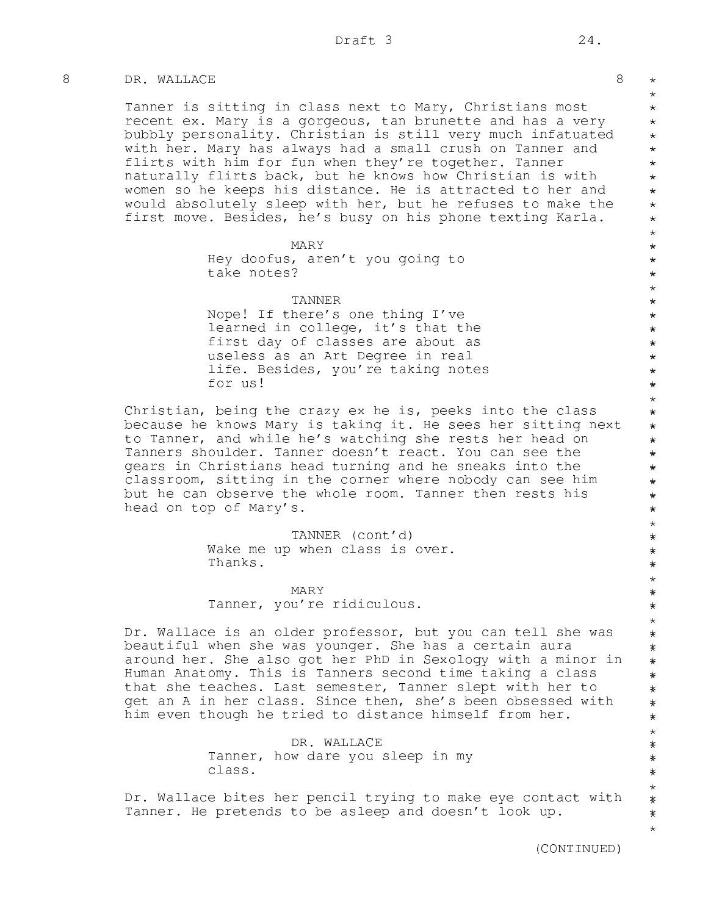# 8 DR. WALLACE 8

Tanner is sitting in class next to Mary, Christians most recent ex. Mary is a gorgeous, tan brunette and has a very bubbly personality. Christian is still very much infatuated with her. Mary has always had a small crush on Tanner and flirts with him for fun when they're together. Tanner naturally flirts back, but he knows how Christian is with women so he keeps his distance. He is attracted to her and would absolutely sleep with her, but he refuses to make the first move. Besides, he's busy on his phone texting Karla.

MARY

Hey doofus, aren't you going to take notes?

TANNER

Nope! If there's one thing I've learned in college, it's that the first day of classes are about as useless as an Art Degree in real life. Besides, you're taking notes for us!

Christian, being the crazy ex he is, peeks into the class because he knows Mary is taking it. He sees her sitting next to Tanner, and while he's watching she rests her head on Tanners shoulder. Tanner doesn't react. You can see the gears in Christians head turning and he sneaks into the classroom, sitting in the corner where nobody can see him but he can observe the whole room. Tanner then rests his head on top of Mary's.

> TANNER (cont'd) Wake me up when class is over. Thanks.

> > MARY

Tanner, you're ridiculous.

Dr. Wallace is an older professor, but you can tell she was beautiful when she was younger. She has a certain aura around her. She also got her PhD in Sexology with a minor in Human Anatomy. This is Tanners second time taking a class that she teaches. Last semester, Tanner slept with her to get an A in her class. Since then, she's been obsessed with him even though he tried to distance himself from her.

> DR. WALLACE Tanner, how dare you sleep in my class.

Dr. Wallace bites her pencil trying to make eye contact with Tanner. He pretends to be asleep and doesn't look up.

 $\star$ \* \* \* \* \* \* \* \* \* \* \* \* \* \* \* \* \* \* \* \* \* \* \* \* \* \* \* \* \* \* \* \* \* \* \* \* \* \* \* \* \* \* \* \* \* \* \* \* \* \* \* \* \* \* \* \* \* \* \* \* \* \* \* \* \* \* \* \* \* \* \* \* \* \* \* \* \* \*\*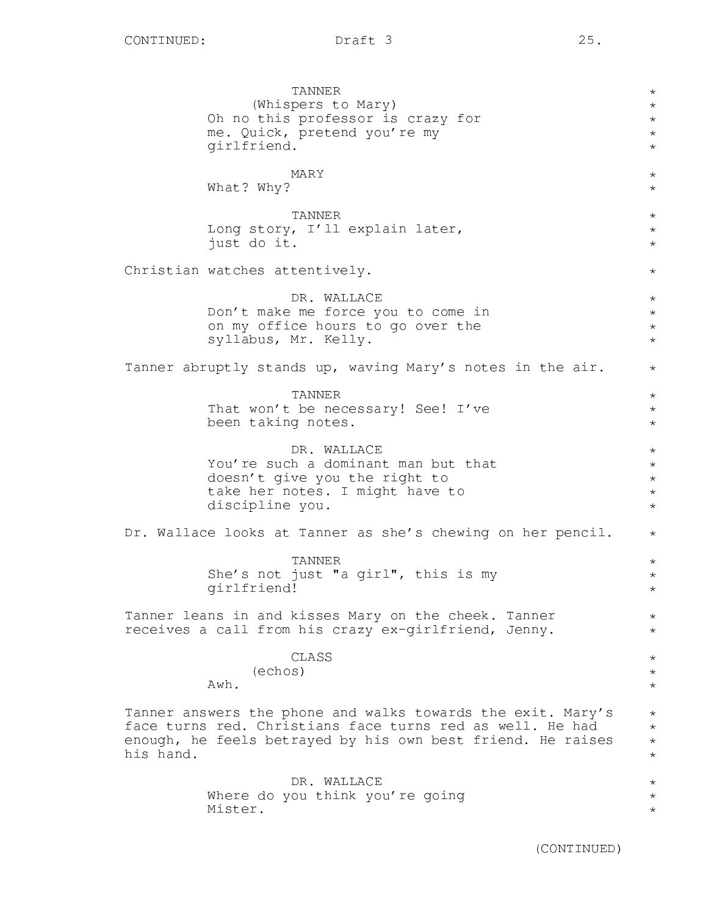TANNER (Whispers to Mary) Oh no this professor is crazy for me. Quick, pretend you're my girlfriend. MARY What? Why? TANNER Long story, I'll explain later, just do it. Christian watches attentively. DR. WALLACE Don't make me force you to come in on my office hours to go over the syllabus, Mr. Kelly. Tanner abruptly stands up, waving Mary's notes in the air. TANNER That won't be necessary! See! I've been taking notes. DR. WALLACE You're such a dominant man but that doesn't give you the right to take her notes. I might have to discipline you. Dr. Wallace looks at Tanner as she's chewing on her pencil. TANNER She's not just "a girl", this is my girlfriend! Tanner leans in and kisses Mary on the cheek. Tanner receives a call from his crazy ex-girlfriend, Jenny. CLASS (echos) Awh. Tanner answers the phone and walks towards the exit. Mary's face turns red. Christians face turns red as well. He had enough, he feels betrayed by his own best friend. He raises his hand. DR. WALLACE Where do you think you're going Mister. \* \* \* \* \* \*  $\star$ \* \*  $\star$ \* \* \* \* \* \* \* \* \* \* \* \* \* \*  $\star$ \*  $\star$ \* \*  $\star$ \* \* \* \* \* \* \* \* \* \*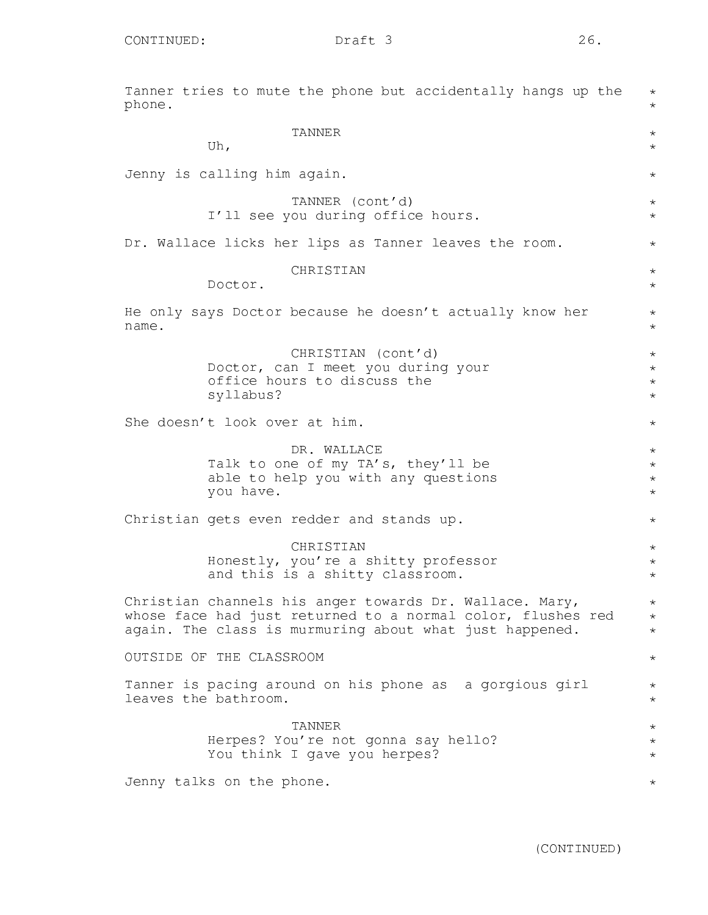Tanner tries to mute the phone but accidentally hangs up the phone. TANNER Uh, Jenny is calling him again. TANNER (cont'd) I'll see you during office hours. Dr. Wallace licks her lips as Tanner leaves the room. CHRISTIAN Doctor. He only says Doctor because he doesn't actually know her name. CHRISTIAN (cont'd) Doctor, can I meet you during your office hours to discuss the syllabus? She doesn't look over at him. DR. WALLACE Talk to one of my TA's, they'll be able to help you with any questions you have. Christian gets even redder and stands up. **CHRISTIAN** Honestly, you're a shitty professor and this is a shitty classroom. Christian channels his anger towards Dr. Wallace. Mary, whose face had just returned to a normal color, flushes red again. The class is murmuring about what just happened. OUTSIDE OF THE CLASSROOM Tanner is pacing around on his phone as a gorgious girl leaves the bathroom. TANNER Herpes? You're not gonna say hello? You think I gave you herpes? \*  $\star$  $\star$ \* \*  $\star$ \*  $\star$ \* \* \* \* \* \* \* \* \* \* \* \* \* \* \* \* \* \* \* \* \* \* \* \* \* \* \*

Jenny talks on the phone.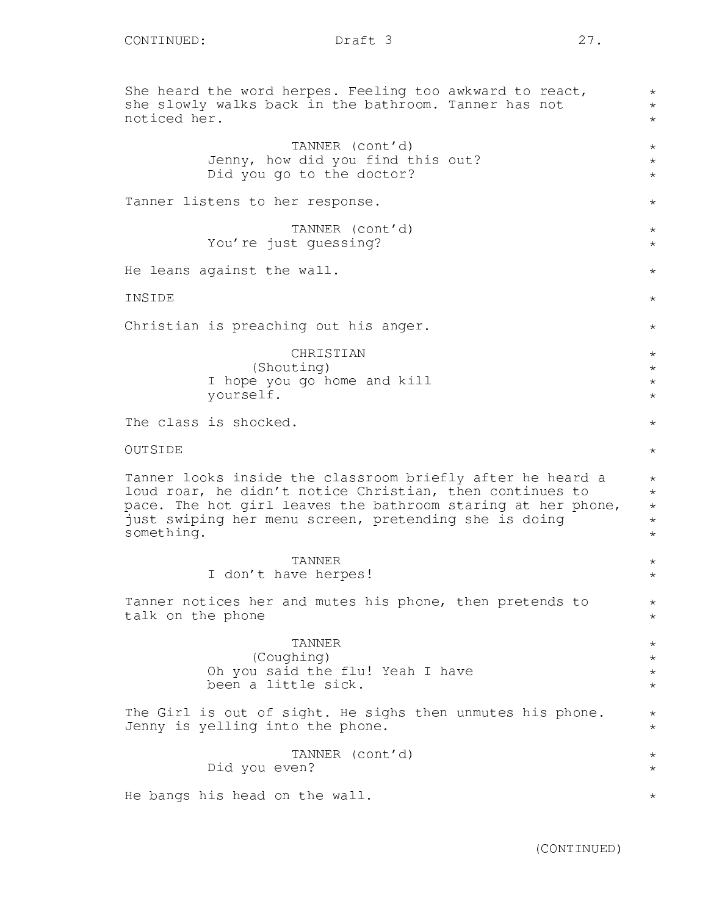She heard the word herpes. Feeling too awkward to react, she slowly walks back in the bathroom. Tanner has not noticed her. TANNER (cont'd) Jenny, how did you find this out? Did you go to the doctor? Tanner listens to her response. TANNER (cont'd) You're just guessing? He leans against the wall. INSIDE Christian is preaching out his anger. CHRISTIAN (Shouting) I hope you go home and kill yourself. The class is shocked. OUTSIDE Tanner looks inside the classroom briefly after he heard a loud roar, he didn't notice Christian, then continues to pace. The hot girl leaves the bathroom staring at her phone, just swiping her menu screen, pretending she is doing something. TANNER I don't have herpes! Tanner notices her and mutes his phone, then pretends to talk on the phone TANNER (Coughing) Oh you said the flu! Yeah I have been a little sick. The Girl is out of sight. He sighs then unmutes his phone. Jenny is yelling into the phone. TANNER (cont'd) Did you even? He bangs his head on the wall. \* \* \* \* \* \*  $\star$ \*  $\star$ \* \* \* \* \* \* \* \* \* \* \* \* \* \* \*  $\star$  $\star$ \* \* \* \* \* \* \* \* \* \*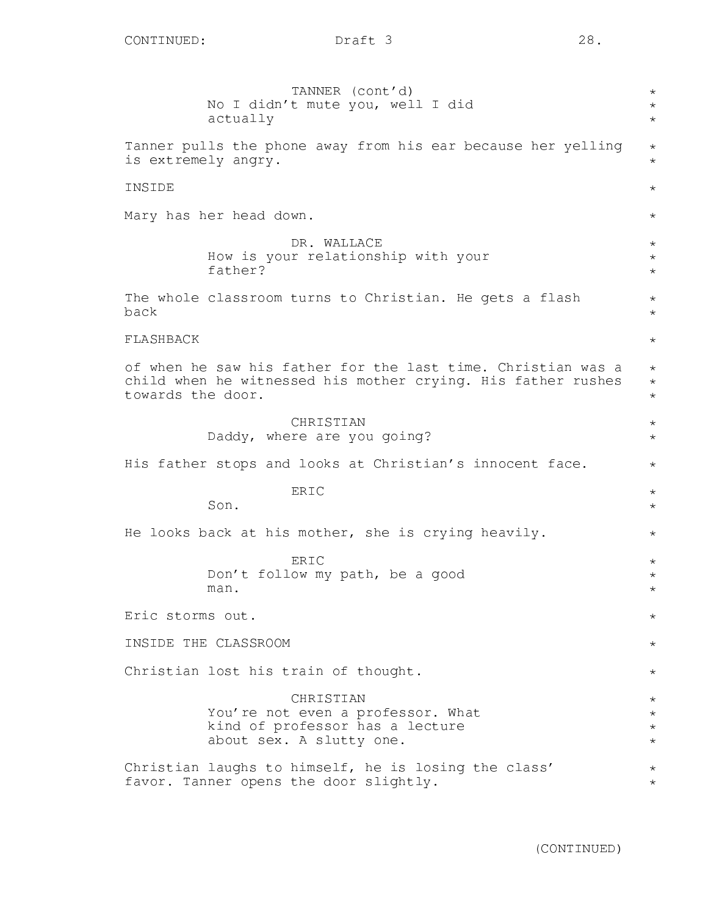| TANNER (cont'd)<br>No I didn't mute you, well I did<br>actually                                                                                   | $\star$<br>$^\star$<br>$\star$           |
|---------------------------------------------------------------------------------------------------------------------------------------------------|------------------------------------------|
| Tanner pulls the phone away from his ear because her yelling<br>is extremely angry.                                                               | $\star$<br>$^\star$                      |
| INSIDE                                                                                                                                            | $^\star$                                 |
| Mary has her head down.                                                                                                                           | $^\star$                                 |
| DR. WALLACE<br>How is your relationship with your<br>father?                                                                                      | $^\star$<br>$\star$<br>$^\star$          |
| The whole classroom turns to Christian. He gets a flash<br>back                                                                                   | $^\star$<br>$^\star$                     |
| FLASHBACK                                                                                                                                         | $\star$                                  |
| of when he saw his father for the last time. Christian was a<br>child when he witnessed his mother crying. His father rushes<br>towards the door. | $^\star$<br>$^\star$<br>$\star$          |
| CHRISTIAN<br>Daddy, where are you going?                                                                                                          | $^\star$<br>$^\star$                     |
| His father stops and looks at Christian's innocent face.                                                                                          | $\star$                                  |
| ERIC<br>Son.                                                                                                                                      | $^\star$<br>$^\star$                     |
| He looks back at his mother, she is crying heavily.                                                                                               | $^\star$                                 |
| ERIC<br>Don't follow my path, be a good<br>man.                                                                                                   | $^\star$<br>$^\star$<br>$^\star$         |
| Eric storms out.                                                                                                                                  | $^\star$                                 |
| INSIDE THE CLASSROOM                                                                                                                              | $\star$                                  |
| Christian lost his train of thought.                                                                                                              | $\star$                                  |
| CHRISTIAN<br>You're not even a professor. What<br>kind of professor has a lecture<br>about sex. A slutty one.                                     | $\star$<br>$\star$<br>$\star$<br>$\star$ |
| Christian laughs to himself, he is losing the class'<br>favor. Tanner opens the door slightly.                                                    | $\star$<br>$\star$                       |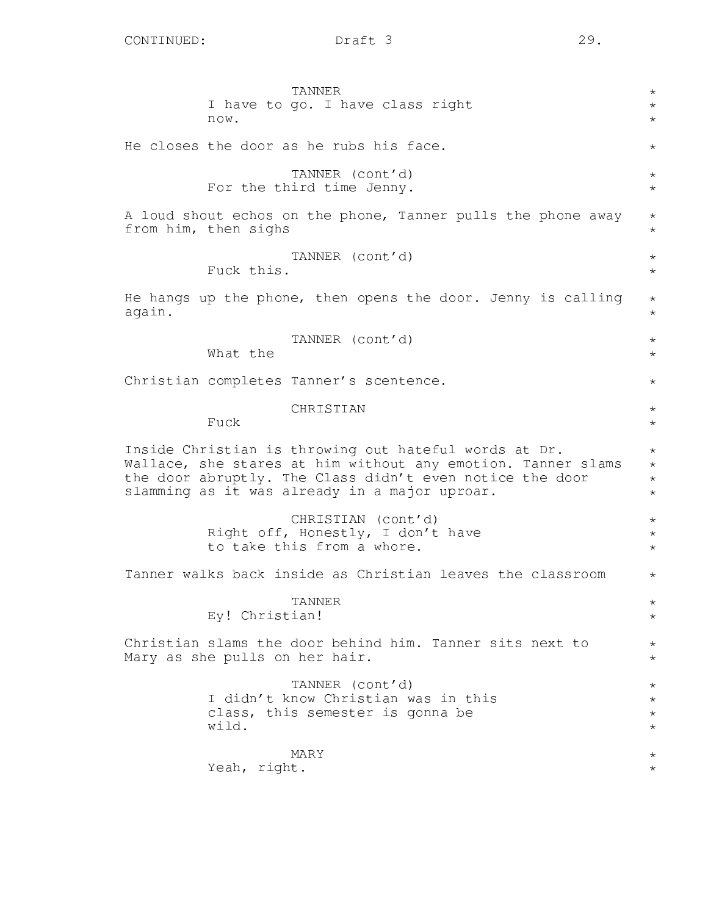|        | TANNER<br>I have to go. I have class right<br>now.                                                                                                                                                                                 | $^\star$<br>$^\star$<br>$\star$           |
|--------|------------------------------------------------------------------------------------------------------------------------------------------------------------------------------------------------------------------------------------|-------------------------------------------|
|        | He closes the door as he rubs his face.                                                                                                                                                                                            | $^\star$                                  |
|        | TANNER (cont'd)<br>For the third time Jenny.                                                                                                                                                                                       | $\star$<br>$\star$                        |
|        | A loud shout echos on the phone, Tanner pulls the phone away<br>from him, then sighs                                                                                                                                               | $\star$<br>$\star$                        |
|        | TANNER (cont'd)<br>Fuck this.                                                                                                                                                                                                      | $^\star$<br>$\star$                       |
| again. | He hangs up the phone, then opens the door. Jenny is calling                                                                                                                                                                       | $\star$<br>$\star$                        |
|        | TANNER (cont'd)<br>What the                                                                                                                                                                                                        | $^\star$<br>$^\star$                      |
|        | Christian completes Tanner's scentence.                                                                                                                                                                                            | $^\star$                                  |
|        | CHRISTIAN<br>Fuck                                                                                                                                                                                                                  | $^\star$<br>$^\star$                      |
|        | Inside Christian is throwing out hateful words at Dr.<br>Wallace, she stares at him without any emotion. Tanner slams<br>the door abruptly. The Class didn't even notice the door<br>slamming as it was already in a major uproar. | $^\star$<br>$\star$<br>$\star$<br>$\star$ |
|        | CHRISTIAN (cont'd)<br>Right off, Honestly, I don't have<br>to take this from a whore.                                                                                                                                              | $^\star$<br>$^\star$<br>$\star$           |
|        | Tanner walks back inside as Christian leaves the classroom                                                                                                                                                                         | $^\star$                                  |
|        | <b>TANNER</b><br>Ey! Christian!                                                                                                                                                                                                    | $^\star$<br>$^\star$                      |
|        | Christian slams the door behind him. Tanner sits next to<br>Mary as she pulls on her hair.                                                                                                                                         | $^\star$<br>$\star$                       |
|        | TANNER (cont'd)<br>I didn't know Christian was in this<br>class, this semester is gonna be<br>wild.                                                                                                                                | $^\star$<br>$\star$<br>$\star$<br>$\star$ |
|        | MARY<br>Yeah, right.                                                                                                                                                                                                               | $^\star$<br>$^\star$                      |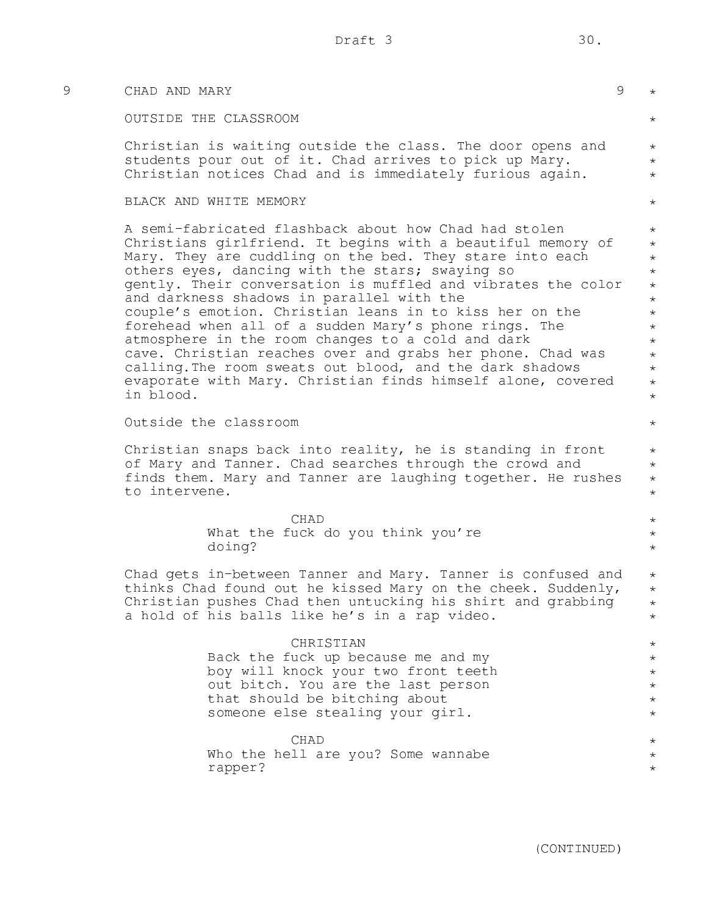| 9 | CHAD AND MARY                                                                                                                                                                                                                                                                                                                                                                                                                                                                                                                                                                                                                                                                                                                   | $\mathcal{G}$<br>$\star$                                                                                                                    |
|---|---------------------------------------------------------------------------------------------------------------------------------------------------------------------------------------------------------------------------------------------------------------------------------------------------------------------------------------------------------------------------------------------------------------------------------------------------------------------------------------------------------------------------------------------------------------------------------------------------------------------------------------------------------------------------------------------------------------------------------|---------------------------------------------------------------------------------------------------------------------------------------------|
|   | OUTSIDE THE CLASSROOM                                                                                                                                                                                                                                                                                                                                                                                                                                                                                                                                                                                                                                                                                                           | $\star$                                                                                                                                     |
|   | Christian is waiting outside the class. The door opens and<br>students pour out of it. Chad arrives to pick up Mary.<br>Christian notices Chad and is immediately furious again.                                                                                                                                                                                                                                                                                                                                                                                                                                                                                                                                                | $\star$<br>$\star$<br>$\star$                                                                                                               |
|   | BLACK AND WHITE MEMORY                                                                                                                                                                                                                                                                                                                                                                                                                                                                                                                                                                                                                                                                                                          | $\star$                                                                                                                                     |
|   | A semi-fabricated flashback about how Chad had stolen<br>Christians girlfriend. It begins with a beautiful memory of<br>Mary. They are cuddling on the bed. They stare into each<br>others eyes, dancing with the stars; swaying so<br>gently. Their conversation is muffled and vibrates the color<br>and darkness shadows in parallel with the<br>couple's emotion. Christian leans in to kiss her on the<br>forehead when all of a sudden Mary's phone rings. The<br>atmosphere in the room changes to a cold and dark<br>cave. Christian reaches over and grabs her phone. Chad was<br>calling. The room sweats out blood, and the dark shadows<br>evaporate with Mary. Christian finds himself alone, covered<br>in blood. | $\star$<br>$\star$<br>$\star$<br>$\star$<br>$\star$<br>$\star$<br>$\star$<br>$\star$<br>$\star$<br>$\star$<br>$\star$<br>$\star$<br>$\star$ |
|   | Outside the classroom                                                                                                                                                                                                                                                                                                                                                                                                                                                                                                                                                                                                                                                                                                           | $\star$                                                                                                                                     |
|   | Christian snaps back into reality, he is standing in front<br>of Mary and Tanner. Chad searches through the crowd and<br>finds them. Mary and Tanner are laughing together. He rushes<br>to intervene.                                                                                                                                                                                                                                                                                                                                                                                                                                                                                                                          | $\star$<br>$\star$<br>$\star$<br>$\star$                                                                                                    |
|   | CHAD<br>What the fuck do you think you're<br>doing?                                                                                                                                                                                                                                                                                                                                                                                                                                                                                                                                                                                                                                                                             | $\star$<br>$\star$<br>$\star$                                                                                                               |
|   | Chad gets in-between Tanner and Mary. Tanner is confused and<br>thinks Chad found out he kissed Mary on the cheek. Suddenly,<br>Christian pushes Chad then untucking his shirt and grabbing<br>a hold of his balls like he's in a rap video.                                                                                                                                                                                                                                                                                                                                                                                                                                                                                    | $\star$<br>$\star$<br>$\star$<br>$\star$                                                                                                    |
|   | CHRISTIAN<br>Back the fuck up because me and my<br>boy will knock your two front teeth<br>out bitch. You are the last person<br>that should be bitching about<br>someone else stealing your girl.                                                                                                                                                                                                                                                                                                                                                                                                                                                                                                                               | $\star$<br>$^\star$<br>$^{\star}$<br>$^{\star}$<br>$\star$<br>$\star$                                                                       |
|   | CHAD<br>Who the hell are you? Some wannabe<br>rapper?                                                                                                                                                                                                                                                                                                                                                                                                                                                                                                                                                                                                                                                                           | $\star$<br>$\star$<br>$\star$                                                                                                               |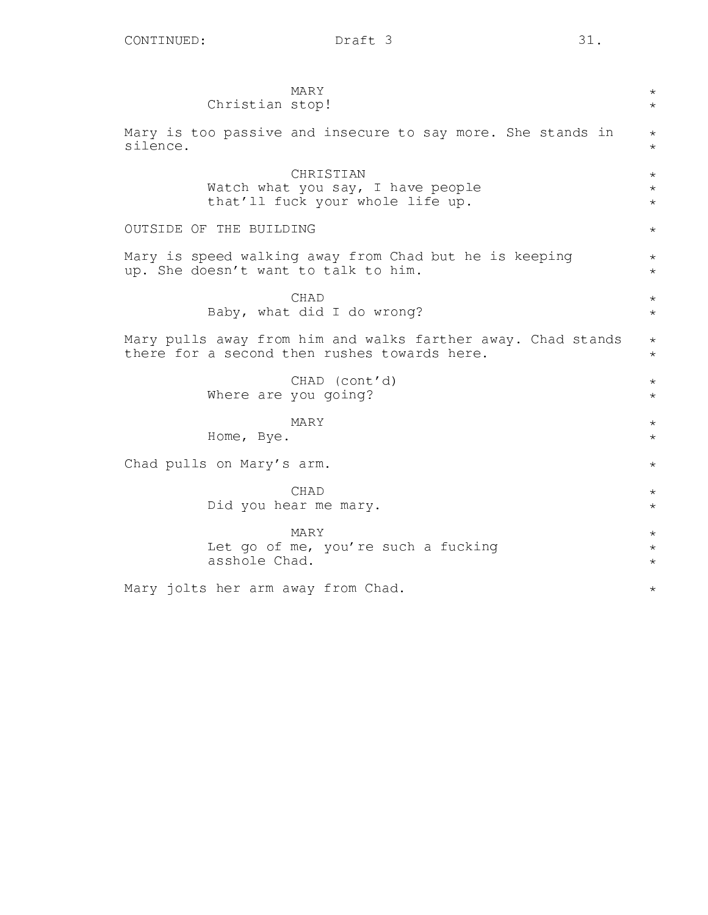| MARY                                                                                                                                 | $\star$ |  |
|--------------------------------------------------------------------------------------------------------------------------------------|---------|--|
| Christian stop!                                                                                                                      | $\star$ |  |
| Mary is too passive and insecure to say more. She stands in                                                                          | $\star$ |  |
| silence.                                                                                                                             | $\star$ |  |
| CHRISTIAN                                                                                                                            | $\star$ |  |
| Watch what you say, I have people                                                                                                    | $\star$ |  |
| that'll fuck your whole life up.                                                                                                     | $\star$ |  |
| OUTSIDE OF THE BUILDING                                                                                                              | $\star$ |  |
| Mary is speed walking away from Chad but he is keeping                                                                               | $\star$ |  |
| up. She doesn't want to talk to him.                                                                                                 | $\star$ |  |
| CHAD                                                                                                                                 | $\star$ |  |
| Baby, what did I do wrong?                                                                                                           | $\star$ |  |
| Mary pulls away from him and walks farther away. Chad stands<br>$^\star$<br>there for a second then rushes towards here.<br>$^\star$ |         |  |
| CHAD (cont'd)                                                                                                                        | $\star$ |  |
| Where are you going?                                                                                                                 | $\star$ |  |
| MARY                                                                                                                                 | $\star$ |  |
| Home, Bye.                                                                                                                           | $\star$ |  |
| Chad pulls on Mary's arm.                                                                                                            |         |  |
| <b>CHAD</b>                                                                                                                          | $\star$ |  |
| Did you hear me mary.                                                                                                                | $\star$ |  |
| MARY                                                                                                                                 | $\star$ |  |
| Let go of me, you're such a fucking                                                                                                  | $\star$ |  |
| asshole Chad.                                                                                                                        | $\star$ |  |
| Mary jolts her arm away from Chad.                                                                                                   | $\star$ |  |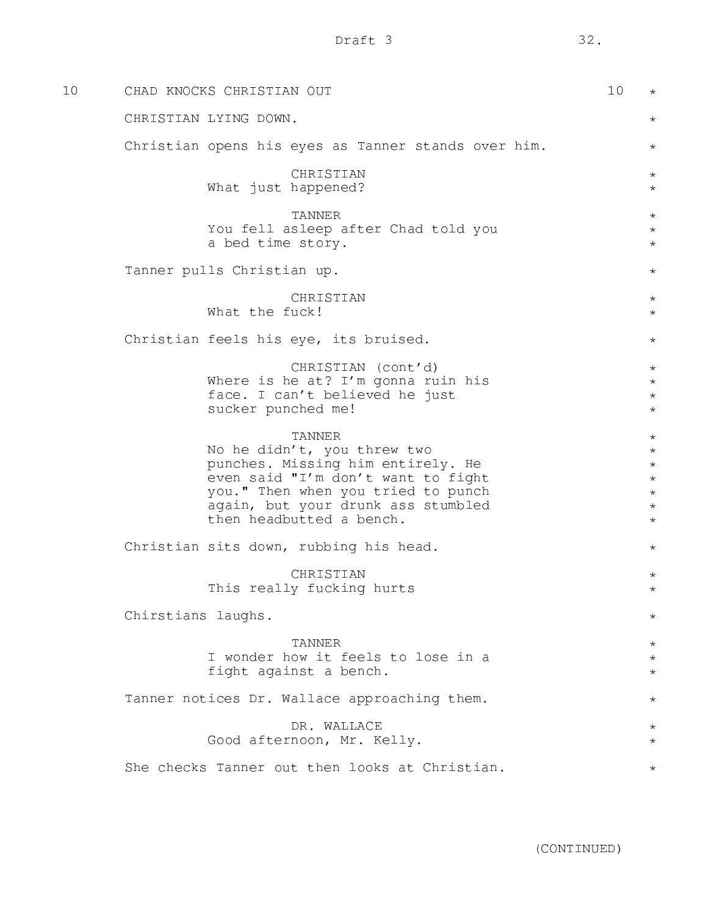| 10 | CHAD KNOCKS CHRISTIAN OUT                                                                                                                                                                                                       | 10 | $\star$                                                                   |
|----|---------------------------------------------------------------------------------------------------------------------------------------------------------------------------------------------------------------------------------|----|---------------------------------------------------------------------------|
|    | CHRISTIAN LYING DOWN.                                                                                                                                                                                                           |    | $\star$                                                                   |
|    | Christian opens his eyes as Tanner stands over him.                                                                                                                                                                             |    | $\star$                                                                   |
|    | CHRISTIAN<br>What just happened?                                                                                                                                                                                                |    | $\star$<br>$\star$                                                        |
|    | TANNER<br>You fell asleep after Chad told you<br>a bed time story.                                                                                                                                                              |    | $\star$<br>$\star$<br>$\star$                                             |
|    | Tanner pulls Christian up.                                                                                                                                                                                                      |    | $\star$                                                                   |
|    | CHRISTIAN<br>What the fuck!                                                                                                                                                                                                     |    | $\star$<br>$\star$                                                        |
|    | Christian feels his eye, its bruised.                                                                                                                                                                                           |    | $\star$                                                                   |
|    | CHRISTIAN (cont'd)<br>Where is he at? I'm gonna ruin his<br>face. I can't believed he just<br>sucker punched me!                                                                                                                |    | $\star$<br>$\star$<br>$\star$<br>$\star$                                  |
|    | <b>TANNER</b><br>No he didn't, you threw two<br>punches. Missing him entirely. He<br>even said "I'm don't want to fight<br>you." Then when you tried to punch<br>again, but your drunk ass stumbled<br>then headbutted a bench. |    | $\star$<br>$\star$<br>$\star$<br>$\star$<br>$\star$<br>$\star$<br>$\star$ |
|    | Christian sits down, rubbing his head.                                                                                                                                                                                          |    | $^\star$                                                                  |
|    | CHRISTIAN<br>This really fucking hurts                                                                                                                                                                                          |    | $\star$<br>$^\star$                                                       |
|    | Chirstians laughs.                                                                                                                                                                                                              |    | $^\star$                                                                  |
|    | TANNER<br>I wonder how it feels to lose in a<br>fight against a bench.                                                                                                                                                          |    | $\star$<br>$^{\star}$<br>$^{\star}$                                       |
|    | Tanner notices Dr. Wallace approaching them.                                                                                                                                                                                    |    | $^\star$                                                                  |
|    | DR. WALLACE<br>Good afternoon, Mr. Kelly.                                                                                                                                                                                       |    | $^\star$<br>$^\star$                                                      |
|    | She checks Tanner out then looks at Christian.                                                                                                                                                                                  |    | $^\star$                                                                  |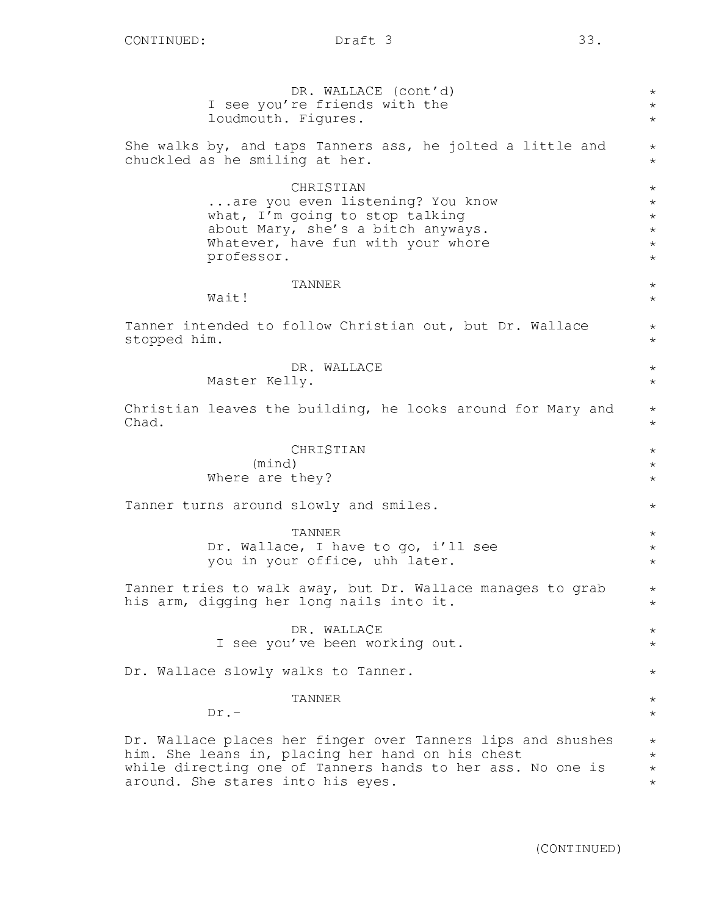| DR. WALLACE (cont'd)<br>$^\star$<br>I see you're friends with the<br>$^\star$<br>loudmouth. Figures.<br>$\star$                                                                                                                                                 |  |  |  |  |
|-----------------------------------------------------------------------------------------------------------------------------------------------------------------------------------------------------------------------------------------------------------------|--|--|--|--|
| She walks by, and taps Tanners ass, he jolted a little and<br>chuckled as he smiling at her.                                                                                                                                                                    |  |  |  |  |
| CHRISTIAN<br>$\star$<br>are you even listening? You know<br>$\star$<br>what, I'm going to stop talking<br>$\star$<br>about Mary, she's a bitch anyways.<br>$\star$<br>Whatever, have fun with your whore<br>$^\star$<br>professor.<br>$^\star$                  |  |  |  |  |
| <b>TANNER</b><br>$\star$<br>Wait!<br>$\star$                                                                                                                                                                                                                    |  |  |  |  |
| Tanner intended to follow Christian out, but Dr. Wallace<br>$^\star$<br>stopped him.<br>$\star$                                                                                                                                                                 |  |  |  |  |
| DR. WALLACE<br>$\star$<br>Master Kelly.<br>$\star$                                                                                                                                                                                                              |  |  |  |  |
| Christian leaves the building, he looks around for Mary and<br>$^\star$<br>Chad.<br>$\star$                                                                                                                                                                     |  |  |  |  |
| CHRISTIAN<br>$\star$<br>(mind)<br>$\star$<br>Where are they?<br>$\star$                                                                                                                                                                                         |  |  |  |  |
| Tanner turns around slowly and smiles.<br>$^\star$                                                                                                                                                                                                              |  |  |  |  |
| <b>TANNER</b><br>$\star$<br>Dr. Wallace, I have to go, i'll see<br>$\star$<br>you in your office, uhh later.<br>$^\star$                                                                                                                                        |  |  |  |  |
| Tanner tries to walk away, but Dr. Wallace manages to grab<br>$^\star$<br>his arm, digging her long nails into it.<br>$^\star$                                                                                                                                  |  |  |  |  |
| DR. WALLACE<br>$^\star$<br>I see you've been working out.<br>$^\star$                                                                                                                                                                                           |  |  |  |  |
| Dr. Wallace slowly walks to Tanner.<br>$\star$                                                                                                                                                                                                                  |  |  |  |  |
| <b>TANNER</b><br>$^\star$<br>$Dr. -$<br>$\star$                                                                                                                                                                                                                 |  |  |  |  |
| Dr. Wallace places her finger over Tanners lips and shushes<br>$\star$<br>him. She leans in, placing her hand on his chest<br>$\star$<br>while directing one of Tanners hands to her ass. No one is<br>$\star$<br>around. She stares into his eyes.<br>$^\star$ |  |  |  |  |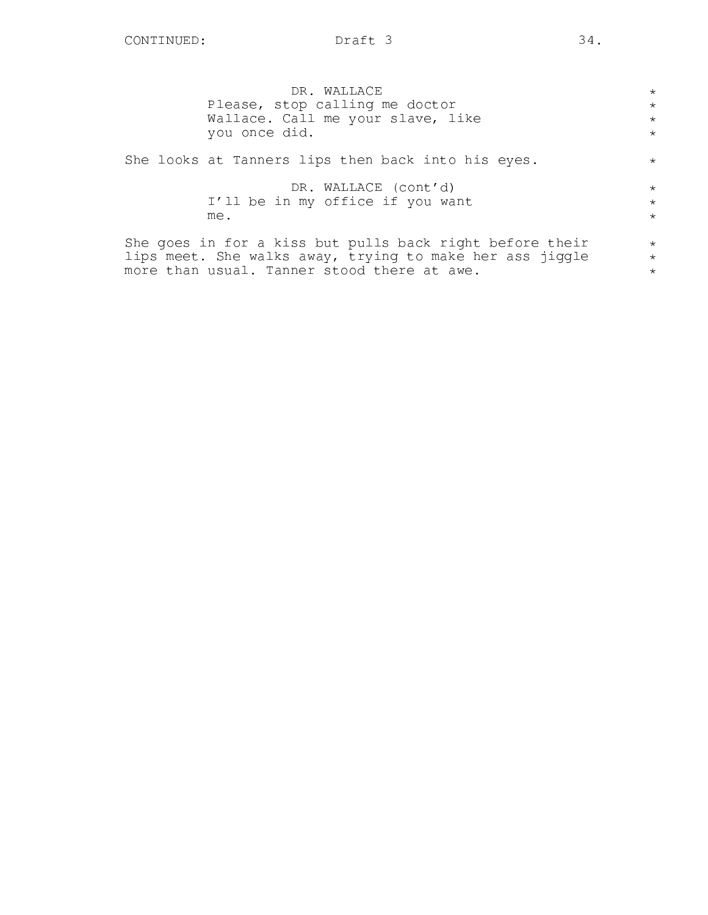| DR. WALLACE<br>Please, stop calling me doctor<br>Wallace. Call me your slave, like<br>you once did. | $\star$<br>$\star$<br>$\star$<br>$\star$ |
|-----------------------------------------------------------------------------------------------------|------------------------------------------|
| She looks at Tanners lips then back into his eyes.                                                  | $\star$                                  |
| DR. WALLACE (cont'd)<br>I'll be in my office if you want<br>me.                                     | $\star$<br>$\star$<br>$\star$            |

She goes in for a kiss but pulls back right before their lips meet. She walks away, trying to make her ass jiggle more than usual. Tanner stood there at awe.

\* \* \*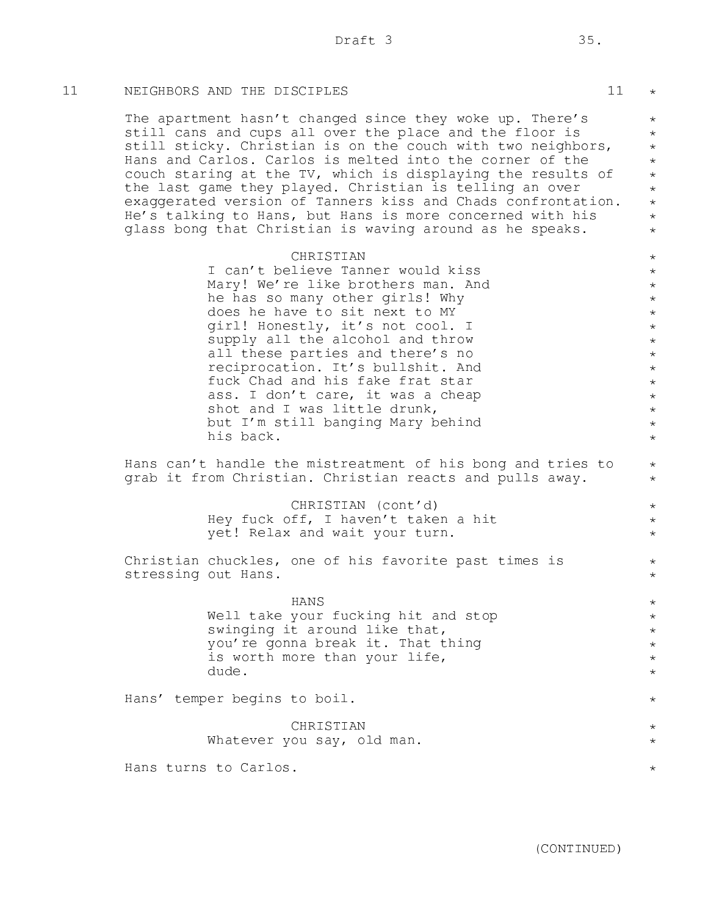# 11 NEIGHBORS AND THE DISCIPLES 11

The apartment hasn't changed since they woke up. There's still cans and cups all over the place and the floor is still sticky. Christian is on the couch with two neighbors, Hans and Carlos. Carlos is melted into the corner of the couch staring at the TV, which is displaying the results of the last game they played. Christian is telling an over exaggerated version of Tanners kiss and Chads confrontation. He's talking to Hans, but Hans is more concerned with his glass bong that Christian is waving around as he speaks.

|                     | CHRISTIAN                                                                                                                                                                                                                                                                                                                                                                                                                                                |
|---------------------|----------------------------------------------------------------------------------------------------------------------------------------------------------------------------------------------------------------------------------------------------------------------------------------------------------------------------------------------------------------------------------------------------------------------------------------------------------|
|                     | I can't believe Tanner would kiss<br>Mary! We're like brothers man. And<br>he has so many other girls! Why<br>does he have to sit next to MY<br>girl! Honestly, it's not cool. I<br>supply all the alcohol and throw<br>all these parties and there's no<br>reciprocation. It's bullshit. And<br>fuck Chad and his fake frat star<br>ass. I don't care, it was a cheap<br>shot and I was little drunk,<br>but I'm still banging Mary behind<br>his back. |
|                     | Hans can't handle the mistreatment of his bong and tries to<br>grab it from Christian. Christian reacts and pulls away.                                                                                                                                                                                                                                                                                                                                  |
|                     | CHRISTIAN (cont'd)<br>Hey fuck off, I haven't taken a hit<br>yet! Relax and wait your turn.                                                                                                                                                                                                                                                                                                                                                              |
| stressing out Hans. | Christian chuckles, one of his favorite past times is                                                                                                                                                                                                                                                                                                                                                                                                    |
|                     | HANS<br>Well take your fucking hit and stop<br>swinging it around like that,<br>you're gonna break it. That thing<br>is worth more than your life,<br>dude.                                                                                                                                                                                                                                                                                              |
|                     | Hans' temper begins to boil.                                                                                                                                                                                                                                                                                                                                                                                                                             |
|                     | CHRISTIAN                                                                                                                                                                                                                                                                                                                                                                                                                                                |

#### Whatever you say, old man. \*

Hans turns to Carlos.

\*

\* \* \* \* \* \* \* \* \*

\* \* \* \* \* \* \* \* \* \* \* \* \* \*

\* \*

> \* \* \*

\* \*

\* \* \* \* \* \*

\*

\*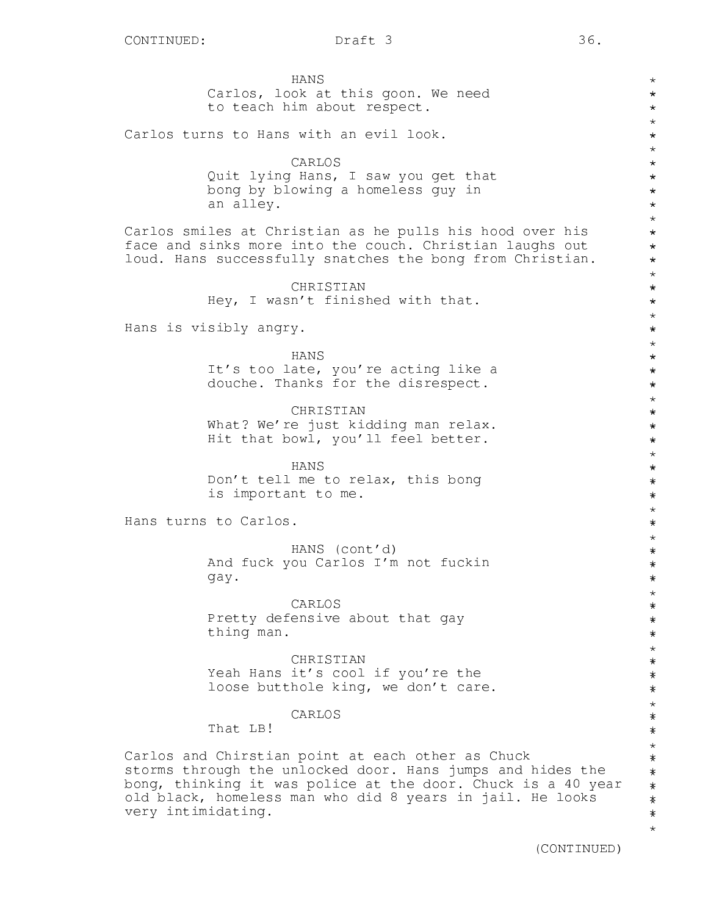\* \* \* \* \* \* \* \* \* \* \* \* \* \* \* \* \* \* \* \* \* \* \* \* \* \* \* \* \* \* \* \* \* \* \* \* \* \* \* \* \* \* \* \* \* \* \* \* \* \* \* \* \* \* \* \* \* \* \* \* \* \* \* \* \* \* \* \* \* \* \* \* \* \* \* \* \* \* \* \* \*\*

HANS Carlos, look at this goon. We need to teach him about respect.

Carlos turns to Hans with an evil look.

## CARLOS

Quit lying Hans, I saw you get that bong by blowing a homeless guy in an alley.

Carlos smiles at Christian as he pulls his hood over his face and sinks more into the couch. Christian laughs out loud. Hans successfully snatches the bong from Christian.

> CHRISTIAN Hey, I wasn't finished with that.

Hans is visibly angry.

HANS It's too late, you're acting like a douche. Thanks for the disrespect.

CHRISTIAN What? We're just kidding man relax. Hit that bowl, you'll feel better.

HANS Don't tell me to relax, this bong is important to me.

Hans turns to Carlos.

HANS (cont'd) And fuck you Carlos I'm not fuckin gay.

CARLOS Pretty defensive about that gay thing man.

**CHRISTIAN** Yeah Hans it's cool if you're the loose butthole king, we don't care.

## CARLOS

That LB!

Carlos and Chirstian point at each other as Chuck storms through the unlocked door. Hans jumps and hides the bong, thinking it was police at the door. Chuck is a 40 year old black, homeless man who did 8 years in jail. He looks very intimidating.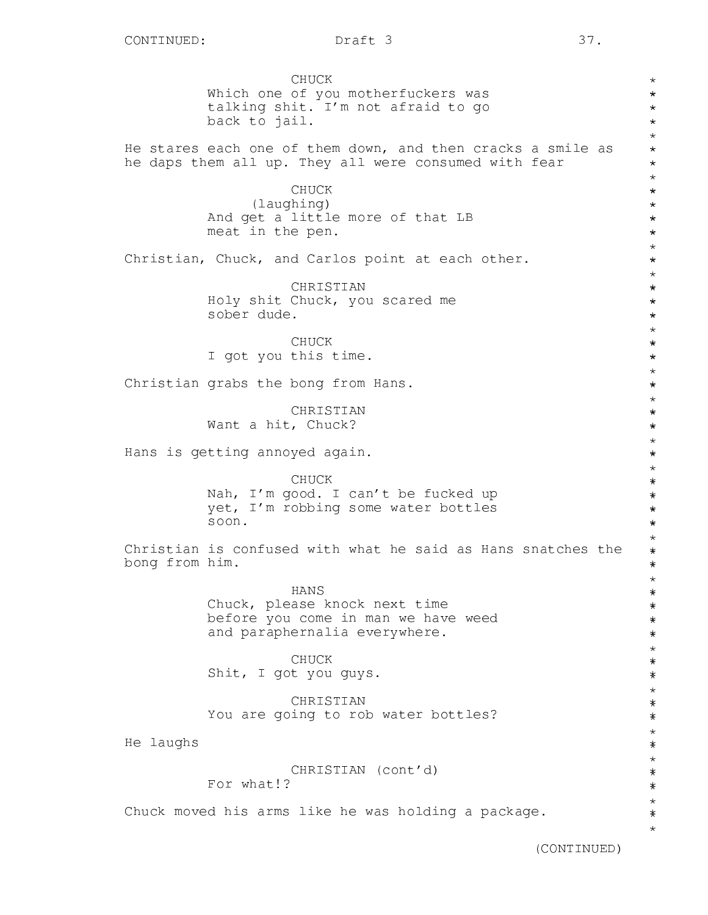CHUCK Which one of you motherfuckers was talking shit. I'm not afraid to go back to jail. He stares each one of them down, and then cracks a smile as he daps them all up. They all were consumed with fear CHUCK (laughing) And get a little more of that LB meat in the pen. Christian, Chuck, and Carlos point at each other. CHRISTIAN Holy shit Chuck, you scared me sober dude. CHUCK I got you this time. Christian grabs the bong from Hans. CHRISTIAN Want a hit, Chuck? Hans is getting annoyed again. CHUCK Nah, I'm good. I can't be fucked up yet, I'm robbing some water bottles soon. Christian is confused with what he said as Hans snatches the bong from him. HANS Chuck, please knock next time before you come in man we have weed and paraphernalia everywhere. CHUCK Shit, I got you guys. CHRISTIAN You are going to rob water bottles? He laughs CHRISTIAN (cont'd) For what!? Chuck moved his arms like he was holding a package. \* \* \* \* \* \* \* \* \* \* \* \* \* \* \* \* \* \* \* \* \* \* \* \* \* \* \* \* \* \* \* \* \* \* \* \* \* \* \* \* \* \* \* \* \* \* \* \* \* \* \* \* \* \* \* \* \* \* \* \* \* \* \* \* \* \* \* \* \* \* \* \* \* \* \* \* \* \*\*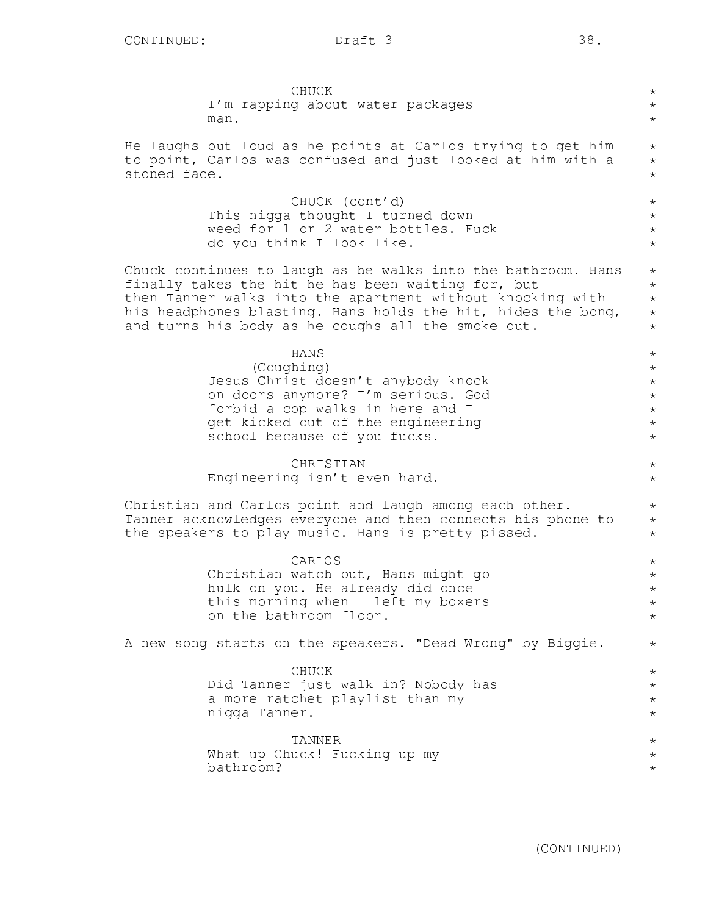| CHUCK                                                        | $^\star$   |
|--------------------------------------------------------------|------------|
| I'm rapping about water packages                             | $\star$    |
| man.                                                         | $\star$    |
| He laughs out loud as he points at Carlos trying to get him  | $\star$    |
| to point, Carlos was confused and just looked at him with a  | $\star$    |
| stoned face.                                                 | $\star$    |
| CHUCK (cont'd)                                               | $\star$    |
| This nigga thought I turned down                             | $\star$    |
| weed for 1 or 2 water bottles. Fuck                          | $\star$    |
| do you think I look like.                                    | $\star$    |
| Chuck continues to laugh as he walks into the bathroom. Hans | $\star$    |
| finally takes the hit he has been waiting for, but           | $\star$    |
| then Tanner walks into the apartment without knocking with   | $\star$    |
| his headphones blasting. Hans holds the hit, hides the bong, | $\star$    |
| and turns his body as he coughs all the smoke out.           | $\star$    |
| <b>HANS</b>                                                  | $\star$    |
| (Coughing)                                                   | $\star$    |
| Jesus Christ doesn't anybody knock                           | $\star$    |
| on doors anymore? I'm serious. God                           | $\star$    |
| forbid a cop walks in here and I                             | $\star$    |
| get kicked out of the engineering                            | $\star$    |
| school because of you fucks.                                 | $\star$    |
| CHRISTIAN                                                    | $\star$    |
| Engineering isn't even hard.                                 | $\star$    |
| Christian and Carlos point and laugh among each other.       | $\star$    |
| Tanner acknowledges everyone and then connects his phone to  | $\star$    |
| the speakers to play music. Hans is pretty pissed.           | $\star$    |
| CARLOS                                                       | $^\star$   |
| Christian watch out, Hans might go                           | $^{\star}$ |
| hulk on you. He already did once                             | $\star$    |
| this morning when I left my boxers                           | $\star$    |
| on the bathroom floor.                                       | $\star$    |
| A new song starts on the speakers. "Dead Wrong" by Biggie.   | $\star$    |
| CHUCK                                                        | $\star$    |
| Did Tanner just walk in? Nobody has                          | $\star$    |
| a more ratchet playlist than my                              | $^{\star}$ |
| nigga Tanner.                                                | $^\star$   |
| TANNER                                                       | $^\star$   |
| What up Chuck! Fucking up my                                 | $^{\star}$ |
| bathroom?                                                    | $^\star$   |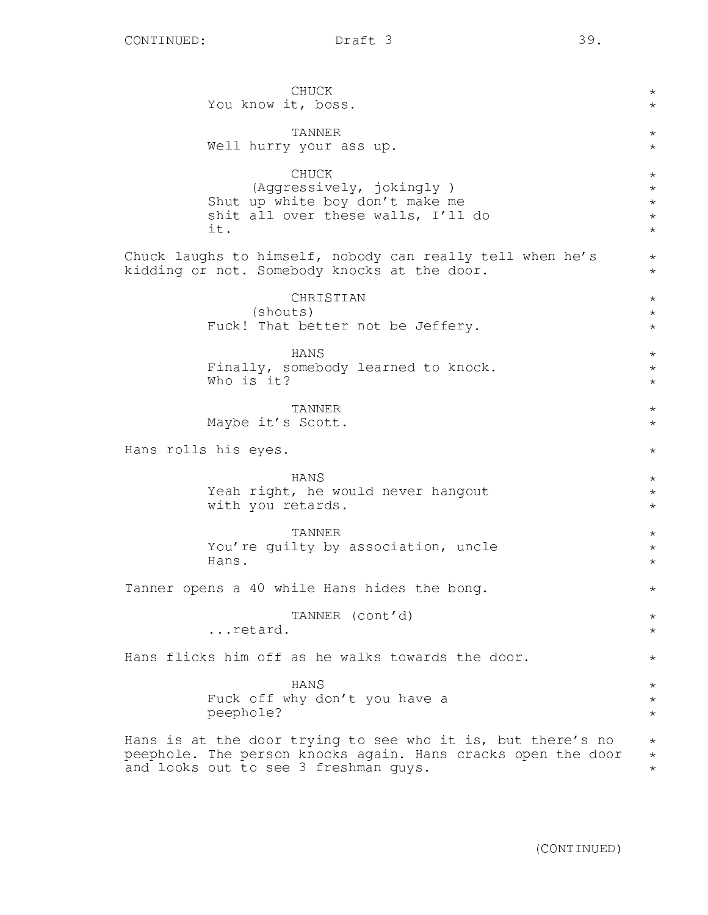CHUCK You know it, boss. TANNER Well hurry your ass up. CHUCK (Aggressively, jokingly ) Shut up white boy don't make me shit all over these walls, I'll do it. Chuck laughs to himself, nobody can really tell when he's kidding or not. Somebody knocks at the door. CHRISTIAN (shouts) Fuck! That better not be Jeffery. HANS Finally, somebody learned to knock. Who is it? TANNER Maybe it's Scott. Hans rolls his eyes. HANS Yeah right, he would never hangout with you retards. TANNER You're guilty by association, uncle Hans. Tanner opens a 40 while Hans hides the bong. TANNER (cont'd) ...retard. Hans flicks him off as he walks towards the door. HANS Fuck off why don't you have a peephole? Hans is at the door trying to see who it is, but there's no peephole. The person knocks again. Hans cracks open the door and looks out to see 3 freshman guys. \*  $\star$ \* \* \* \* \* \* \* \*  $\star$ \* \* \* \* \* \* \* \* \*  $\star$ \*  $\star$ \* \* \* \* \* \* \* \* \* \* \* \* \*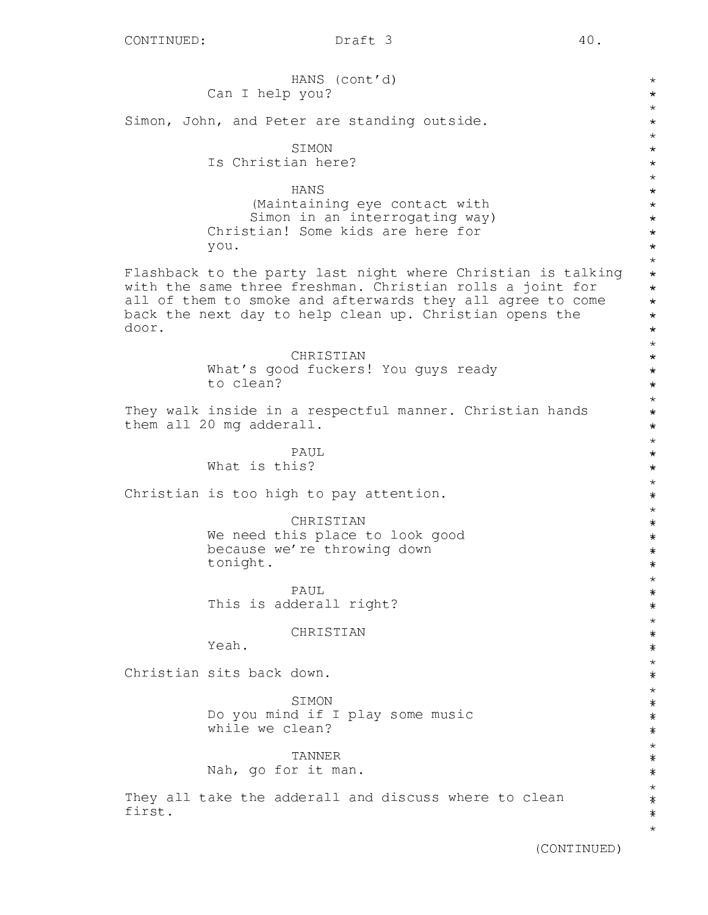HANS (cont'd) Can I help you? Simon, John, and Peter are standing outside. SIMON Is Christian here? HANS (Maintaining eye contact with Simon in an interrogating way) Christian! Some kids are here for you. Flashback to the party last night where Christian is talking with the same three freshman. Christian rolls a joint for all of them to smoke and afterwards they all agree to come back the next day to help clean up. Christian opens the door. CHRISTIAN What's good fuckers! You guys ready to clean? They walk inside in a respectful manner. Christian hands them all 20 mg adderall. PAUL What is this? Christian is too high to pay attention. CHRISTIAN We need this place to look good because we're throwing down tonight. PAUL This is adderall right? CHRISTIAN Yeah. Christian sits back down. SIMON Do you mind if I play some music while we clean? TANNER Nah, go for it man. They all take the adderall and discuss where to clean first.  $\star$ \* \* \* \* \* \* \* \* \* \* \* \* \* \* \* \* \* \* \* \* \* \* \* \* \* \* \* \* \* \* \* \* \* \* \* \* \* \* \* \* \* \* \* \* \* \* \* \* \* \* \* \* \* \* \* \* \* \* \* \* \* \* \* \* \* \* \* \* \* \* \* \* \* \* \* \* \*\*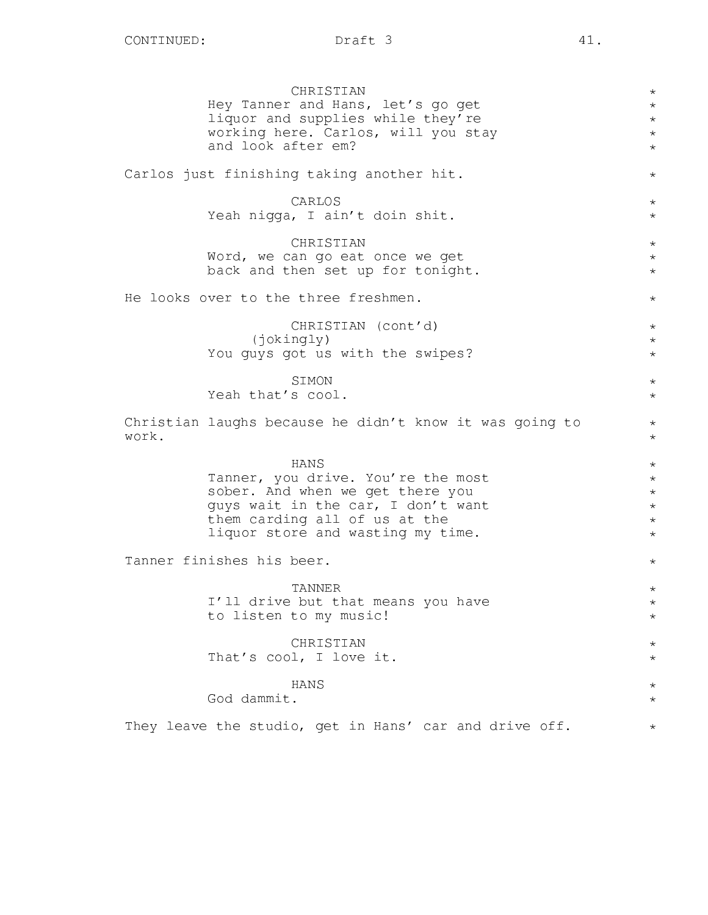CHRISTIAN Hey Tanner and Hans, let's go get liquor and supplies while they're working here. Carlos, will you stay and look after em? Carlos just finishing taking another hit. CARLOS Yeah nigga, I ain't doin shit. CHRISTIAN Word, we can go eat once we get back and then set up for tonight. He looks over to the three freshmen. CHRISTIAN (cont'd) (jokingly) You guys got us with the swipes? SIMON Yeah that's cool. Christian laughs because he didn't know it was going to work. HANS Tanner, you drive. You're the most sober. And when we get there you guys wait in the car, I don't want them carding all of us at the liquor store and wasting my time. Tanner finishes his beer. TANNER I'll drive but that means you have to listen to my music! CHRISTIAN That's cool, I love it. HANS God dammit. They leave the studio, get in Hans' car and drive off. \*  $\star$ \* \*  $\star$ \* \* \* \* \*  $\star$ \* \* \*  $\star$ \* \* \* \* \* \* \* \* \* \* \* \* \* \* \* \* \* \* \*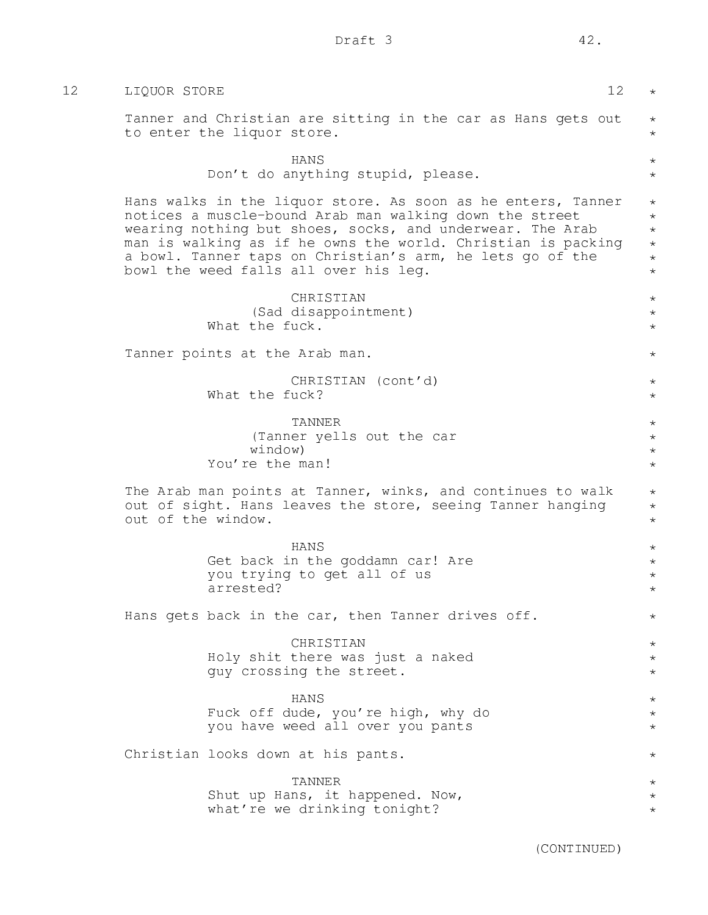| 12 | 12<br>LIQUOR STORE                                                                                                                                                                                                                                                                                                                                         | $\star$                                                        |
|----|------------------------------------------------------------------------------------------------------------------------------------------------------------------------------------------------------------------------------------------------------------------------------------------------------------------------------------------------------------|----------------------------------------------------------------|
|    | Tanner and Christian are sitting in the car as Hans gets out<br>to enter the liquor store.                                                                                                                                                                                                                                                                 | $\star$<br>$\star$                                             |
|    | HANS<br>Don't do anything stupid, please.                                                                                                                                                                                                                                                                                                                  | $^{\star}$<br>$\star$                                          |
|    | Hans walks in the liquor store. As soon as he enters, Tanner<br>notices a muscle-bound Arab man walking down the street<br>wearing nothing but shoes, socks, and underwear. The Arab<br>man is walking as if he owns the world. Christian is packing<br>a bowl. Tanner taps on Christian's arm, he lets go of the<br>bowl the weed falls all over his leg. | $\star$<br>$\star$<br>$\star$<br>$\star$<br>$\star$<br>$\star$ |
|    | CHRISTIAN<br>(Sad disappointment)<br>What the fuck.                                                                                                                                                                                                                                                                                                        | $\star$<br>$\star$<br>$\star$                                  |
|    | Tanner points at the Arab man.                                                                                                                                                                                                                                                                                                                             | $\star$                                                        |
|    | CHRISTIAN (cont'd)<br>What the fuck?                                                                                                                                                                                                                                                                                                                       | $\star$<br>$\star$                                             |
|    | TANNER<br>(Tanner yells out the car<br>window)<br>You're the man!                                                                                                                                                                                                                                                                                          | $\star$<br>$\star$<br>$\star$<br>$\star$                       |
|    | The Arab man points at Tanner, winks, and continues to walk<br>out of sight. Hans leaves the store, seeing Tanner hanging<br>out of the window.                                                                                                                                                                                                            | $\star$<br>$\star$<br>$\star$                                  |
|    | HANS<br>Get back in the goddamn car! Are<br>you trying to get all of us<br>arrested?                                                                                                                                                                                                                                                                       | $\star$<br>$\star$<br>$\star$<br>$^\star$                      |
|    | Hans gets back in the car, then Tanner drives off.                                                                                                                                                                                                                                                                                                         | $^\star$                                                       |
|    | CHRISTIAN<br>Holy shit there was just a naked<br>guy crossing the street.                                                                                                                                                                                                                                                                                  | $\star$<br>$\star$<br>$\star$                                  |
|    | HANS<br>Fuck off dude, you're high, why do<br>you have weed all over you pants                                                                                                                                                                                                                                                                             | $\star$<br>$\star$<br>$\star$                                  |
|    | Christian looks down at his pants.                                                                                                                                                                                                                                                                                                                         | $\star$                                                        |
|    | TANNER<br>Shut up Hans, it happened. Now,<br>what're we drinking tonight?                                                                                                                                                                                                                                                                                  | $\star$<br>$\star$<br>$^\star$                                 |
|    |                                                                                                                                                                                                                                                                                                                                                            |                                                                |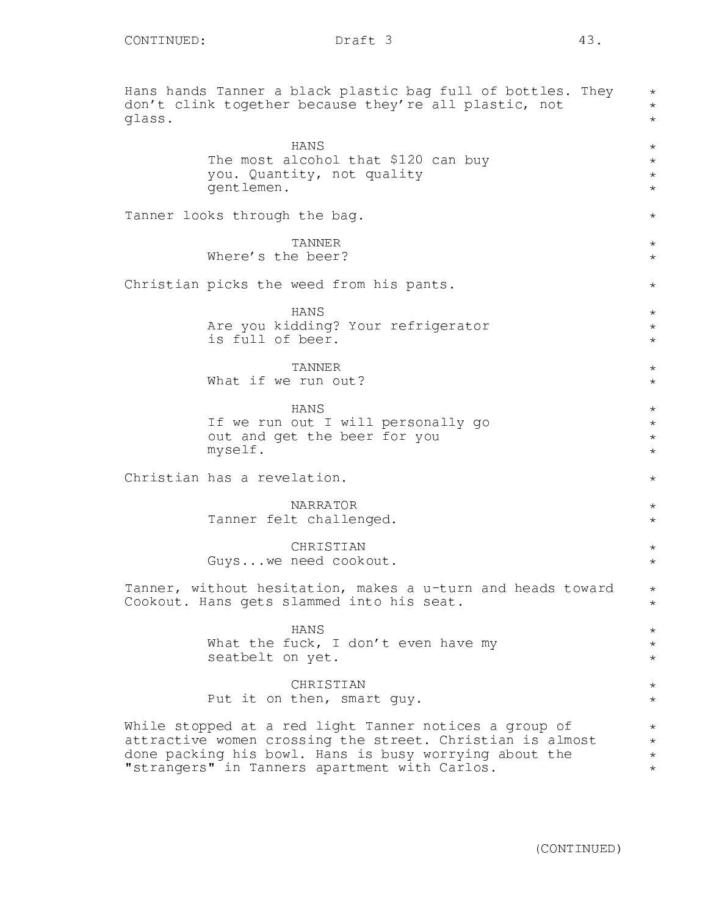Hans hands Tanner a black plastic bag full of bottles. They don't clink together because they're all plastic, not glass. HANS The most alcohol that \$120 can buy you. Quantity, not quality gentlemen. Tanner looks through the bag. TANNER Where's the beer? Christian picks the weed from his pants. HANS Are you kidding? Your refrigerator is full of beer. TANNER What if we run out? HANS If we run out I will personally go out and get the beer for you myself. Christian has a revelation. NARRATOR Tanner felt challenged. **CHRISTIAN** Guys...we need cookout. Tanner, without hesitation, makes a u-turn and heads toward Cookout. Hans gets slammed into his seat. HANS What the fuck, I don't even have my seatbelt on yet. CHRISTIAN Put it on then, smart guy. While stopped at a red light Tanner notices a group of attractive women crossing the street. Christian is almost done packing his bowl. Hans is busy worrying about the "strangers" in Tanners apartment with Carlos. \* \* \* \* \* \* \* \*  $\star$ \* \* \* \* \*  $\star$ \* \* \* \* \*  $\star$  $\star$ \*  $\star$ \* \* \* \* \* \* \* \* \* \* \* \*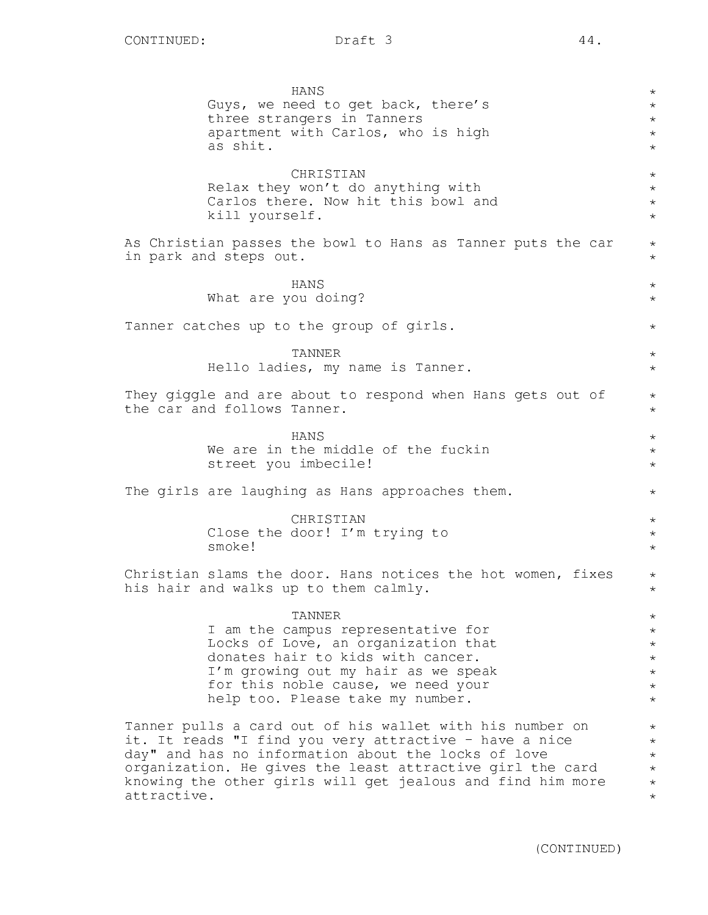|             | HANS<br>Guys, we need to get back, there's<br>three strangers in Tanners<br>apartment with Carlos, who is high<br>as shit.                                                                                                                                                                           | $^\star$<br>$\star$<br>$\star$<br>$\star$<br>$\star$                            |
|-------------|------------------------------------------------------------------------------------------------------------------------------------------------------------------------------------------------------------------------------------------------------------------------------------------------------|---------------------------------------------------------------------------------|
|             | CHRISTIAN<br>Relax they won't do anything with<br>Carlos there. Now hit this bowl and<br>kill yourself.                                                                                                                                                                                              | $\star$<br>$\star$<br>$\star$<br>$\star$                                        |
|             | As Christian passes the bowl to Hans as Tanner puts the car<br>in park and steps out.                                                                                                                                                                                                                | $\star$<br>$\star$                                                              |
|             | HANS<br>What are you doing?                                                                                                                                                                                                                                                                          | $\star$<br>$\star$                                                              |
|             | Tanner catches up to the group of girls.                                                                                                                                                                                                                                                             | $\star$                                                                         |
|             | TANNER<br>Hello ladies, my name is Tanner.                                                                                                                                                                                                                                                           | $\star$<br>$\star$                                                              |
|             | They giggle and are about to respond when Hans gets out of<br>the car and follows Tanner.                                                                                                                                                                                                            | $\star$<br>$\star$                                                              |
|             | HANS<br>We are in the middle of the fuckin<br>street you imbecile!                                                                                                                                                                                                                                   | $\star$<br>$\star$<br>$\star$                                                   |
|             | The girls are laughing as Hans approaches them.                                                                                                                                                                                                                                                      | $\star$                                                                         |
|             | CHRISTIAN<br>Close the door! I'm trying to<br>smoke!                                                                                                                                                                                                                                                 | $\star$<br>$\star$<br>$\star$                                                   |
|             | Christian slams the door. Hans notices the hot women, fixes<br>his hair and walks up to them calmly.                                                                                                                                                                                                 | $\star$<br>$^\star$                                                             |
|             | TANNER<br>I am the campus representative for<br>Locks of Love, an organization that<br>donates hair to kids with cancer.<br>I'm growing out my hair as we speak<br>for this noble cause, we need your<br>help too. Please take my number.                                                            | $^{\star}$<br>$^\star$<br>$^\star$<br>$^\star$<br>$\star$<br>$\star$<br>$\star$ |
| attractive. | Tanner pulls a card out of his wallet with his number on<br>it. It reads "I find you very attractive - have a nice<br>day" and has no information about the locks of love<br>organization. He gives the least attractive girl the card<br>knowing the other girls will get jealous and find him more | $\star$<br>$^\star$<br>$\star$<br>$^{\star}$<br>$\star$<br>$^{\star}$           |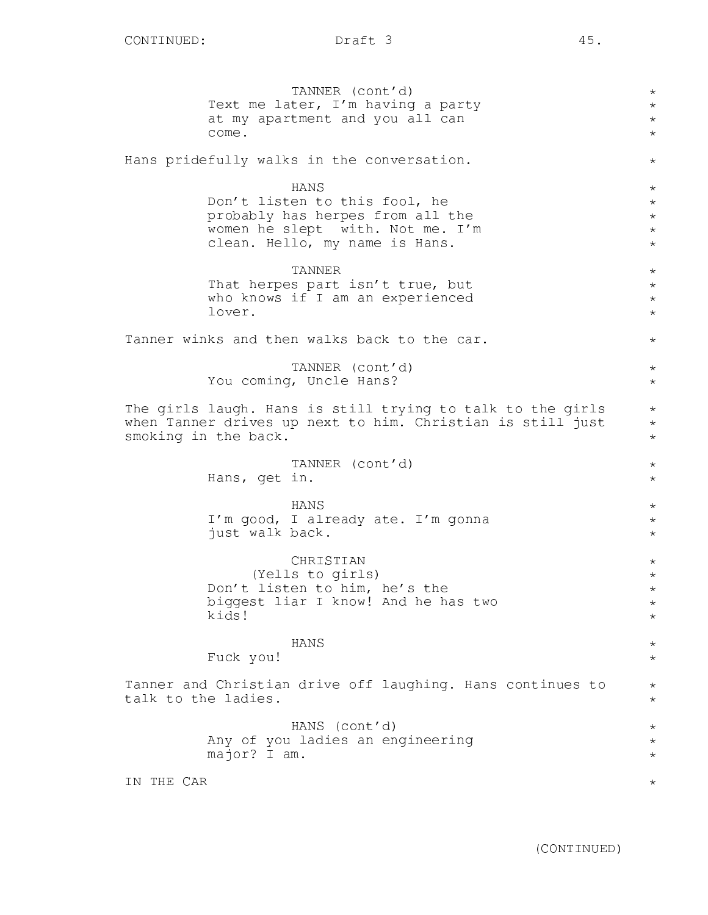TANNER (cont'd) Text me later, I'm having a party at my apartment and you all can come. Hans pridefully walks in the conversation. HANS Don't listen to this fool, he probably has herpes from all the women he slept with. Not me. I'm clean. Hello, my name is Hans. TANNER That herpes part isn't true, but who knows if I am an experienced lover. Tanner winks and then walks back to the car. TANNER (cont'd) You coming, Uncle Hans? The girls laugh. Hans is still trying to talk to the girls when Tanner drives up next to him. Christian is still just smoking in the back. TANNER (cont'd) Hans, get in. HANS I'm good, I already ate. I'm gonna just walk back. CHRISTIAN (Yells to girls) Don't listen to him, he's the biggest liar I know! And he has two kids! HANS Fuck you! Tanner and Christian drive off laughing. Hans continues to talk to the ladies. HANS (cont'd) Any of you ladies an engineering major? I am. IN THE CAR \* \* \* \* \* \* \* \* \* \* \* \* \* \* \* \* \* \* \* \* \*  $\star$ \* \* \* \* \* \* \* \* \* \* \* \* \* \* \* \*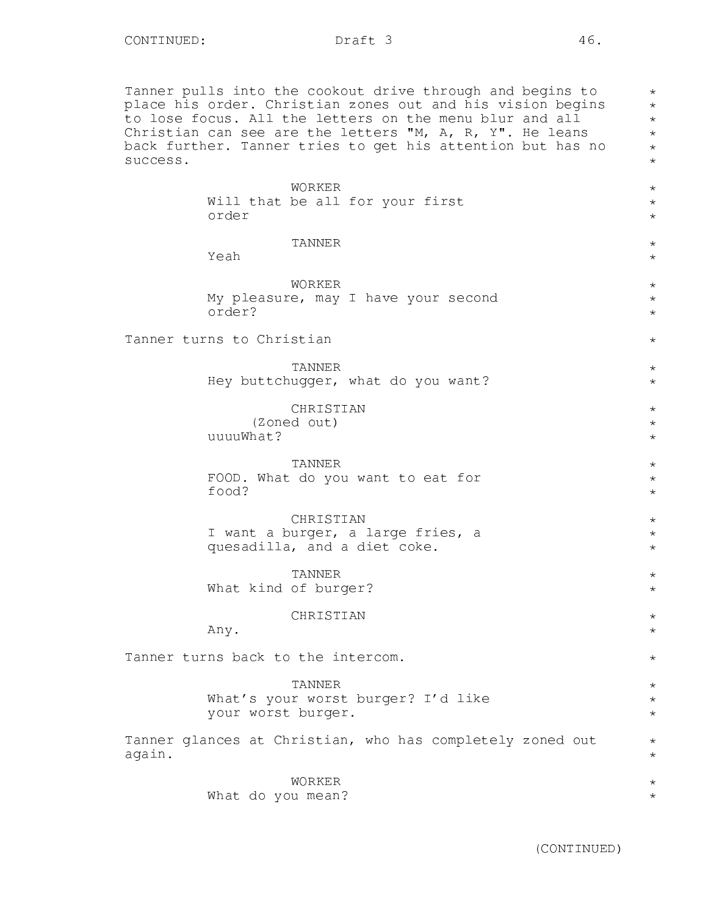Tanner pulls into the cookout drive through and begins to place his order. Christian zones out and his vision begins to lose focus. All the letters on the menu blur and all Christian can see are the letters "M, A, R, Y". He leans back further. Tanner tries to get his attention but has no success.

|        | WORKER                                                                         | $\star$                             |
|--------|--------------------------------------------------------------------------------|-------------------------------------|
|        | Will that be all for your first<br>order                                       | $\star$<br>$\star$                  |
|        | TANNER<br>Yeah                                                                 | $\star$<br>$\star$                  |
|        | WORKER<br>My pleasure, may I have your second<br>order?                        | $\star$<br>$\star$<br>$\star$       |
|        | Tanner turns to Christian                                                      | $\star$                             |
|        | TANNER<br>Hey buttchugger, what do you want?                                   | $\star$<br>$\star$                  |
|        | CHRISTIAN<br>(Zoned out)<br>uuuuWhat?                                          | $^\star$<br>$^{\star}$<br>$\star$   |
|        | TANNER<br>FOOD. What do you want to eat for<br>food?                           | $^\star$<br>$^{\star}$<br>$\star$   |
|        | CHRISTIAN<br>I want a burger, a large fries, a<br>quesadilla, and a diet coke. | $^{\star}$<br>$^{\star}$<br>$\star$ |
|        | <b>TANNER</b><br>What kind of burger?                                          | $\star$<br>$\star$                  |
|        | CHRISTIAN<br>Any.                                                              | $\star$<br>$\star$                  |
|        | Tanner turns back to the intercom.                                             | $\star$                             |
|        | TANNER<br>What's your worst burger? I'd like<br>your worst burger.             | $^\star$<br>$\star$<br>$\star$      |
| again. | Tanner glances at Christian, who has completely zoned out                      | $^\star$<br>$\star$                 |
|        | WORKER<br>What do you mean?                                                    | $^\star$<br>$^\star$                |

\* \* \* \* \* \*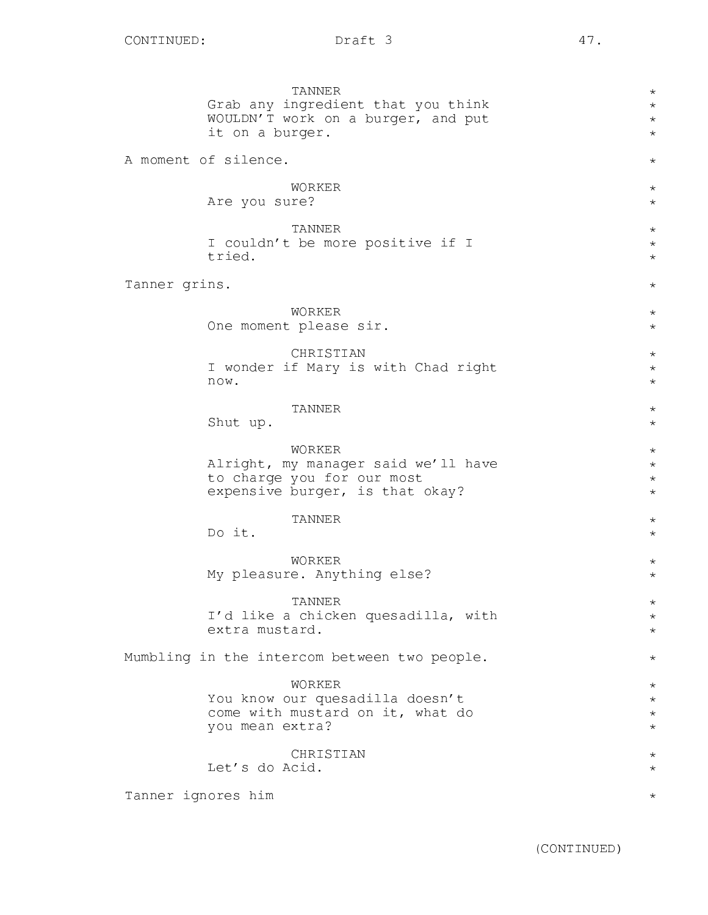TANNER Grab any ingredient that you think WOULDN'T work on a burger, and put it on a burger. A moment of silence. WORKER Are you sure? TANNER I couldn't be more positive if I tried. Tanner grins. WORKER One moment please sir. CHRISTIAN I wonder if Mary is with Chad right now. TANNER Shut up. WORKER Alright, my manager said we'll have to charge you for our most expensive burger, is that okay? TANNER Do it. WORKER My pleasure. Anything else? TANNER I'd like a chicken quesadilla, with extra mustard. Mumbling in the intercom between two people. WORKER You know our quesadilla doesn't come with mustard on it, what do you mean extra? **CHRISTIAN** Let's do Acid. Tanner ignores him \*  $\star$ \* \* \* \* \* \* \* \* \* \* \* \* \* \* \* \* \* \* \* \* \* \* \* \* \* \* \* \* \* \* \* \* \* \* \*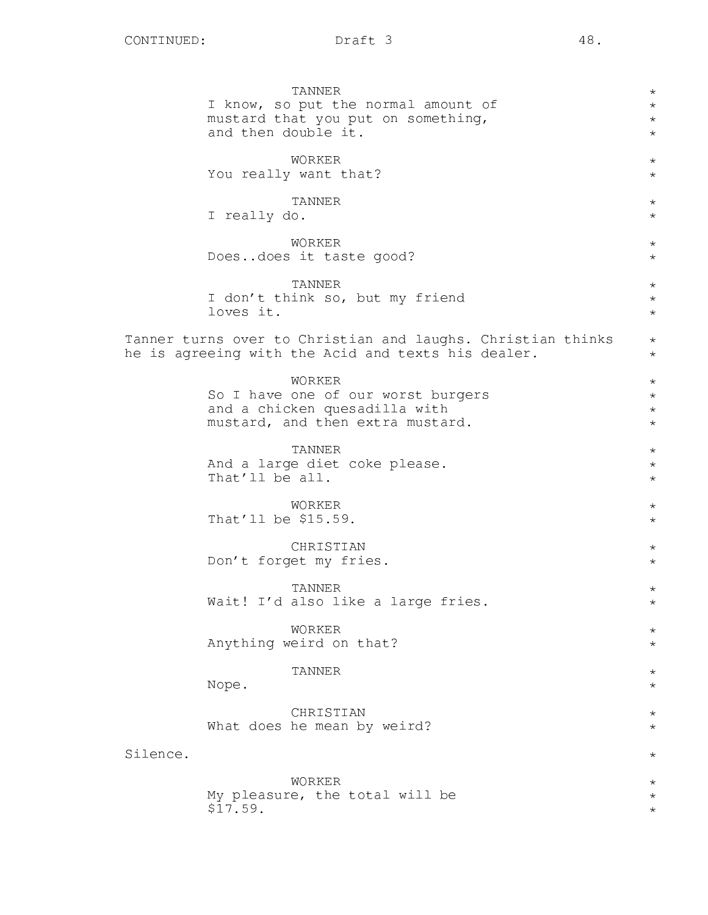|          | TANNER<br>I know, so put the normal amount of<br>mustard that you put on something,<br>and then double it.        | $^\star$<br>$\star$<br>$^\star$<br>$\star$ |
|----------|-------------------------------------------------------------------------------------------------------------------|--------------------------------------------|
|          | WORKER<br>You really want that?                                                                                   | $\star$<br>$\star$                         |
|          | TANNER<br>I really do.                                                                                            | $^\star$<br>$\star$                        |
|          | WORKER<br>Doesdoes it taste good?                                                                                 | $\star$<br>$\star$                         |
|          | <b>TANNER</b><br>I don't think so, but my friend<br>loves it.                                                     | $^\star$<br>$\star$<br>$\star$             |
|          | Tanner turns over to Christian and laughs. Christian thinks<br>he is agreeing with the Acid and texts his dealer. | $^\star$<br>$^\star$                       |
|          | WORKER<br>So I have one of our worst burgers<br>and a chicken quesadilla with<br>mustard, and then extra mustard. | $^\star$<br>$\star$<br>$\star$<br>$^\star$ |
|          | <b>TANNER</b><br>And a large diet coke please.<br>That'll be all.                                                 | $\star$<br>$^\star$<br>$^\star$            |
|          | WORKER<br>That'll be \$15.59.                                                                                     | $^\star$<br>$^\star$                       |
|          | CHRISTIAN<br>Don't forget my fries.                                                                               | $^\star$<br>$\star$                        |
|          | TANNER<br>Wait! I'd also like a large fries.                                                                      | $^\star$<br>$\star$                        |
|          | WORKER<br>Anything weird on that?                                                                                 | $\star$<br>$\star$                         |
|          | <b>TANNER</b><br>Nope.                                                                                            | $\star$<br>$\star$                         |
|          | CHRISTIAN<br>What does he mean by weird?                                                                          | $\star$<br>$\star$                         |
| Silence. |                                                                                                                   | $\star$                                    |
|          | WORKER<br>My pleasure, the total will be<br>\$17.59.                                                              | $\star$<br>$\star$<br>$\star$              |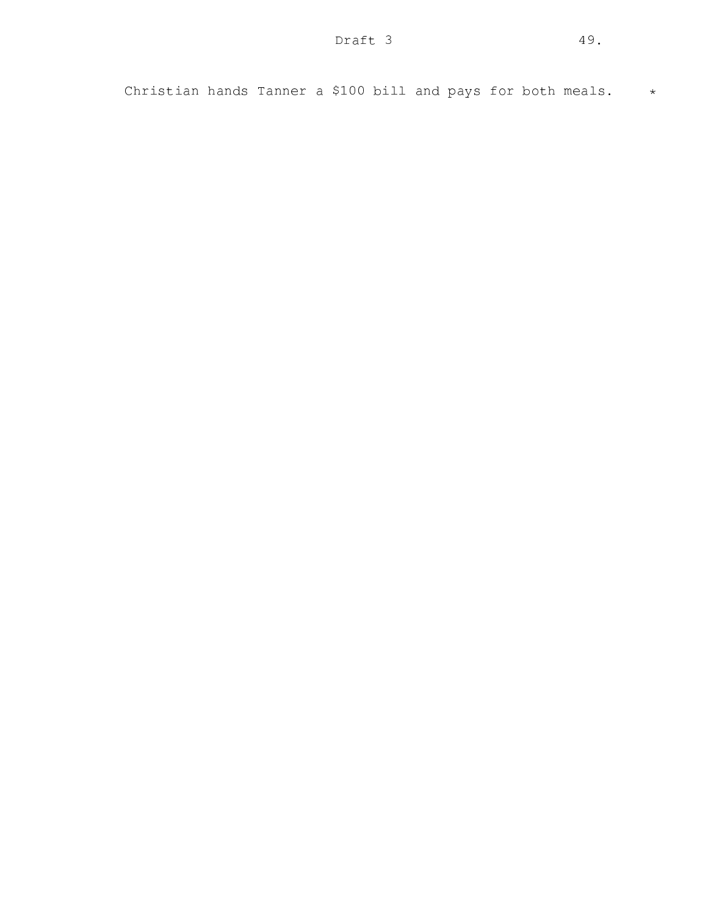Christian hands Tanner a \$100 bill and pays for both meals.  $*$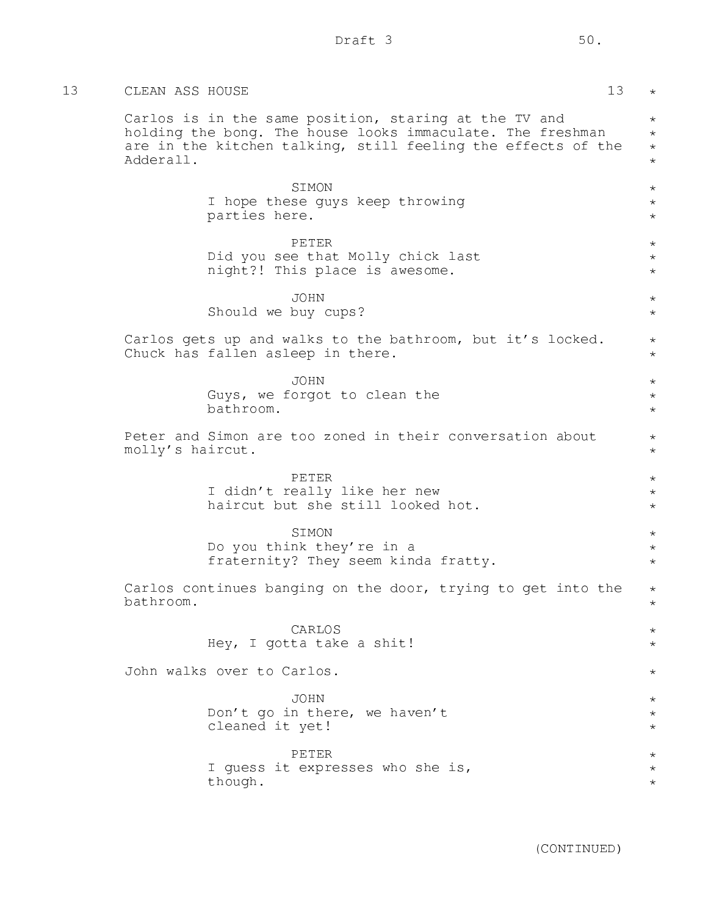| 13 | CLEAN ASS HOUSE                                                                                                                                                                                  | 13<br>$\star$                            |
|----|--------------------------------------------------------------------------------------------------------------------------------------------------------------------------------------------------|------------------------------------------|
|    | Carlos is in the same position, staring at the TV and<br>holding the bong. The house looks immaculate. The freshman<br>are in the kitchen talking, still feeling the effects of the<br>Adderall. | $\star$<br>$\star$<br>$\star$<br>$\star$ |
|    | SIMON<br>I hope these guys keep throwing<br>parties here.                                                                                                                                        | $\star$<br>$\star$<br>$\star$            |
|    | PETER<br>Did you see that Molly chick last<br>night?! This place is awesome.                                                                                                                     | $\star$<br>$\star$<br>$\star$            |
|    | <b>JOHN</b><br>Should we buy cups?                                                                                                                                                               | $\star$<br>$\star$                       |
|    | Carlos gets up and walks to the bathroom, but it's locked.<br>Chuck has fallen asleep in there.                                                                                                  | $\star$<br>$\star$                       |
|    | JOHN<br>Guys, we forgot to clean the<br>bathroom.                                                                                                                                                | $\star$<br>$\star$<br>$\star$            |
|    | Peter and Simon are too zoned in their conversation about<br>molly's haircut.                                                                                                                    | $\star$<br>$\star$                       |
|    | PETER<br>I didn't really like her new<br>haircut but she still looked hot.                                                                                                                       | $\star$<br>$\star$<br>$\star$            |
|    | SIMON<br>Do you think they're in a<br>fraternity? They seem kinda fratty.                                                                                                                        | $\star$<br>$\star$<br>$^{\star}$         |
|    | Carlos continues banging on the door, trying to get into the<br>bathroom.                                                                                                                        | $^{\star}$<br>$\star$                    |
|    | CARLOS<br>Hey, I gotta take a shit!                                                                                                                                                              | $^\star$<br>$\star$                      |
|    | John walks over to Carlos.                                                                                                                                                                       | $^{\star}$                               |
|    | <b>JOHN</b><br>Don't go in there, we haven't<br>cleaned it yet!                                                                                                                                  | $^{\star}$<br>$^\star$<br>$^{\star}$     |
|    | PETER<br>I guess it expresses who she is,<br>though.                                                                                                                                             | $^\star$<br>$^\star$<br>$^\star$         |
|    |                                                                                                                                                                                                  |                                          |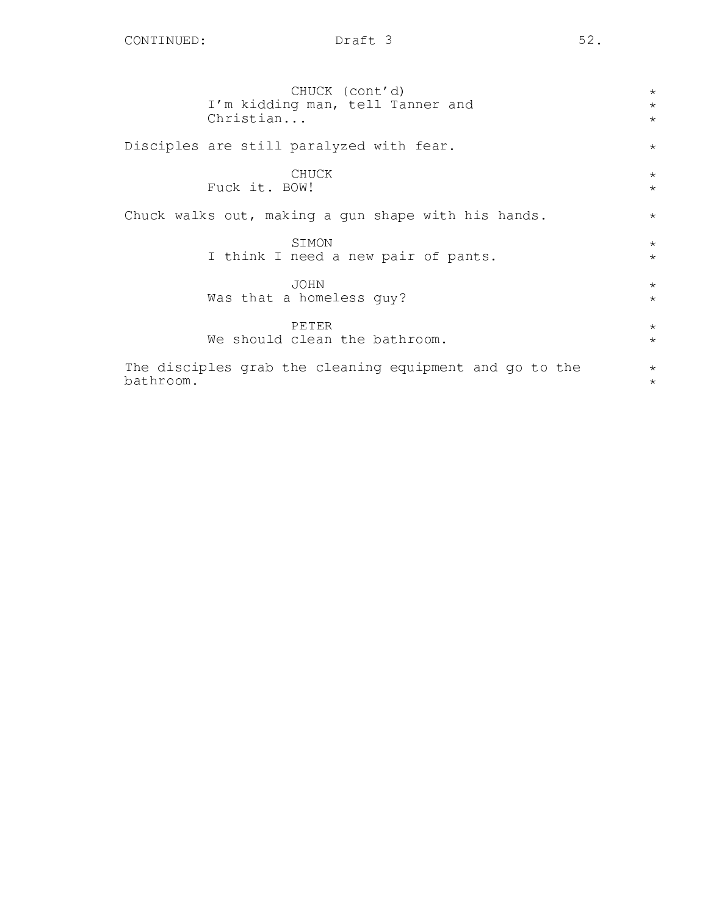| CHUCK (cont'd)                                          | $\star$ |
|---------------------------------------------------------|---------|
| I'm kidding man, tell Tanner and                        | $\star$ |
| Christian                                               | $\star$ |
| Disciples are still paralyzed with fear.                | $\star$ |
| CHUCK                                                   | $\star$ |
| Fuck it. BOW!                                           | $\star$ |
| Chuck walks out, making a gun shape with his hands.     | $\star$ |
| SIMON                                                   | $\star$ |
| I think I need a new pair of pants.                     | $\star$ |
| <b>JOHN</b>                                             | $\star$ |
| Was that a homeless guy?                                | $\star$ |
| PETER                                                   | $\star$ |
| We should clean the bathroom.                           | $\star$ |
| The disciples grab the cleaning equipment and go to the | $\star$ |
| bathroom.                                               | $\star$ |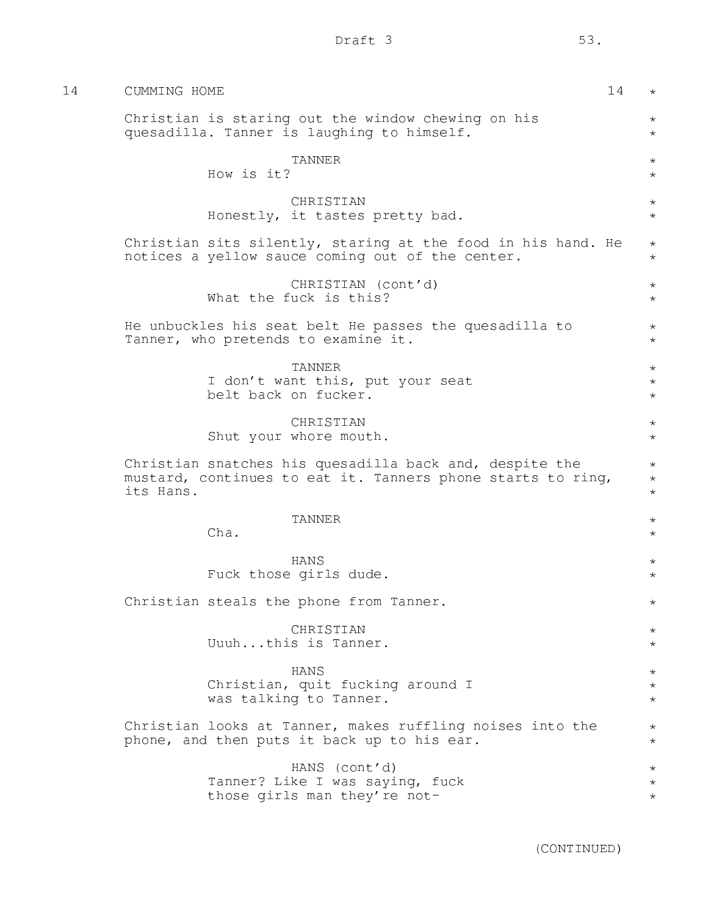| I |  |
|---|--|

| 14 | CUMMING HOME<br>14                                                                                                                  | $\star$                       |
|----|-------------------------------------------------------------------------------------------------------------------------------------|-------------------------------|
|    | Christian is staring out the window chewing on his<br>quesadilla. Tanner is laughing to himself.                                    | $\star$<br>$\star$            |
|    | <b>TANNER</b><br>How is it?                                                                                                         | $\star$<br>$\star$            |
|    | CHRISTIAN<br>Honestly, it tastes pretty bad.                                                                                        | $\star$<br>$\star$            |
|    | Christian sits silently, staring at the food in his hand. He<br>notices a yellow sauce coming out of the center.                    | $\star$<br>$\star$            |
|    | CHRISTIAN (cont'd)<br>What the fuck is this?                                                                                        | $\star$<br>$\star$            |
|    | He unbuckles his seat belt He passes the quesadilla to<br>Tanner, who pretends to examine it.                                       | $\star$<br>$\star$            |
|    | <b>TANNER</b><br>I don't want this, put your seat<br>belt back on fucker.                                                           | $\star$<br>$\star$<br>$\star$ |
|    | CHRISTIAN<br>Shut your whore mouth.                                                                                                 | $\star$<br>$\star$            |
|    | Christian snatches his quesadilla back and, despite the<br>mustard, continues to eat it. Tanners phone starts to ring,<br>its Hans. | $\star$<br>$\star$<br>$\star$ |
|    | TANNER<br>Cha.                                                                                                                      | $\star$<br>$\star$            |
|    | HANS<br>Fuck those girls dude.                                                                                                      | $\star$<br>$\star$            |
|    | Christian steals the phone from Tanner.                                                                                             | $\star$                       |
|    | CHRISTIAN<br>Uuuhthis is Tanner.                                                                                                    | $\star$<br>$\star$            |
|    | HANS<br>Christian, quit fucking around I<br>was talking to Tanner.                                                                  | $\star$<br>$\star$<br>$\star$ |
|    | Christian looks at Tanner, makes ruffling noises into the<br>phone, and then puts it back up to his ear.                            | $\star$<br>$\star$            |
|    | HANS (cont'd)<br>Tanner? Like I was saying, fuck<br>those girls man they're not-                                                    | $\star$<br>$\star$<br>$\star$ |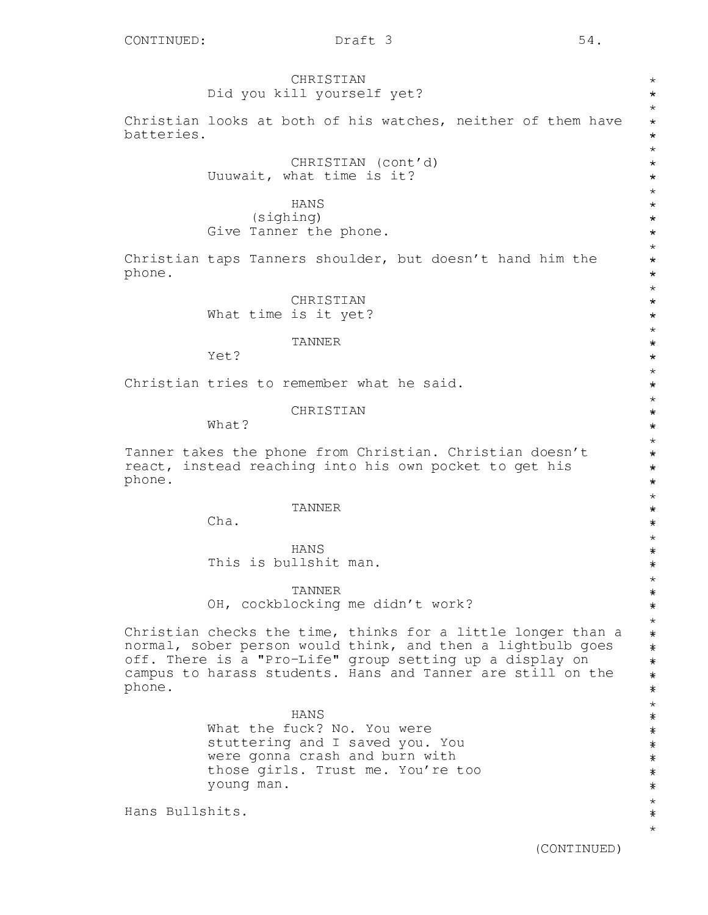CHRISTIAN Did you kill yourself yet? Christian looks at both of his watches, neither of them have batteries. CHRISTIAN (cont'd) Uuuwait, what time is it? HANS (sighing) Give Tanner the phone. Christian taps Tanners shoulder, but doesn't hand him the phone. CHRISTIAN What time is it yet? TANNER Yet? Christian tries to remember what he said. CHRISTIAN What? Tanner takes the phone from Christian. Christian doesn't react, instead reaching into his own pocket to get his phone. TANNER Cha. HANS This is bullshit man. TANNER OH, cockblocking me didn't work? Christian checks the time, thinks for a little longer than a \* \* \* \* \* \* \* \* \* \* \* \* \* \* \* \* \* \* \* \* \* \* \* \* \* \* \* \* \* \* \* \* \* \* \* \* \* \* \* \* \* \* \* \* \* \* \* \* \* \* \* \* \* \* \* \* \* \* \* \*

normal, sober person would think, and then a lightbulb goes off. There is a "Pro-Life" group setting up a display on campus to harass students. Hans and Tanner are still on the phone.

> HANS What the fuck? No. You were stuttering and I saved you. You were gonna crash and burn with those girls. Trust me. You're too young man.

Hans Bullshits.

\* \* \* \* \* \* \* \* \* \* \* \* \* \* \* \* \* \* \* \*\*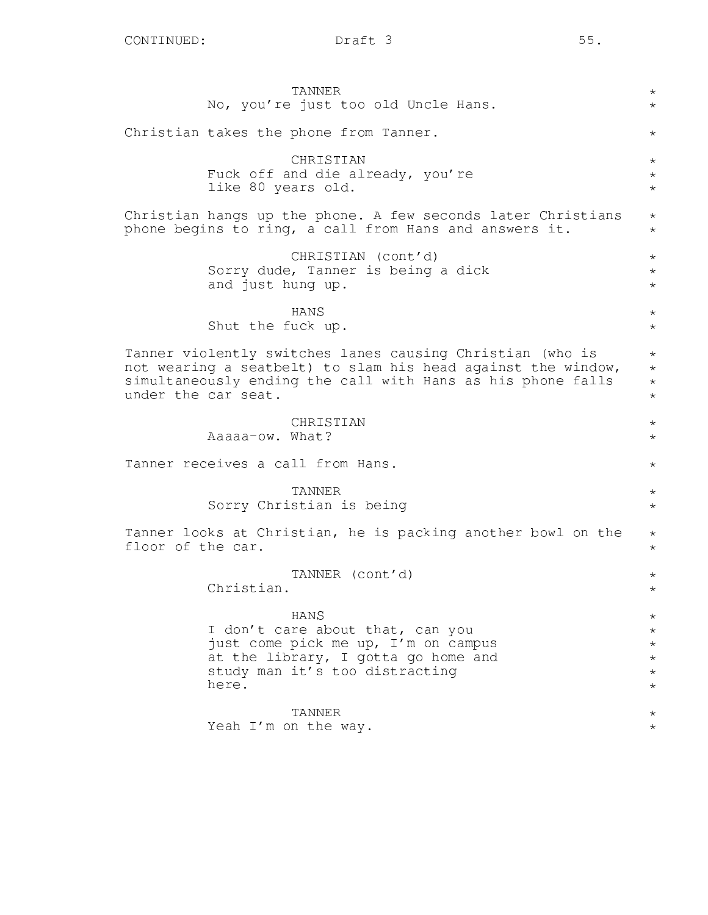|                     | TANNER<br>No, you're just too old Uncle Hans.                                                                                                                                            | $\star$<br>$\star$                                             |
|---------------------|------------------------------------------------------------------------------------------------------------------------------------------------------------------------------------------|----------------------------------------------------------------|
|                     | Christian takes the phone from Tanner.                                                                                                                                                   | $\star$                                                        |
|                     | CHRISTIAN<br>Fuck off and die already, you're<br>like 80 years old.                                                                                                                      | $\star$<br>$\star$<br>$\star$                                  |
|                     | Christian hangs up the phone. A few seconds later Christians<br>phone begins to ring, a call from Hans and answers it.                                                                   | $\star$<br>$\star$                                             |
|                     | CHRISTIAN (cont'd)<br>Sorry dude, Tanner is being a dick<br>and just hung up.                                                                                                            | $\star$<br>$\star$<br>$\star$                                  |
|                     | HANS<br>Shut the fuck up.                                                                                                                                                                | $\star$<br>$\star$                                             |
| under the car seat. | Tanner violently switches lanes causing Christian (who is<br>not wearing a seatbelt) to slam his head against the window,<br>simultaneously ending the call with Hans as his phone falls | $\star$<br>$\star$<br>$\star$<br>$\star$                       |
|                     | CHRISTIAN<br>Aaaaa-ow. What?                                                                                                                                                             | $\star$<br>$\star$                                             |
|                     | Tanner receives a call from Hans.                                                                                                                                                        | $\star$                                                        |
|                     | TANNER<br>Sorry Christian is being                                                                                                                                                       | $\star$<br>$\star$                                             |
| floor of the car.   | Tanner looks at Christian, he is packing another bowl on the                                                                                                                             | $\star$<br>$\star$                                             |
|                     | TANNER (cont'd)<br>Christian.                                                                                                                                                            | $^{\star}$<br>$\star$                                          |
|                     | HANS<br>I don't care about that, can you<br>just come pick me up, I'm on campus<br>at the library, I gotta go home and<br>study man it's too distracting<br>here.                        | $\star$<br>$\star$<br>$\star$<br>$\star$<br>$\star$<br>$\star$ |
|                     | TANNER<br>Yeah I'm on the way.                                                                                                                                                           | $\star$<br>$^\star$                                            |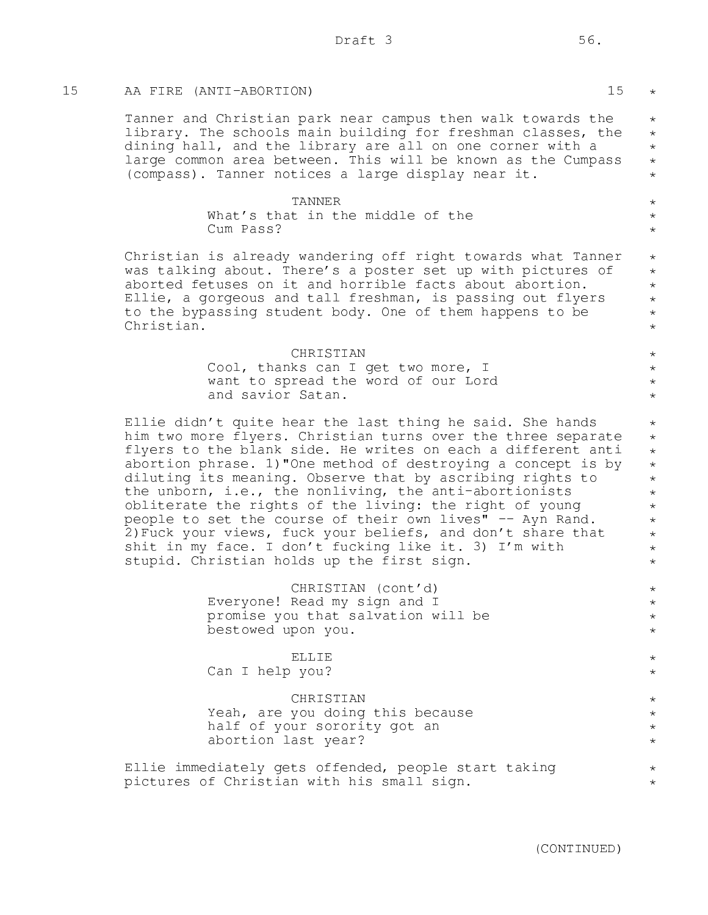# 15 AA FIRE (ANTI-ABORTION) 15

Tanner and Christian park near campus then walk towards the library. The schools main building for freshman classes, the dining hall, and the library are all on one corner with a large common area between. This will be known as the Cumpass (compass). Tanner notices a large display near it. \*

#### TANNER What's that in the middle of the Cum Pass?

Christian is already wandering off right towards what Tanner was talking about. There's a poster set up with pictures of aborted fetuses on it and horrible facts about abortion. Ellie, a gorgeous and tall freshman, is passing out flyers to the bypassing student body. One of them happens to be Christian.

#### CHRISTIAN

Cool, thanks can I get two more, I want to spread the word of our Lord and savior Satan.

Ellie didn't quite hear the last thing he said. She hands him two more flyers. Christian turns over the three separate flyers to the blank side. He writes on each a different anti abortion phrase. 1)"One method of destroying a concept is by diluting its meaning. Observe that by ascribing rights to the unborn, i.e., the nonliving, the anti-abortionists obliterate the rights of the living: the right of young people to set the course of their own lives" -- Ayn Rand. 2)Fuck your views, fuck your beliefs, and don't share that shit in my face. I don't fucking like it. 3) I'm with stupid. Christian holds up the first sign.

> CHRISTIAN (cont'd) Everyone! Read my sign and I promise you that salvation will be bestowed upon you.

ELLIE Can I help you?

#### CHRISTIAN

Yeah, are you doing this because half of your sorority got an abortion last year?

Ellie immediately gets offended, people start taking pictures of Christian with his small sign.

(CONTINUED)

\*

\* \* \* \*

 $\star$ \* \*

 $\star$ \* \* \* \* \*

\* \* \* \*

\* \* \* \* \* \* \* \* \* \* \*

\* \* \* \*

\* \*

\* \* \* \*

\* \*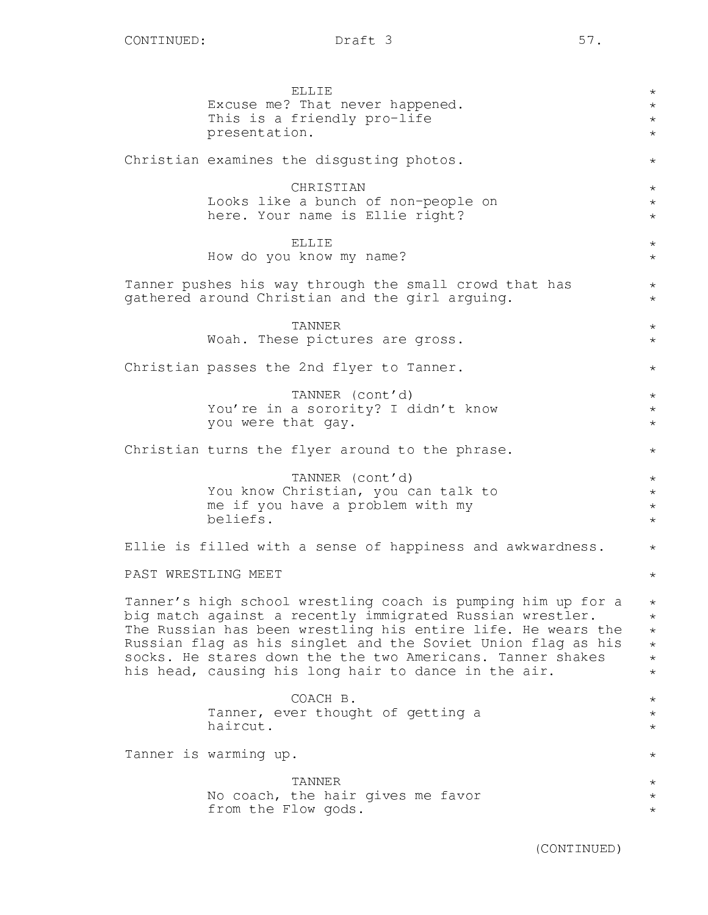| <b>ELLIE</b>                                                                                                                 | $\star$               |
|------------------------------------------------------------------------------------------------------------------------------|-----------------------|
| Excuse me? That never happened.                                                                                              | $\star$               |
| This is a friendly pro-life<br>presentation.                                                                                 | $\star$<br>$\star$    |
|                                                                                                                              |                       |
| Christian examines the disgusting photos.                                                                                    | $\star$               |
| CHRISTIAN                                                                                                                    | $\star$               |
| Looks like a bunch of non-people on                                                                                          | $\star$               |
| here. Your name is Ellie right?                                                                                              | $\star$               |
|                                                                                                                              |                       |
| ELLIE<br>How do you know my name?                                                                                            | $\star$<br>$\star$    |
|                                                                                                                              |                       |
| Tanner pushes his way through the small crowd that has                                                                       | $\star$               |
| gathered around Christian and the girl arguing.                                                                              | $\star$               |
| TANNER                                                                                                                       | $\star$               |
| Woah. These pictures are gross.                                                                                              | $\star$               |
|                                                                                                                              |                       |
| Christian passes the 2nd flyer to Tanner.                                                                                    | $\star$               |
| TANNER (cont'd)                                                                                                              | $\star$               |
| You're in a sorority? I didn't know                                                                                          | $\star$               |
| you were that gay.                                                                                                           | $\star$               |
|                                                                                                                              |                       |
| Christian turns the flyer around to the phrase.                                                                              | $\star$               |
| TANNER (cont'd)                                                                                                              | $\star$               |
| You know Christian, you can talk to                                                                                          | $\star$               |
| me if you have a problem with my                                                                                             | $\star$               |
| beliefs.                                                                                                                     | $\star$               |
| Ellie is filled with a sense of happiness and awkwardness.                                                                   | $\star$               |
| PAST WRESTLING MEET                                                                                                          | $\star$               |
|                                                                                                                              |                       |
| Tanner's high school wrestling coach is pumping him up for a                                                                 | $\star$               |
| big match against a recently immigrated Russian wrestler.                                                                    | $\star$               |
| The Russian has been wrestling his entire life. He wears the<br>Russian flag as his singlet and the Soviet Union flag as his | $\star$<br>$\star$    |
| socks. He stares down the the two Americans. Tanner shakes                                                                   | $\star$               |
| his head, causing his long hair to dance in the air.                                                                         | $\star$               |
|                                                                                                                              |                       |
| COACH B.<br>Tanner, ever thought of getting a                                                                                | $\star$<br>$^{\star}$ |
| haircut.                                                                                                                     | $\star$               |
|                                                                                                                              |                       |
| Tanner is warming up.                                                                                                        | $^\star$              |
| <b>TANNER</b>                                                                                                                | $^\star$              |
| No coach, the hair gives me favor                                                                                            | $^\star$              |
| from the Flow gods.                                                                                                          | $^\star$              |
|                                                                                                                              |                       |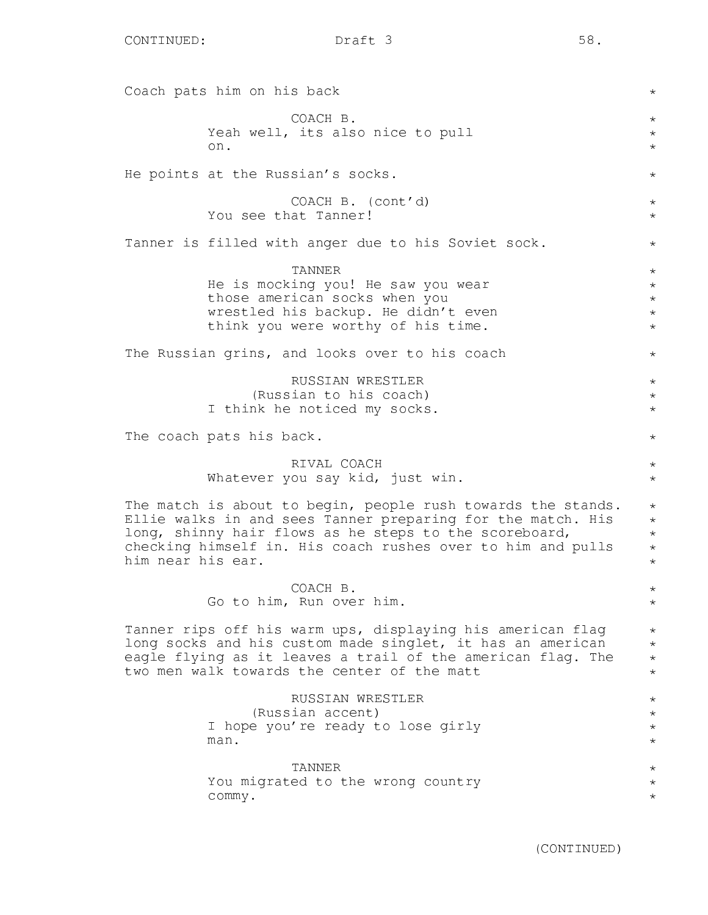Coach pats him on his back COACH B. Yeah well, its also nice to pull on. He points at the Russian's socks. COACH B. (cont'd) You see that Tanner! Tanner is filled with anger due to his Soviet sock. TANNER He is mocking you! He saw you wear those american socks when you wrestled his backup. He didn't even think you were worthy of his time. The Russian grins, and looks over to his coach RUSSIAN WRESTLER (Russian to his coach) I think he noticed my socks. The coach pats his back. RIVAL COACH Whatever you say kid, just win. The match is about to begin, people rush towards the stands. Ellie walks in and sees Tanner preparing for the match. His long, shinny hair flows as he steps to the scoreboard, checking himself in. His coach rushes over to him and pulls him near his ear. COACH B. Go to him, Run over him. Tanner rips off his warm ups, displaying his american flag long socks and his custom made singlet, it has an american eagle flying as it leaves a trail of the american flag. The two men walk towards the center of the matt RUSSIAN WRESTLER (Russian accent) I hope you're ready to lose girly man. TANNER You migrated to the wrong country commy. \* \* \*  $\star$ \*  $\star$ \* \*  $\star$ \* \* \* \* \* \* \*  $\star$  $\star$ \*  $\star$ \* \* \* \* \* \* \* \* \* \* \* \* \* \* \* \* \* \*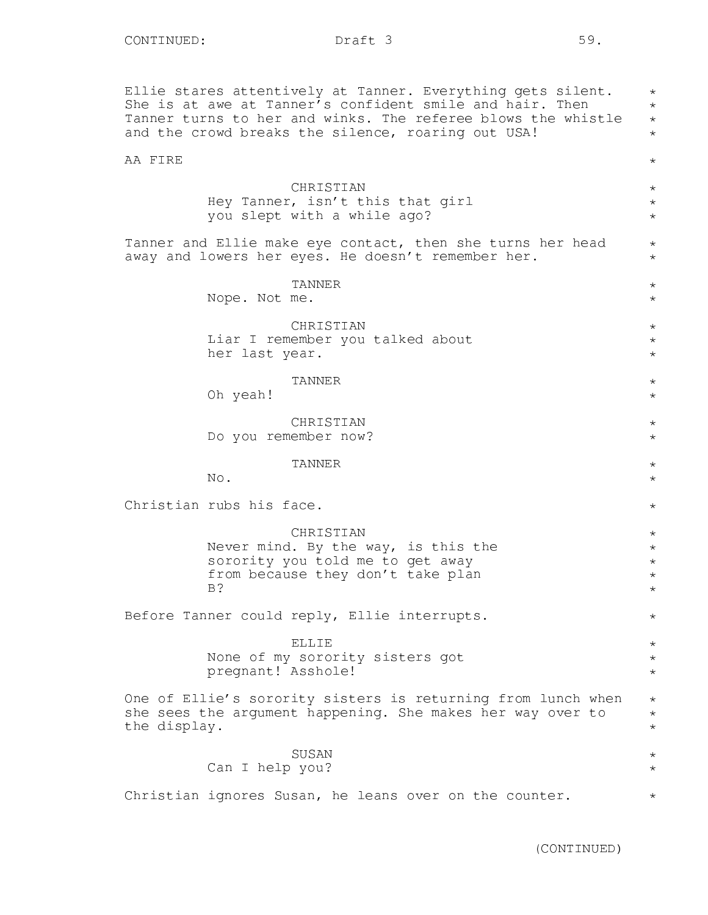Ellie stares attentively at Tanner. Everything gets silent. She is at awe at Tanner's confident smile and hair. Then Tanner turns to her and winks. The referee blows the whistle and the crowd breaks the silence, roaring out USA! \* \* \* \*

# AA FIRE

CHRISTIAN Hey Tanner, isn't this that girl you slept with a while ago?

Tanner and Ellie make eye contact, then she turns her head away and lowers her eyes. He doesn't remember her.

> TANNER Nope. Not me.

CHRISTIAN Liar I remember you talked about her last year.

TANNER

Oh yeah!

CHRISTIAN Do you remember now?

TANNER

No.

Christian rubs his face.

CHRISTIAN Never mind. By the way, is this the sorority you told me to get away from because they don't take plan B?

Before Tanner could reply, Ellie interrupts.

ELLIE

None of my sorority sisters got pregnant! Asshole!

One of Ellie's sorority sisters is returning from lunch when she sees the argument happening. She makes her way over to the display. \* \* \*

# SUSAN Can I help you?

Christian ignores Susan, he leans over on the counter.

\*

\* \* \*

 $\star$ \*

\* \*

\* \* \*

\* \*

\* \*

\* \*

\*

\* \* \* \* \*

\*

\* \* \*

\* \*

\*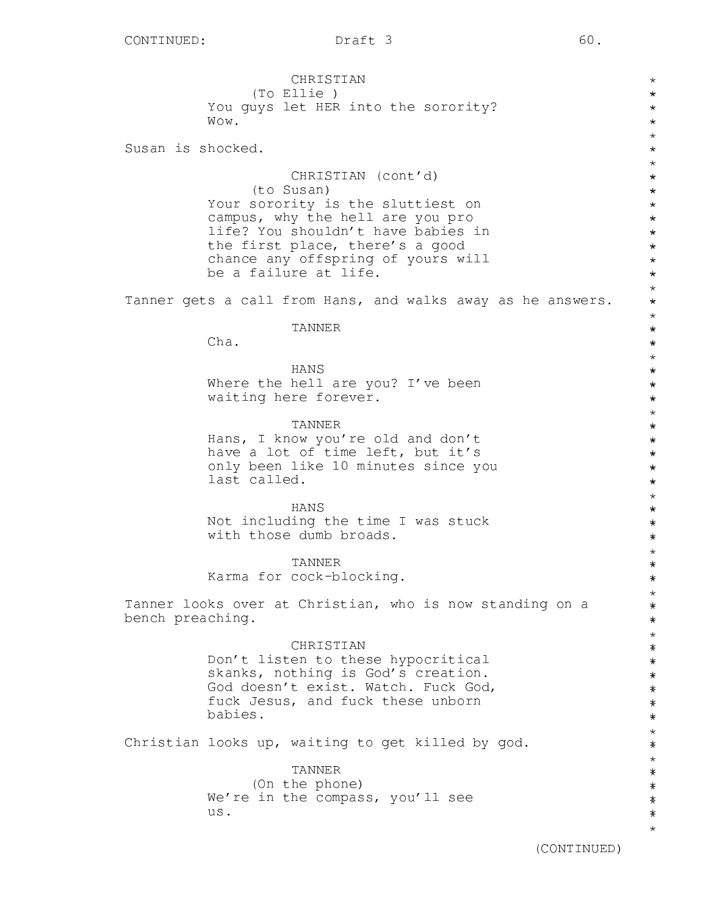CHRISTIAN (To Ellie ) You guys let HER into the sorority? Wow. Susan is shocked. CHRISTIAN (cont'd) (to Susan) Your sorority is the sluttiest on campus, why the hell are you pro life? You shouldn't have babies in the first place, there's a good chance any offspring of yours will be a failure at life. Tanner gets a call from Hans, and walks away as he answers. TANNER Cha. HANS Where the hell are you? I've been waiting here forever. TANNER Hans, I know you're old and don't have a lot of time left, but it's only been like 10 minutes since you last called. HANS Not including the time I was stuck with those dumb broads. TANNER Karma for cock-blocking. Tanner looks over at Christian, who is now standing on a bench preaching. CHRISTIAN Don't listen to these hypocritical skanks, nothing is God's creation. God doesn't exist. Watch. Fuck God, fuck Jesus, and fuck these unborn babies. Christian looks up, waiting to get killed by god. TANNER (On the phone) We're in the compass, you'll see us. \* \* \* \* \* \* \* \* \* \* \* \* \* \* \* \* \* \* \* \* \* \* \* \* \* \* \* \* \* \* \* \* \* \* \* \* \* \* \* \* \* \* \* \* \* \* \* \* \* \* \* \* \* \* \* \* \* \* \* \* \* \* \* \* \* \* \* \* \* \* \* \* \* \* \* \* \* \* \* \* \* \*\*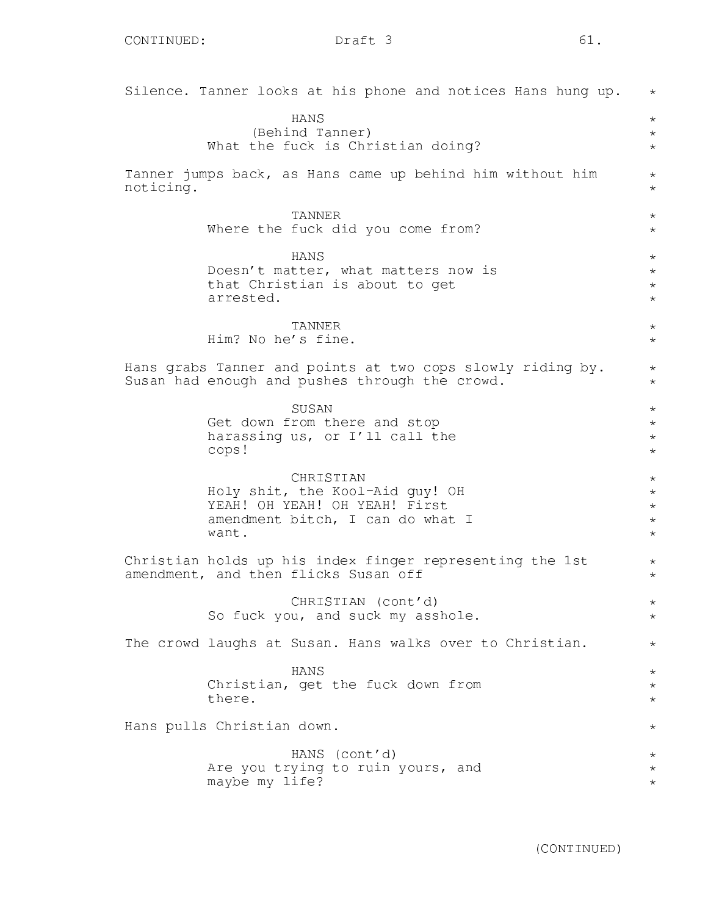|           | Silence. Tanner looks at his phone and notices Hans hung up.                                                               | $\star$                                             |
|-----------|----------------------------------------------------------------------------------------------------------------------------|-----------------------------------------------------|
|           | <b>HANS</b><br>(Behind Tanner)<br>What the fuck is Christian doing?                                                        | $\star$<br>$\star$<br>$\star$                       |
| noticing. | Tanner jumps back, as Hans came up behind him without him                                                                  | $\star$<br>$\star$                                  |
|           | TANNER<br>Where the fuck did you come from?                                                                                | $\star$<br>$\star$                                  |
|           | HANS<br>Doesn't matter, what matters now is<br>that Christian is about to get<br>arrested.                                 | $\star$<br>$\star$<br>$\star$<br>$\star$            |
|           | TANNER<br>Him? No he's fine.                                                                                               | $\star$<br>$\star$                                  |
|           | Hans grabs Tanner and points at two cops slowly riding by.<br>Susan had enough and pushes through the crowd.               | $\star$<br>$\star$                                  |
|           | SUSAN<br>Get down from there and stop<br>harassing us, or I'll call the<br>cops!                                           | $\star$<br>$\star$<br>$\star$<br>$\star$            |
|           | CHRISTIAN<br>Holy shit, the Kool-Aid guy! OH<br>YEAH! OH YEAH! OH YEAH! First<br>amendment bitch, I can do what I<br>want. | $\star$<br>$\star$<br>$\star$<br>$\star$<br>$\star$ |
|           | Christian holds up his index finger representing the 1st<br>amendment, and then flicks Susan off                           | $\star$<br>$\star$                                  |
|           | CHRISTIAN (cont'd)<br>So fuck you, and suck my asshole.                                                                    | $\star$<br>$\star$                                  |
|           | The crowd laughs at Susan. Hans walks over to Christian.                                                                   | $\star$                                             |
|           | <b>HANS</b><br>Christian, get the fuck down from<br>there.                                                                 | $\star$<br>$\star$<br>$\star$                       |
|           | Hans pulls Christian down.                                                                                                 | $^\star$                                            |
|           | HANS (cont'd)<br>Are you trying to ruin yours, and<br>maybe my life?                                                       | $^\star$<br>$^\star$<br>$^\star$                    |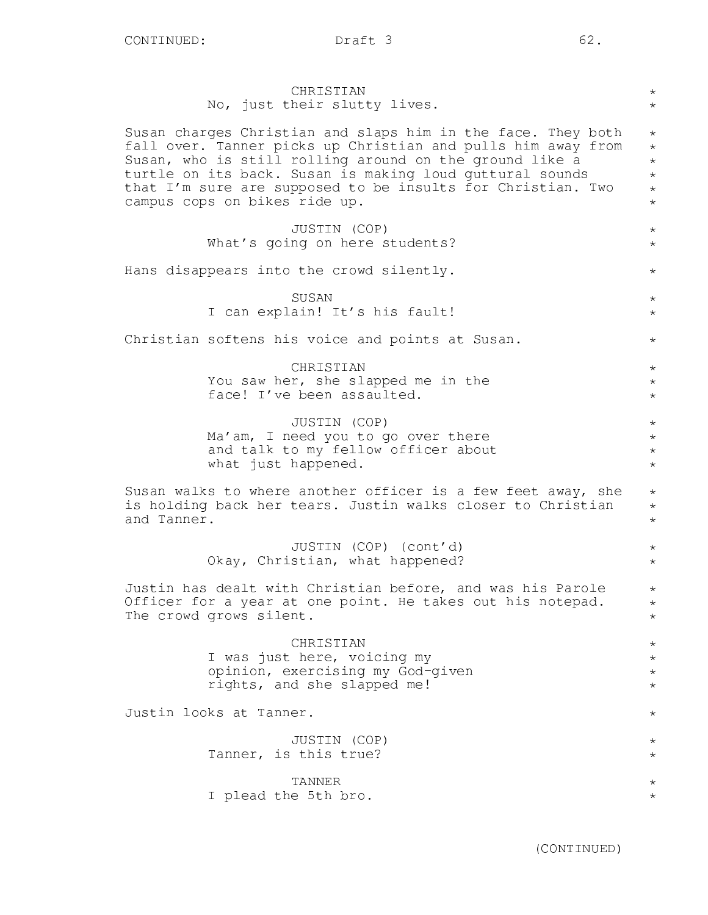| CHRISTIAN                                                    | $\star$    |
|--------------------------------------------------------------|------------|
| No, just their slutty lives.                                 | $\star$    |
| Susan charges Christian and slaps him in the face. They both | $\star$    |
| fall over. Tanner picks up Christian and pulls him away from | $\star$    |
| Susan, who is still rolling around on the ground like a      | $\star$    |
| turtle on its back. Susan is making loud guttural sounds     | $^{\star}$ |
| that I'm sure are supposed to be insults for Christian. Two  | $^{\star}$ |
| campus cops on bikes ride up.                                | $\star$    |
| JUSTIN (COP)                                                 | $\star$    |
| What's going on here students?                               | $\star$    |
| Hans disappears into the crowd silently.                     | $\star$    |
| SUSAN                                                        | $\star$    |
| I can explain! It's his fault!                               | $\star$    |
| Christian softens his voice and points at Susan.             | $^\star$   |
| CHRISTIAN                                                    | $\star$    |
| You saw her, she slapped me in the                           | $\star$    |
| face! I've been assaulted.                                   | $^{\star}$ |
| JUSTIN (COP)                                                 | $\star$    |
| Ma'am, I need you to go over there                           | $\star$    |
| and talk to my fellow officer about                          | $\star$    |
| what just happened.                                          | $\star$    |
| Susan walks to where another officer is a few feet away, she | $\star$    |
| is holding back her tears. Justin walks closer to Christian  | $\star$    |
| and Tanner.                                                  | $\star$    |
| JUSTIN (COP) (cont'd)                                        | $^{\star}$ |
| Okay, Christian, what happened?                              | $^\star$   |
| Justin has dealt with Christian before, and was his Parole   | $\star$    |
| Officer for a year at one point. He takes out his notepad.   | $\star$    |
| The crowd grows silent.                                      | $^{\star}$ |
| CHRISTIAN                                                    | $\star$    |
| I was just here, voicing my                                  | $\star$    |
| opinion, exercising my God-given                             | $^\star$   |
| rights, and she slapped me!                                  | $^{\star}$ |
| Justin looks at Tanner.                                      | $^\star$   |
| JUSTIN (COP)                                                 | $\star$    |
| Tanner, is this true?                                        | $^\star$   |
| TANNER                                                       | $^\star$   |
| I plead the 5th bro.                                         | $^\star$   |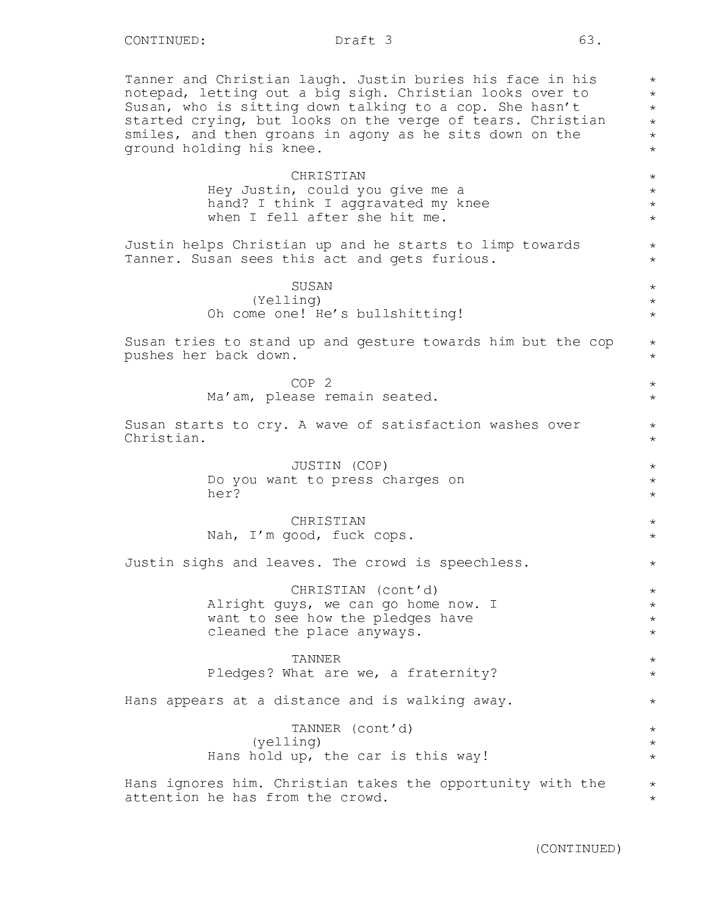Tanner and Christian laugh. Justin buries his face in his notepad, letting out a big sigh. Christian looks over to Susan, who is sitting down talking to a cop. She hasn't started crying, but looks on the verge of tears. Christian smiles, and then groans in agony as he sits down on the ground holding his knee.

# **CHRISTIAN** Hey Justin, could you give me a hand? I think I aggravated my knee when I fell after she hit me.

Justin helps Christian up and he starts to limp towards Tanner. Susan sees this act and gets furious.

> SUSAN (Yelling) Oh come one! He's bullshitting!

Susan tries to stand up and gesture towards him but the cop pushes her back down.

> COP 2 Ma'am, please remain seated.

Susan starts to cry. A wave of satisfaction washes over Christian.

> JUSTIN (COP) Do you want to press charges on her?

CHRISTIAN Nah, I'm good, fuck cops.

Justin sighs and leaves. The crowd is speechless.

CHRISTIAN (cont'd) Alright guys, we can go home now. I want to see how the pledges have cleaned the place anyways.

TANNER Pledges? What are we, a fraternity?

Hans appears at a distance and is walking away.

TANNER (cont'd) (yelling) Hans hold up, the car is this way!

Hans ignores him. Christian takes the opportunity with the attention he has from the crowd.

\* \* \* \* \* \*

 $\star$ \* \* \*

\* \*

\* \* \*

\* \*

\* \*

\* \*

\* \* \*

\* \*

\*

 $\star$ \* \* \*

\* \*

\*

 $\star$ \* \*

 $\star$ \*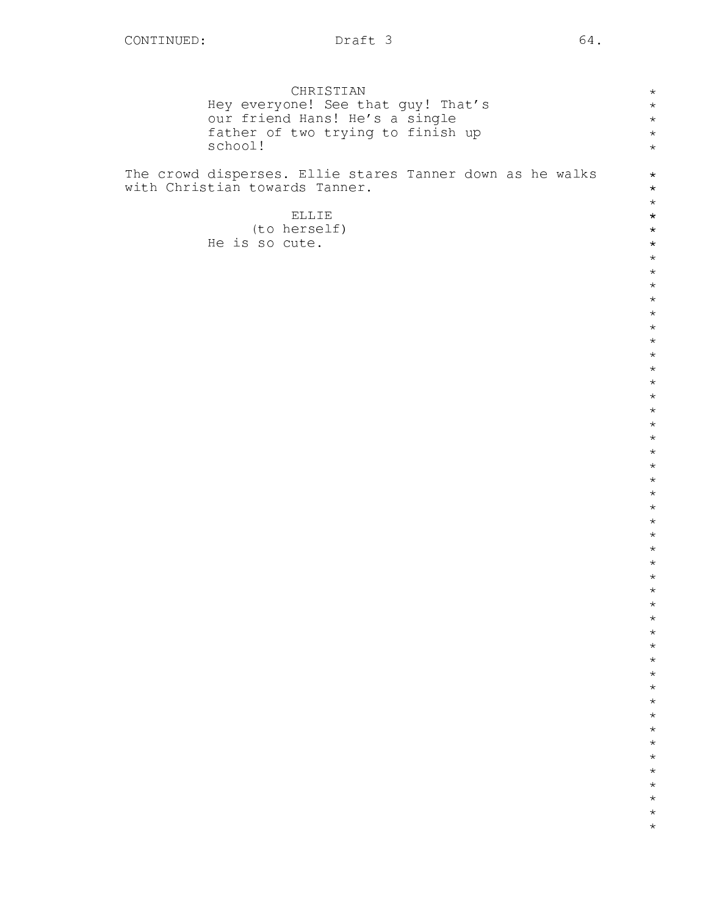|                                                           |         | CHRISTIAN      |                                    |  |  | $\star$            |
|-----------------------------------------------------------|---------|----------------|------------------------------------|--|--|--------------------|
|                                                           |         |                | Hey everyone! See that guy! That's |  |  | $\star$            |
|                                                           |         |                | our friend Hans! He's a single     |  |  | $\star$            |
|                                                           | school! |                | father of two trying to finish up  |  |  | $\star$<br>$\star$ |
|                                                           |         |                |                                    |  |  |                    |
| The crowd disperses. Ellie stares Tanner down as he walks |         |                |                                    |  |  | $\star$            |
| with Christian towards Tanner.                            |         |                |                                    |  |  | $\star$            |
|                                                           |         |                |                                    |  |  | $\star$            |
|                                                           |         | ELLIE          |                                    |  |  | $\star$            |
|                                                           |         | (to herself)   |                                    |  |  | $\star$            |
|                                                           |         | He is so cute. |                                    |  |  | $\star$<br>$\star$ |
|                                                           |         |                |                                    |  |  | $\star$            |
|                                                           |         |                |                                    |  |  | $\star$            |
|                                                           |         |                |                                    |  |  | $\star$            |
|                                                           |         |                |                                    |  |  | $\star$            |
|                                                           |         |                |                                    |  |  | $\star$            |
|                                                           |         |                |                                    |  |  | $\star$            |
|                                                           |         |                |                                    |  |  | $\star$<br>$\star$ |
|                                                           |         |                |                                    |  |  | $\star$            |
|                                                           |         |                |                                    |  |  | $\star$            |
|                                                           |         |                |                                    |  |  | $\star$            |
|                                                           |         |                |                                    |  |  | $\star$            |
|                                                           |         |                |                                    |  |  | $\star$            |
|                                                           |         |                |                                    |  |  | $\star$<br>$\star$ |
|                                                           |         |                |                                    |  |  | $\star$            |
|                                                           |         |                |                                    |  |  | $\star$            |
|                                                           |         |                |                                    |  |  | $\star$            |
|                                                           |         |                |                                    |  |  | $\star$            |
|                                                           |         |                |                                    |  |  | $\star$            |
|                                                           |         |                |                                    |  |  | $\star$            |
|                                                           |         |                |                                    |  |  | $\star$<br>$\star$ |
|                                                           |         |                |                                    |  |  | $\star$            |
|                                                           |         |                |                                    |  |  | $^\star$           |
|                                                           |         |                |                                    |  |  | $\star$            |
|                                                           |         |                |                                    |  |  | $\star$            |
|                                                           |         |                |                                    |  |  | $\star$            |
|                                                           |         |                |                                    |  |  | $\star$<br>$\star$ |
|                                                           |         |                |                                    |  |  | $\star$            |
|                                                           |         |                |                                    |  |  | $\star$            |
|                                                           |         |                |                                    |  |  | $\star$            |
|                                                           |         |                |                                    |  |  | $\star$            |
|                                                           |         |                |                                    |  |  | $\star$            |
|                                                           |         |                |                                    |  |  | $\star$            |
|                                                           |         |                |                                    |  |  | $\star$<br>$\star$ |
|                                                           |         |                |                                    |  |  | $\star$            |
|                                                           |         |                |                                    |  |  | $\star$            |
|                                                           |         |                |                                    |  |  | $\star$            |
|                                                           |         |                |                                    |  |  |                    |
|                                                           |         |                |                                    |  |  |                    |
|                                                           |         |                |                                    |  |  |                    |
|                                                           |         |                |                                    |  |  |                    |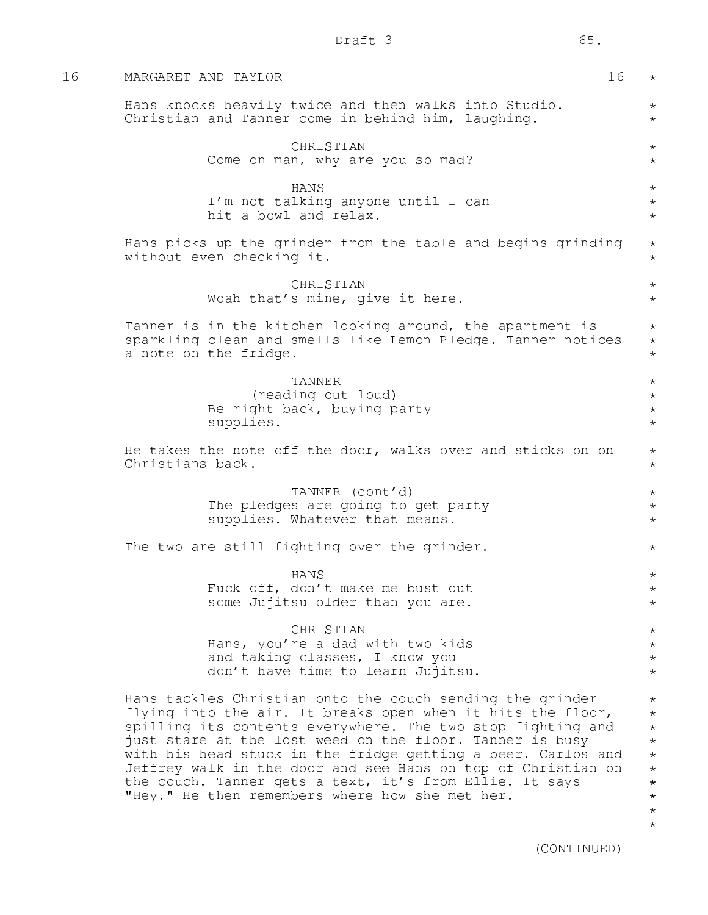| 16 | MARGARET AND TAYLOR<br>16                                                                                                                                                                                                                                                                                                                                                                                                                                                                         | $\star$                                                                                                        |  |  |  |  |  |  |
|----|---------------------------------------------------------------------------------------------------------------------------------------------------------------------------------------------------------------------------------------------------------------------------------------------------------------------------------------------------------------------------------------------------------------------------------------------------------------------------------------------------|----------------------------------------------------------------------------------------------------------------|--|--|--|--|--|--|
|    | Hans knocks heavily twice and then walks into Studio.<br>Christian and Tanner come in behind him, laughing.                                                                                                                                                                                                                                                                                                                                                                                       | $\star$<br>$\star$                                                                                             |  |  |  |  |  |  |
|    | CHRISTIAN<br>Come on man, why are you so mad?                                                                                                                                                                                                                                                                                                                                                                                                                                                     | $\star$<br>$\star$                                                                                             |  |  |  |  |  |  |
|    | <b>HANS</b><br>I'm not talking anyone until I can<br>hit a bowl and relax.                                                                                                                                                                                                                                                                                                                                                                                                                        | $\star$<br>$\star$<br>$\star$                                                                                  |  |  |  |  |  |  |
|    | Hans picks up the grinder from the table and begins grinding<br>without even checking it.                                                                                                                                                                                                                                                                                                                                                                                                         | $\star$<br>$\star$                                                                                             |  |  |  |  |  |  |
|    | CHRISTIAN<br>Woah that's mine, give it here.                                                                                                                                                                                                                                                                                                                                                                                                                                                      | $\star$<br>$\star$                                                                                             |  |  |  |  |  |  |
|    | Tanner is in the kitchen looking around, the apartment is<br>sparkling clean and smells like Lemon Pledge. Tanner notices<br>a note on the fridge.                                                                                                                                                                                                                                                                                                                                                | $\star$<br>$\star$<br>$\star$                                                                                  |  |  |  |  |  |  |
|    | TANNER<br>(reading out loud)<br>Be right back, buying party<br>supplies.                                                                                                                                                                                                                                                                                                                                                                                                                          | $\star$<br>$\star$<br>$\star$<br>$\star$                                                                       |  |  |  |  |  |  |
|    | He takes the note off the door, walks over and sticks on on<br>Christians back.                                                                                                                                                                                                                                                                                                                                                                                                                   | $\star$<br>$\star$                                                                                             |  |  |  |  |  |  |
|    | TANNER (cont'd)<br>The pledges are going to get party<br>supplies. Whatever that means.                                                                                                                                                                                                                                                                                                                                                                                                           | $\star$<br>$\star$<br>$\star$                                                                                  |  |  |  |  |  |  |
|    | The two are still fighting over the grinder.                                                                                                                                                                                                                                                                                                                                                                                                                                                      |                                                                                                                |  |  |  |  |  |  |
|    | HANS<br>Fuck off, don't make me bust out<br>some Jujitsu older than you are.                                                                                                                                                                                                                                                                                                                                                                                                                      | $^{\star}$<br>$\star$                                                                                          |  |  |  |  |  |  |
|    | CHRISTIAN<br>Hans, you're a dad with two kids<br>and taking classes, I know you<br>don't have time to learn Jujitsu.                                                                                                                                                                                                                                                                                                                                                                              | $\star$<br>$\star$<br>$\star$<br>$\star$                                                                       |  |  |  |  |  |  |
|    | Hans tackles Christian onto the couch sending the grinder<br>flying into the air. It breaks open when it hits the floor,<br>spilling its contents everywhere. The two stop fighting and<br>just stare at the lost weed on the floor. Tanner is busy<br>with his head stuck in the fridge getting a beer. Carlos and<br>Jeffrey walk in the door and see Hans on top of Christian on<br>the couch. Tanner gets a text, it's from Ellie. It says<br>"Hey." He then remembers where how she met her. | $\star$<br>$\star$<br>$\star$<br>$\star$<br>$\star$<br>$\star$<br>$\star$<br>$\star$<br>$^{\star}$<br>$^\star$ |  |  |  |  |  |  |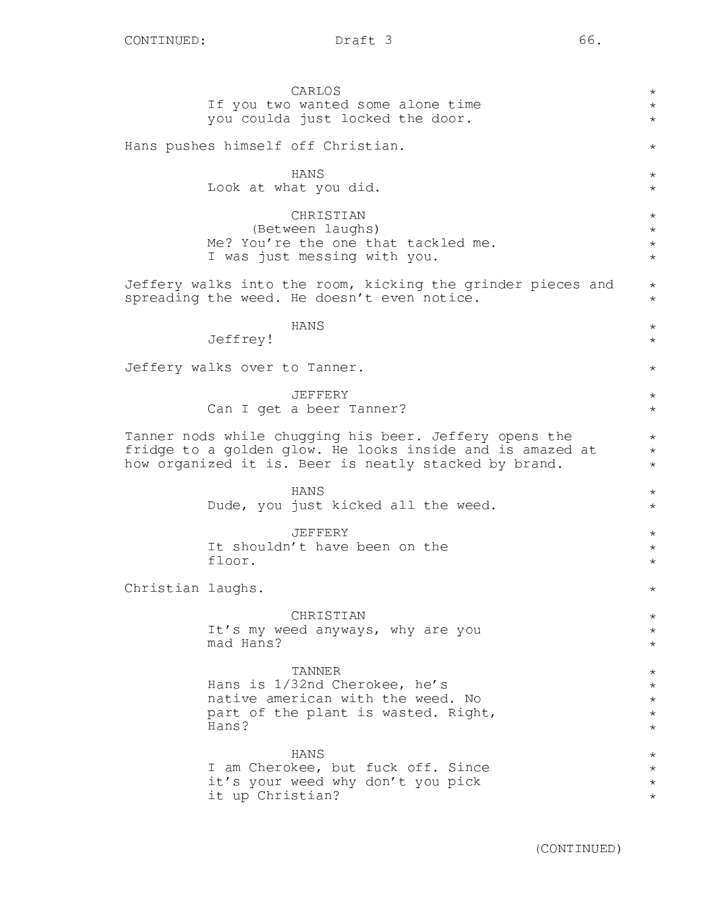Jeffrey!

floor.

Christian laughs.

CONTINUED: Draft 3 66. CARLOS If you two wanted some alone time you coulda just locked the door. Hans pushes himself off Christian. HANS Look at what you did. CHRISTIAN (Between laughs) Me? You're the one that tackled me. I was just messing with you. Jeffery walks into the room, kicking the grinder pieces and spreading the weed. He doesn't even notice. HANS Jeffery walks over to Tanner. JEFFERY Can I get a beer Tanner? Tanner nods while chugging his beer. Jeffery opens the fridge to a golden glow. He looks inside and is amazed at how organized it is. Beer is neatly stacked by brand. HANS Dude, you just kicked all the weed. JEFFERY It shouldn't have been on the CHRISTIAN

It's my weed anyways, why are you mad Hans?

TANNER Hans is 1/32nd Cherokee, he's native american with the weed. No part of the plant is wasted. Right, Hans?

HANS I am Cherokee, but fuck off. Since it's your weed why don't you pick it up Christian?

(CONTINUED)

\* \* \*

\*

\* \*

\* \* \* \*

\* \*

\*  $\star$ 

 $\star$ 

\* \*

 $\star$ \* \*

\*  $\star$ 

\* \* \*

\*

\* \* \*

 $\star$ \* \* \* \*

\* \* \* \*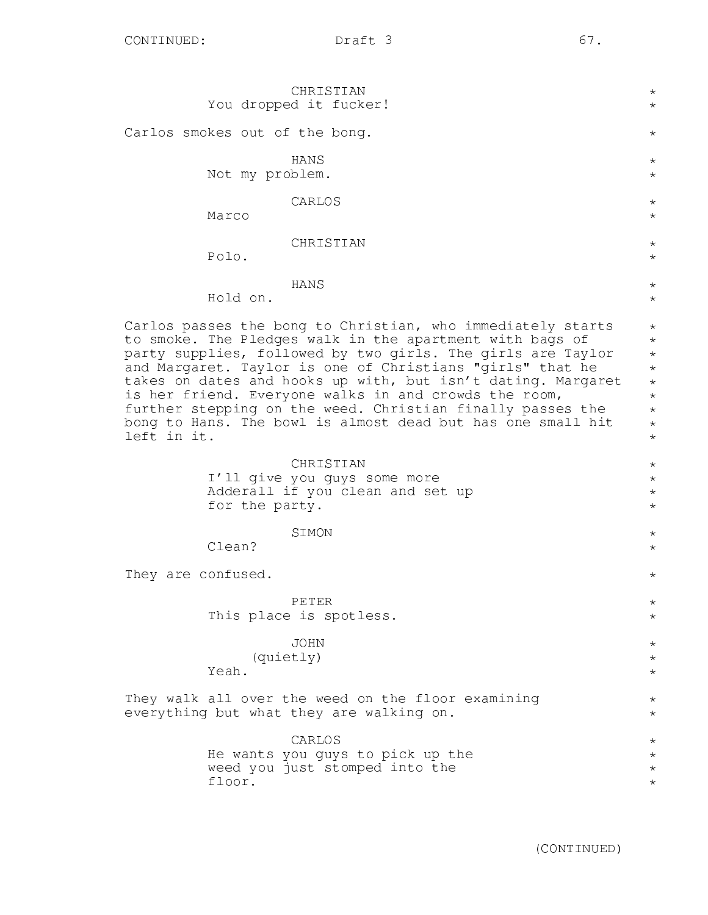|                                | CHRISTIAN<br>You dropped it fucker!                                                                                                                                                                                                                                                                                                                                                                                                                                                                       | $^\star$<br>$^\star$                                                                               |
|--------------------------------|-----------------------------------------------------------------------------------------------------------------------------------------------------------------------------------------------------------------------------------------------------------------------------------------------------------------------------------------------------------------------------------------------------------------------------------------------------------------------------------------------------------|----------------------------------------------------------------------------------------------------|
| Carlos smokes out of the bong. |                                                                                                                                                                                                                                                                                                                                                                                                                                                                                                           | $^\star$                                                                                           |
| Not my problem.                | HANS                                                                                                                                                                                                                                                                                                                                                                                                                                                                                                      | $^\star$<br>$^\star$                                                                               |
| Marco                          | CARLOS                                                                                                                                                                                                                                                                                                                                                                                                                                                                                                    | $^\star$<br>$\star$                                                                                |
| Polo.                          | CHRISTIAN                                                                                                                                                                                                                                                                                                                                                                                                                                                                                                 | $^{\star}$<br>$\star$                                                                              |
| Hold on.                       | HANS                                                                                                                                                                                                                                                                                                                                                                                                                                                                                                      | $^\star$<br>$\star$                                                                                |
| left in it.                    | Carlos passes the bong to Christian, who immediately starts<br>to smoke. The Pledges walk in the apartment with bags of<br>party supplies, followed by two girls. The girls are Taylor<br>and Margaret. Taylor is one of Christians "girls" that he<br>takes on dates and hooks up with, but isn't dating. Margaret<br>is her friend. Everyone walks in and crowds the room,<br>further stepping on the weed. Christian finally passes the<br>bong to Hans. The bowl is almost dead but has one small hit | $^\star$<br>$^\star$<br>$\star$<br>$\star$<br>$\star$<br>$^\star$<br>$\star$<br>$\star$<br>$\star$ |
| for the party.                 | CHRISTIAN<br>I'll give you guys some more<br>Adderall if you clean and set up                                                                                                                                                                                                                                                                                                                                                                                                                             | $^\star$<br>$\star$<br>$\star$<br>$\star$                                                          |
| Clean?                         | SIMON                                                                                                                                                                                                                                                                                                                                                                                                                                                                                                     | $\star$<br>$\star$                                                                                 |
| They are confused.             |                                                                                                                                                                                                                                                                                                                                                                                                                                                                                                           | $^\star$                                                                                           |
|                                | PETER<br>This place is spotless.                                                                                                                                                                                                                                                                                                                                                                                                                                                                          | $^\star$<br>$^\star$                                                                               |
|                                | JOHN                                                                                                                                                                                                                                                                                                                                                                                                                                                                                                      | $^\star$                                                                                           |

(quietly)

Yeah.

They walk all over the weed on the floor examining everything but what they are walking on.

> CARLOS He wants you guys to pick up the weed you just stomped into the floor.

\* \*

\* \*

\* \* \*  $\star$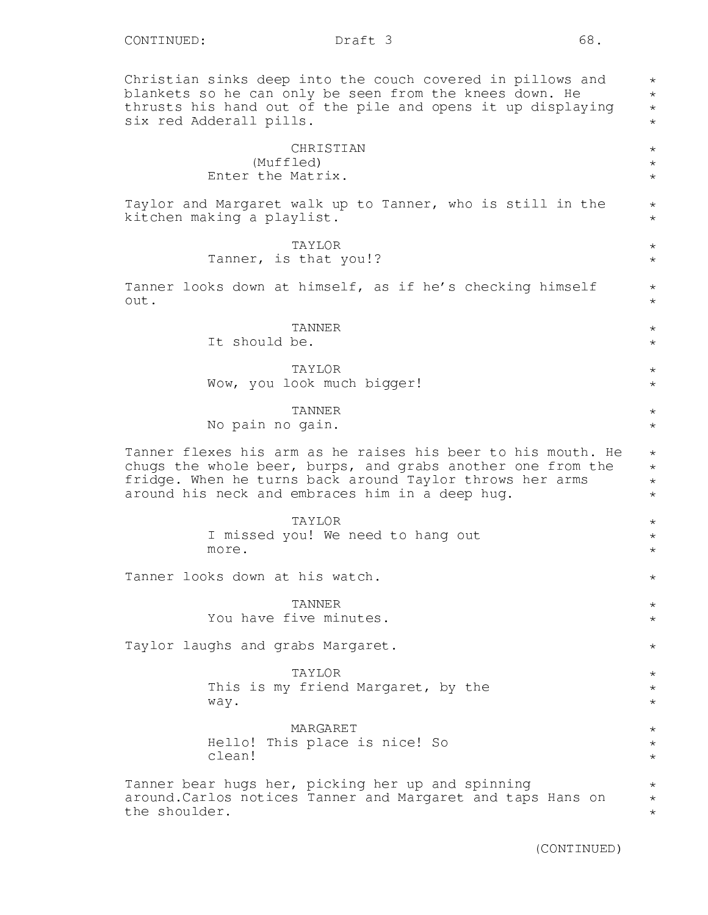Christian sinks deep into the couch covered in pillows and blankets so he can only be seen from the knees down. He thrusts his hand out of the pile and opens it up displaying six red Adderall pills.

## CHRISTIAN (Muffled) Enter the Matrix.

Taylor and Margaret walk up to Tanner, who is still in the kitchen making a playlist.

## TAYLOR

Tanner, is that you!?

Tanner looks down at himself, as if he's checking himself out.

> TANNER It should be.

TAYLOR Wow, you look much bigger!

#### TANNER

No pain no gain.

Tanner flexes his arm as he raises his beer to his mouth. He chugs the whole beer, burps, and grabs another one from the fridge. When he turns back around Taylor throws her arms around his neck and embraces him in a deep hug.

> TAYLOR I missed you! We need to hang out more.

Tanner looks down at his watch.

TANNER You have five minutes.

Taylor laughs and grabs Margaret.

TAYLOR This is my friend Margaret, by the way.

MARGARET Hello! This place is nice! So clean!

Tanner bear hugs her, picking her up and spinning around.Carlos notices Tanner and Margaret and taps Hans on the shoulder.

\* \* \* \*

\* \* \*

 $\star$  $\star$ 

\* \*

\* \*

 $\star$  $\star$ 

> \* \*

> $\star$ \*

\* \* \* \*

\* \* \*

 $\star$ 

\* \*

\*

\* \* \*

\* \* \*

\* \* \*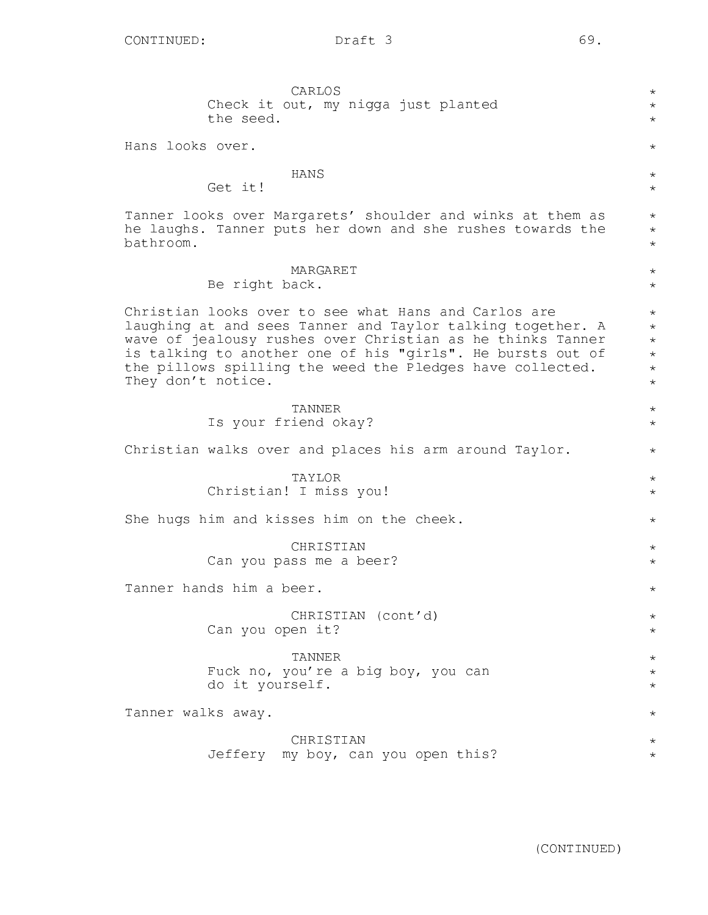CARLOS Check it out, my nigga just planted the seed. Hans looks over. HANS Get it! Tanner looks over Margarets' shoulder and winks at them as he laughs. Tanner puts her down and she rushes towards the bathroom. MARGARET Be right back. Christian looks over to see what Hans and Carlos are laughing at and sees Tanner and Taylor talking together. A wave of jealousy rushes over Christian as he thinks Tanner is talking to another one of his "girls". He bursts out of the pillows spilling the weed the Pledges have collected. They don't notice. TANNER Is your friend okay? Christian walks over and places his arm around Taylor. TAYLOR Christian! I miss you! She hugs him and kisses him on the cheek. **CHRISTIAN** Can you pass me a beer? Tanner hands him a beer. CHRISTIAN (cont'd) Can you open it? TANNER Fuck no, you're a big boy, you can do it yourself. Tanner walks away. CHRISTIAN Jeffery my boy, can you open this? \*  $\star$ \* \* \*  $\star$ \* \* \* \* \* \* \* \* \* \* \* \* \* \*  $\star$ \* \*  $\star$ \* \* \* \* \* \* \*  $\star$ \* \*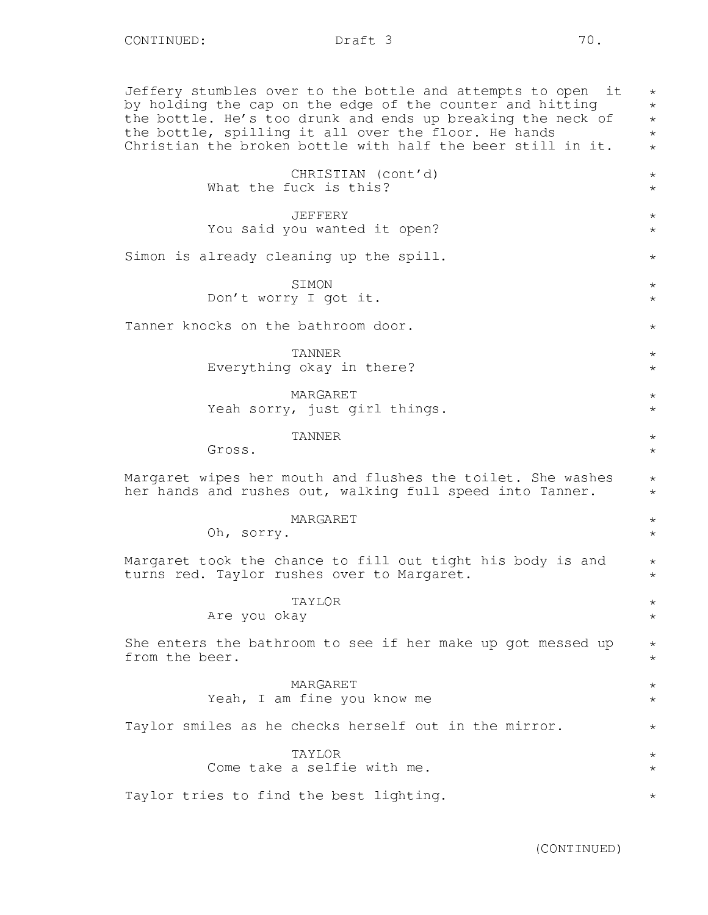Jeffery stumbles over to the bottle and attempts to open it by holding the cap on the edge of the counter and hitting the bottle. He's too drunk and ends up breaking the neck of the bottle, spilling it all over the floor. He hands Christian the broken bottle with half the beer still in it. CHRISTIAN (cont'd) What the fuck is this? JEFFERY You said you wanted it open? Simon is already cleaning up the spill. **STMON** Don't worry I got it. Tanner knocks on the bathroom door. TANNER Everything okay in there? MARGARET Yeah sorry, just girl things. TANNER Gross. Margaret wipes her mouth and flushes the toilet. She washes her hands and rushes out, walking full speed into Tanner. MARGARET Oh, sorry. Margaret took the chance to fill out tight his body is and turns red. Taylor rushes over to Margaret. TAYLOR Are you okay She enters the bathroom to see if her make up got messed up from the beer. MARGARET Yeah, I am fine you know me Taylor smiles as he checks herself out in the mirror. TAYLOR Come take a selfie with me. Taylor tries to find the best lighting. \*  $\star$ \* \* \* \*  $\star$ \* \* \* \* \* \* \* \* \* \*  $\star$ \* \* \* \* \* \* \*  $\star$ \* \* \* \* \*  $\star$ \* \* \*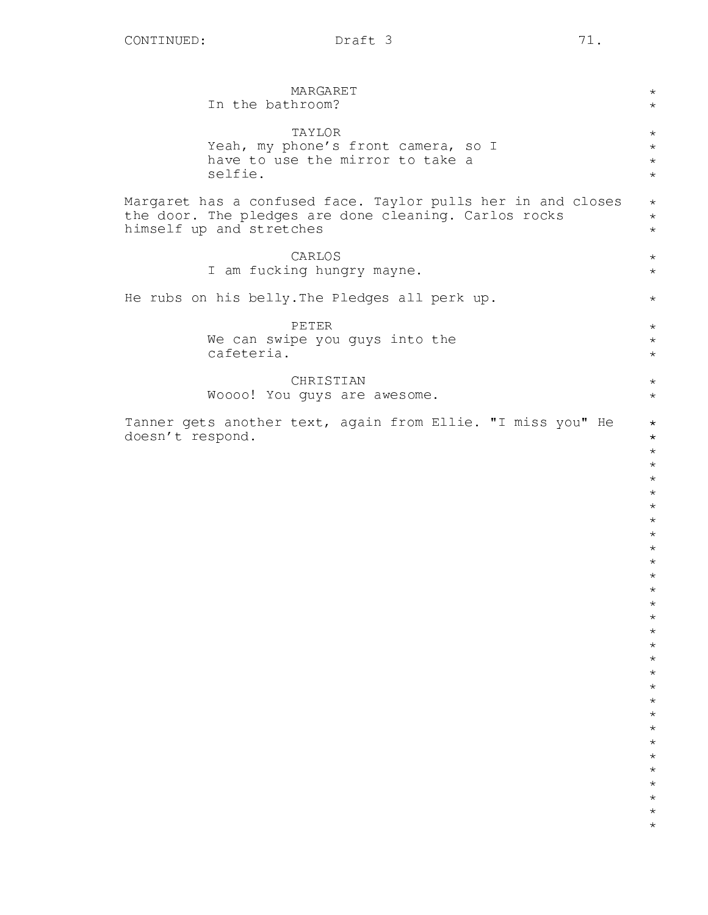| MARGARET<br>In the bathroom?                                                    | $\star$<br>$\star$            |
|---------------------------------------------------------------------------------|-------------------------------|
| TAYLOR                                                                          | $\star$                       |
| Yeah, my phone's front camera, so I                                             | $\star$                       |
| have to use the mirror to take a                                                | $\star$                       |
| selfie.                                                                         | $\star$                       |
| Margaret has a confused face. Taylor pulls her in and closes                    | $\star$                       |
| the door. The pledges are done cleaning. Carlos rocks                           | $\star$                       |
| himself up and stretches                                                        | $\star$                       |
| CARLOS                                                                          | $\star$                       |
| I am fucking hungry mayne.                                                      | $\star$                       |
| He rubs on his belly. The Pledges all perk up.                                  | $\star$                       |
| PETER                                                                           | $\star$                       |
| We can swipe you guys into the                                                  | $\star$                       |
| cafeteria.                                                                      | $\star$                       |
| CHRISTIAN                                                                       | $\star$                       |
| Woooo! You guys are awesome.                                                    | $\star$                       |
| Tanner gets another text, again from Ellie. "I miss you" He<br>doesn't respond. | $\star$<br>$\star$<br>$\star$ |
|                                                                                 | $\star$                       |
|                                                                                 | $\star$                       |
|                                                                                 | $\star$                       |
|                                                                                 | $\star$                       |
|                                                                                 | $\star$<br>$\star$            |
|                                                                                 | $\star$                       |
|                                                                                 | $\star$                       |
|                                                                                 | $\star$                       |
|                                                                                 | $\star$                       |
|                                                                                 |                               |
|                                                                                 | $^\star$<br>$\star$           |
|                                                                                 | $^\star$                      |
|                                                                                 | $^\star$                      |
|                                                                                 | $^\star$                      |
|                                                                                 | $\star$                       |
|                                                                                 | $\star$                       |
|                                                                                 | $\star$<br>$^\star$           |
|                                                                                 | $^\star$                      |
|                                                                                 | $^\star$                      |
|                                                                                 | $^\star$                      |
|                                                                                 | $^\star$                      |
|                                                                                 | $^\star$                      |
|                                                                                 | $^\star$<br>$^{\star}$        |
|                                                                                 |                               |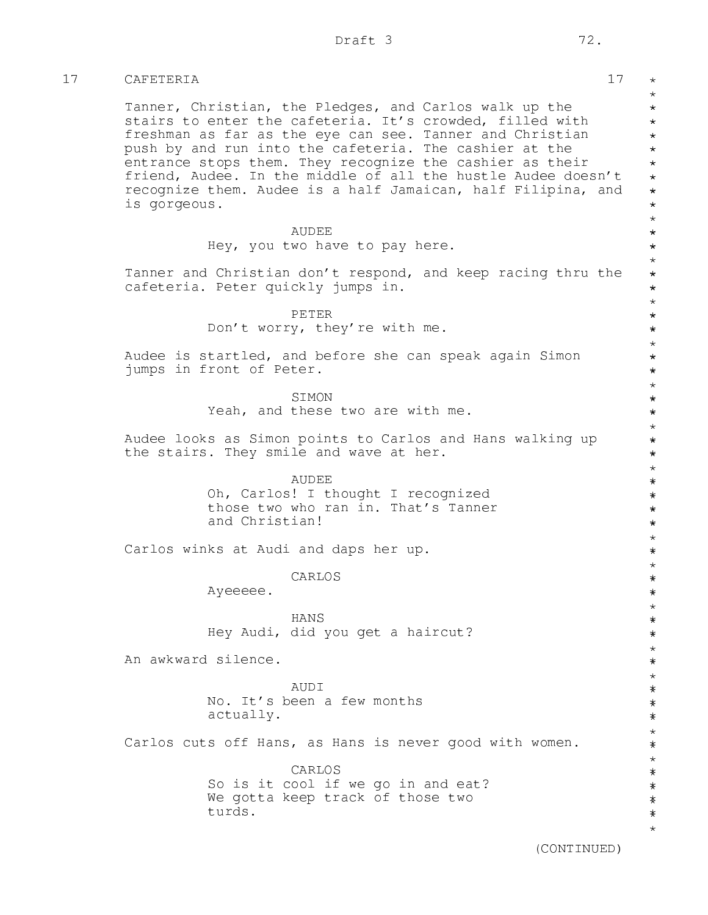## 17 CAFETERIA 17

Tanner, Christian, the Pledges, and Carlos walk up the stairs to enter the cafeteria. It's crowded, filled with freshman as far as the eye can see. Tanner and Christian push by and run into the cafeteria. The cashier at the entrance stops them. They recognize the cashier as their friend, Audee. In the middle of all the hustle Audee doesn't recognize them. Audee is a half Jamaican, half Filipina, and is gorgeous.

> AUDEE Hey, you two have to pay here.

Tanner and Christian don't respond, and keep racing thru the cafeteria. Peter quickly jumps in.

> PETER Don't worry, they're with me.

Audee is startled, and before she can speak again Simon jumps in front of Peter.

SIMON

Yeah, and these two are with me.

Audee looks as Simon points to Carlos and Hans walking up the stairs. They smile and wave at her.

AUDEE

Oh, Carlos! I thought I recognized those two who ran in. That's Tanner and Christian!

Carlos winks at Audi and daps her up.

CARLOS

Ayeeeee.

HANS Hey Audi, did you get a haircut?

An awkward silence.

AUDI No. It's been a few months actually.

Carlos cuts off Hans, as Hans is never good with women.

CARLOS So is it cool if we go in and eat? We gotta keep track of those two turds.

(CONTINUED)

 $\star$ \* \* \* \* \* \* \* \* \* \* \* \* \* \* \* \* \* \* \* \* \* \* \* \* \* \* \* \* \* \* \* \* \* \* \* \* \* \* \* \* \* \* \* \* \* \* \* \* \* \* \* \* \* \* \* \* \* \* \* \* \* \* \* \* \* \* \* \* \* \* \* \* \* \* \* \* \* \*\*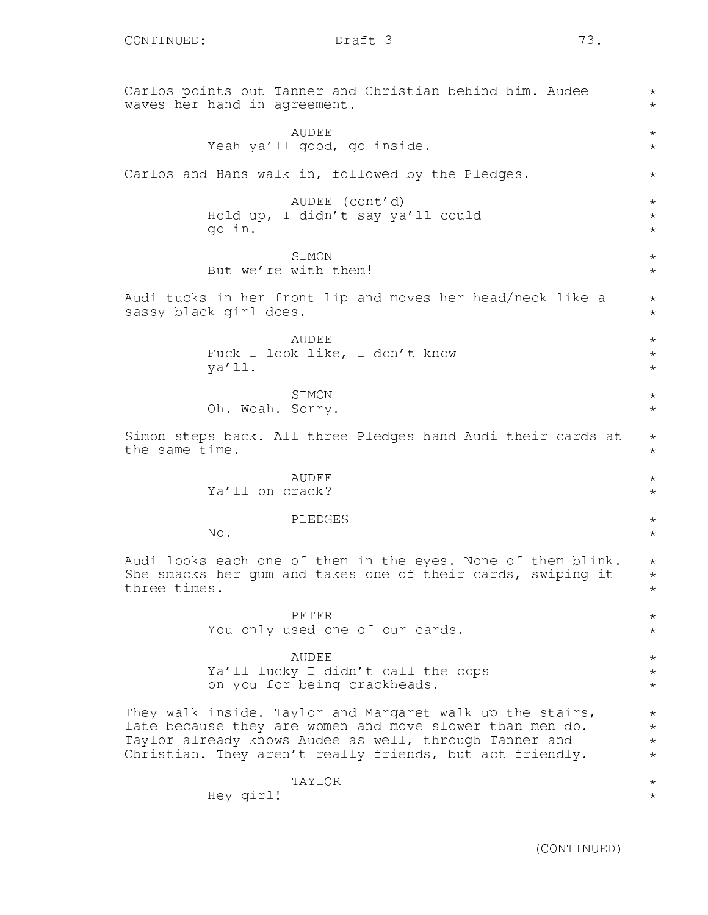Carlos points out Tanner and Christian behind him. Audee waves her hand in agreement. AUDEE Yeah ya'll good, go inside. Carlos and Hans walk in, followed by the Pledges. AUDEE (cont'd) Hold up, I didn't say ya'll could go in. **STMON** But we're with them! Audi tucks in her front lip and moves her head/neck like a sassy black girl does. AUDEE Fuck I look like, I don't know ya'll. SIMON Oh. Woah. Sorry. Simon steps back. All three Pledges hand Audi their cards at the same time. AUDEE Ya'll on crack? PLEDGES No. Audi looks each one of them in the eyes. None of them blink. She smacks her gum and takes one of their cards, swiping it three times. PETER You only used one of our cards. AUDEE Ya'll lucky I didn't call the cops on you for being crackheads. They walk inside. Taylor and Margaret walk up the stairs, late because they are women and move slower than men do. Taylor already knows Audee as well, through Tanner and Christian. They aren't really friends, but act friendly. TAYLOR Hey girl! \*  $\star$  $\star$ \* \*  $\star$ \* \* \*  $\star$ \* \*  $\star$ \* \* \* \*  $\star$ \* \* \* \* \* \* \* \* \* \* \* \* \* \* \* \* \*  $\star$ \*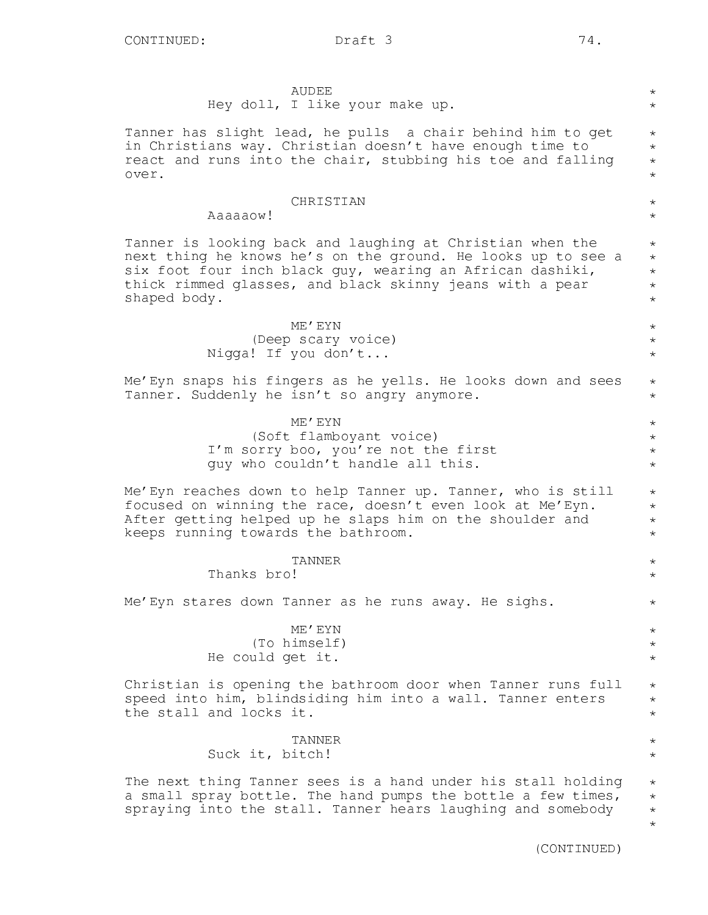\* \* \*

\*

\* \* \*

\* \*

\*

\* \*

\* \*

\*

\*

\*

\* \* \*

\*

 $\star$ 

\*

## AUDEE Hey doll, I like your make up. Tanner has slight lead, he pulls a chair behind him to get in Christians way. Christian doesn't have enough time to react and runs into the chair, stubbing his toe and falling over. CHRISTIAN Aaaaaow! Tanner is looking back and laughing at Christian when the next thing he knows he's on the ground. He looks up to see a six foot four inch black guy, wearing an African dashiki, thick rimmed glasses, and black skinny jeans with a pear shaped body. ME'EYN (Deep scary voice) Nigga! If you don't... Me'Eyn snaps his fingers as he yells. He looks down and sees Tanner. Suddenly he isn't so angry anymore. ME'EYN (Soft flamboyant voice) I'm sorry boo, you're not the first guy who couldn't handle all this. Me'Eyn reaches down to help Tanner up. Tanner, who is still focused on winning the race, doesn't even look at Me'Eyn. After getting helped up he slaps him on the shoulder and keeps running towards the bathroom. TANNER Thanks bro! Me'Eyn stares down Tanner as he runs away. He sighs. ME'EYN (To himself) He could get it. Christian is opening the bathroom door when Tanner runs full speed into him, blindsiding him into a wall. Tanner enters the stall and locks it. TANNER Suck it, bitch! The next thing Tanner sees is a hand under his stall holding a small spray bottle. The hand pumps the bottle a few times, spraying into the stall. Tanner hears laughing and somebody \*  $\star$ \*  $\star$ \* \* \* \* \* \* \* \* \* \* \* \* \* \*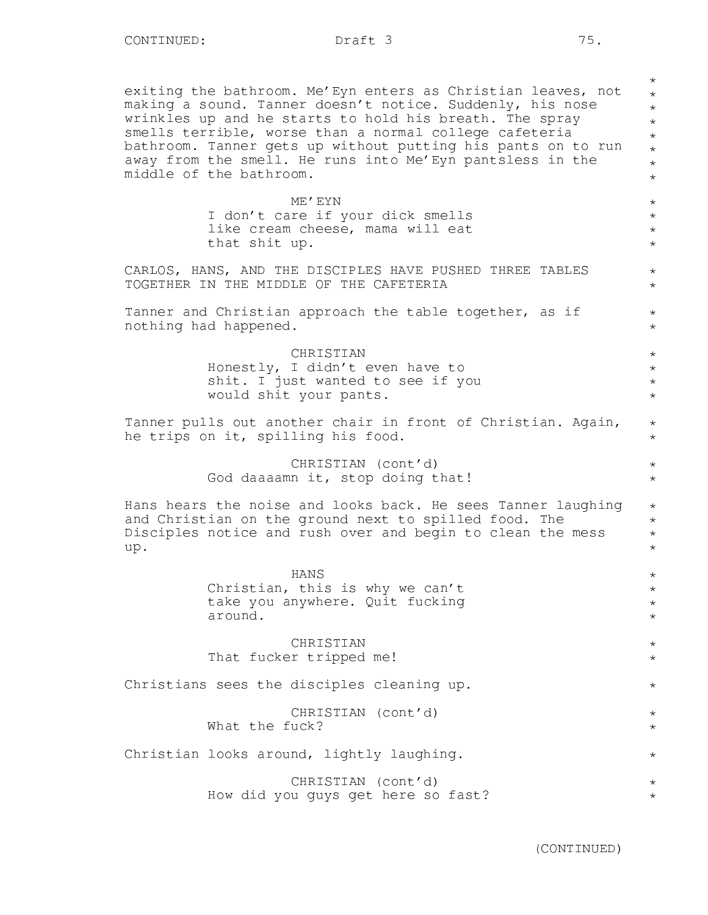exiting the bathroom. Me'Eyn enters as Christian leaves, not making a sound. Tanner doesn't notice. Suddenly, his nose wrinkles up and he starts to hold his breath. The spray smells terrible, worse than a normal college cafeteria bathroom. Tanner gets up without putting his pants on to run away from the smell. He runs into Me'Eyn pantsless in the middle of the bathroom.

> ME'EYN I don't care if your dick smells like cream cheese, mama will eat that shit up.

CARLOS, HANS, AND THE DISCIPLES HAVE PUSHED THREE TABLES TOGETHER IN THE MIDDLE OF THE CAFETERIA

Tanner and Christian approach the table together, as if nothing had happened.

> CHRISTIAN Honestly, I didn't even have to shit. I just wanted to see if you would shit your pants.

Tanner pulls out another chair in front of Christian. Again, he trips on it, spilling his food.

> CHRISTIAN (cont'd) God daaaamn it, stop doing that!

Hans hears the noise and looks back. He sees Tanner laughing and Christian on the ground next to spilled food. The Disciples notice and rush over and begin to clean the mess up.

> HANS Christian, this is why we can't take you anywhere. Quit fucking around.

CHRISTIAN That fucker tripped me!

Christians sees the disciples cleaning up. CHRISTIAN (cont'd) What the fuck?

Christian looks around, lightly laughing.

CHRISTIAN (cont'd) How did you guys get here so fast?

(CONTINUED)

\* \* \* \* \* \* \* \*

\* \* \* \*

\* \*

\* \*

\* \* \* \*

> \* \*

> \*  $\star$

\* \* \* \*

\* \* \* \*

\* \*

\*

\* \*

\*

 $\star$ \*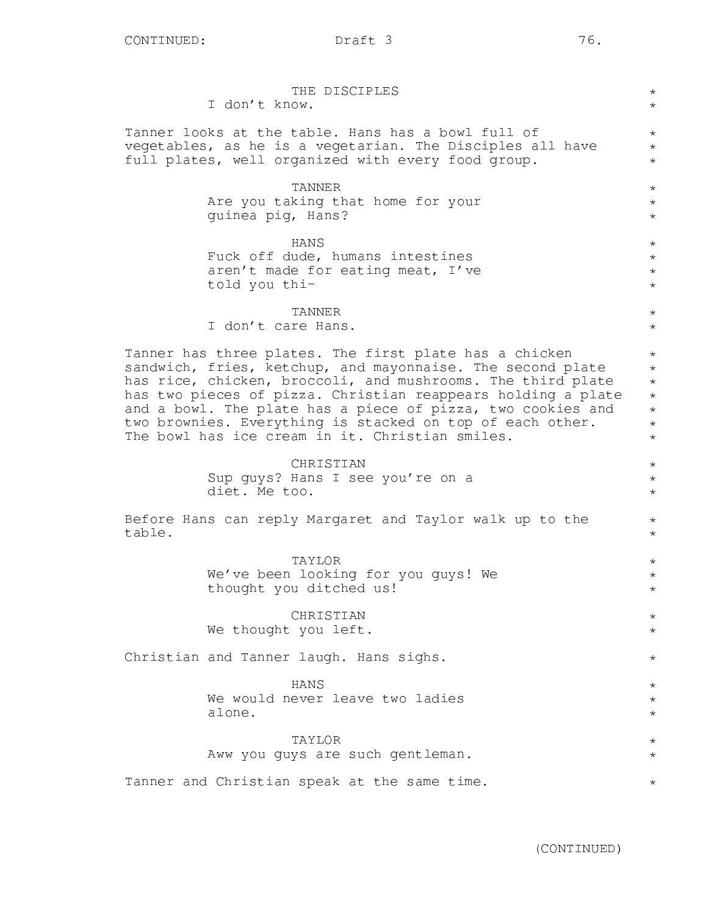|        | THE DISCIPLES<br>I don't know.                                                                                                                                                                                                                                                                                                                                                                                                     | $^{\star}$<br>$\star$                                                        |  |  |
|--------|------------------------------------------------------------------------------------------------------------------------------------------------------------------------------------------------------------------------------------------------------------------------------------------------------------------------------------------------------------------------------------------------------------------------------------|------------------------------------------------------------------------------|--|--|
|        | Tanner looks at the table. Hans has a bowl full of<br>vegetables, as he is a vegetarian. The Disciples all have<br>full plates, well organized with every food group.                                                                                                                                                                                                                                                              | $^{\star}$<br>$\star$<br>$\star$                                             |  |  |
|        | TANNER<br>Are you taking that home for your<br>guinea pig, Hans?                                                                                                                                                                                                                                                                                                                                                                   | $^{\star}$<br>$^\star$<br>$\star$                                            |  |  |
|        | HANS<br>Fuck off dude, humans intestines<br>aren't made for eating meat, I've<br>told you thi-                                                                                                                                                                                                                                                                                                                                     | $^{\star}$<br>$^\star$<br>$\star$<br>$^{\star}$                              |  |  |
|        | TANNER<br>I don't care Hans.                                                                                                                                                                                                                                                                                                                                                                                                       | $\star$<br>$\star$                                                           |  |  |
|        | Tanner has three plates. The first plate has a chicken<br>sandwich, fries, ketchup, and mayonnaise. The second plate<br>has rice, chicken, broccoli, and mushrooms. The third plate<br>has two pieces of pizza. Christian reappears holding a plate<br>and a bowl. The plate has a piece of pizza, two cookies and<br>two brownies. Everything is stacked on top of each other.<br>The bowl has ice cream in it. Christian smiles. | $\star$<br>$\star$<br>$\star$<br>$\star$<br>$\star$<br>$\star$<br>$^{\star}$ |  |  |
|        | CHRISTIAN<br>Sup guys? Hans I see you're on a<br>diet. Me too.                                                                                                                                                                                                                                                                                                                                                                     | $^\star$<br>$^{\star}$<br>$^{\star}$                                         |  |  |
| table. | Before Hans can reply Margaret and Taylor walk up to the                                                                                                                                                                                                                                                                                                                                                                           |                                                                              |  |  |
|        | TAYLOR<br>We've been looking for you guys! We<br>thought you ditched us!                                                                                                                                                                                                                                                                                                                                                           | $\star$<br>$\star$<br>$\star$                                                |  |  |
|        | CHRISTIAN<br>We thought you left.                                                                                                                                                                                                                                                                                                                                                                                                  | $^\star$<br>$^\star$                                                         |  |  |
|        | Christian and Tanner laugh. Hans sighs.                                                                                                                                                                                                                                                                                                                                                                                            | $^\star$                                                                     |  |  |
|        | HANS<br>We would never leave two ladies<br>alone.                                                                                                                                                                                                                                                                                                                                                                                  | $^\star$<br>$^\star$<br>$^\star$                                             |  |  |
|        | TAYLOR<br>Aww you guys are such gentleman.                                                                                                                                                                                                                                                                                                                                                                                         | $^\star$<br>$^\star$                                                         |  |  |
|        | Tanner and Christian speak at the same time.                                                                                                                                                                                                                                                                                                                                                                                       | $^\star$                                                                     |  |  |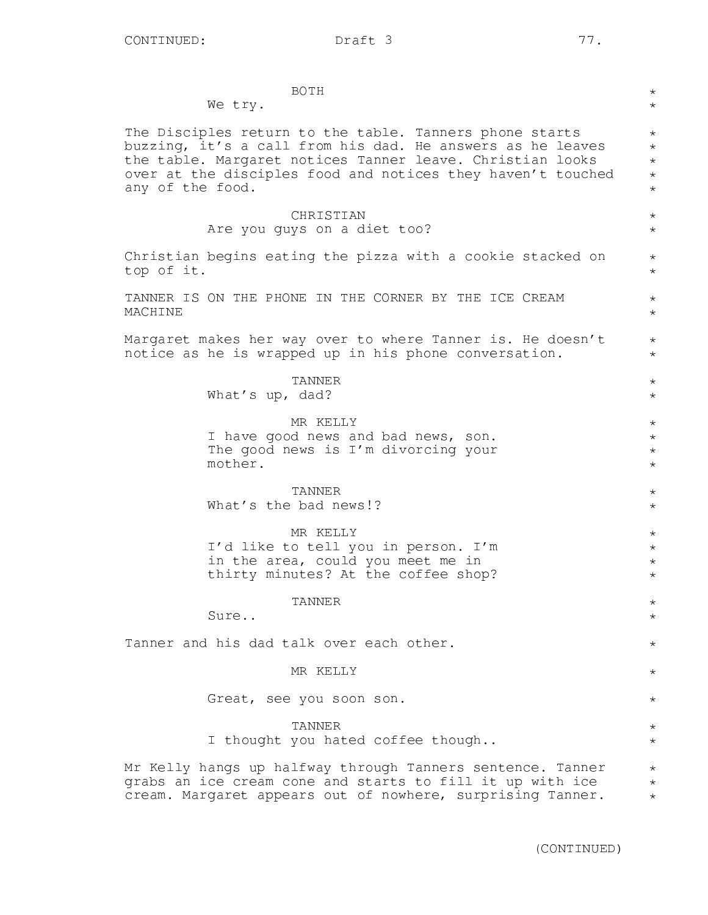| <b>BOTH</b><br>$^\star$<br>We try.<br>$\star$                                                                                                                                                                                                                                                                                |
|------------------------------------------------------------------------------------------------------------------------------------------------------------------------------------------------------------------------------------------------------------------------------------------------------------------------------|
| The Disciples return to the table. Tanners phone starts<br>$\star$<br>buzzing, it's a call from his dad. He answers as he leaves<br>$\star$<br>the table. Margaret notices Tanner leave. Christian looks<br>$\star$<br>over at the disciples food and notices they haven't touched<br>$\star$<br>any of the food.<br>$\star$ |
| CHRISTIAN<br>$^{\star}$<br>Are you guys on a diet too?<br>$\star$                                                                                                                                                                                                                                                            |
| Christian begins eating the pizza with a cookie stacked on<br>$^{\star}$<br>top of it.<br>$\star$                                                                                                                                                                                                                            |
| TANNER IS ON THE PHONE IN THE CORNER BY THE ICE CREAM<br>$\star$<br>MACHINE<br>$\star$                                                                                                                                                                                                                                       |
| Margaret makes her way over to where Tanner is. He doesn't<br>$\star$<br>notice as he is wrapped up in his phone conversation.<br>$\star$                                                                                                                                                                                    |
| TANNER<br>$\star$<br>What's up, dad?<br>$\star$                                                                                                                                                                                                                                                                              |
| MR KELLY<br>$^\star$<br>I have good news and bad news, son.<br>$\star$<br>The good news is I'm divorcing your<br>$\star$<br>mother.<br>$\star$                                                                                                                                                                               |
| TANNER<br>$\star$<br>What's the bad news!?<br>$\star$                                                                                                                                                                                                                                                                        |
| MR KELLY<br>$\star$<br>I'd like to tell you in person. I'm<br>$\star$<br>in the area, could you meet me in<br>$\star$<br>thirty minutes? At the coffee shop?<br>$\star$                                                                                                                                                      |
| TANNER<br>$^\star$<br>Sure<br>$^{\star}$                                                                                                                                                                                                                                                                                     |
| Tanner and his dad talk over each other.<br>$\star$                                                                                                                                                                                                                                                                          |
| MR KELLY<br>$\star$                                                                                                                                                                                                                                                                                                          |
| Great, see you soon son.<br>$\star$                                                                                                                                                                                                                                                                                          |
| <b>TANNER</b><br>$\star$<br>I thought you hated coffee though<br>$\star$                                                                                                                                                                                                                                                     |
| Mr Kelly hangs up halfway through Tanners sentence. Tanner<br>$\star$<br>grabs an ice cream cone and starts to fill it up with ice<br>$\star$<br>cream. Margaret appears out of nowhere, surprising Tanner.<br>$\star$                                                                                                       |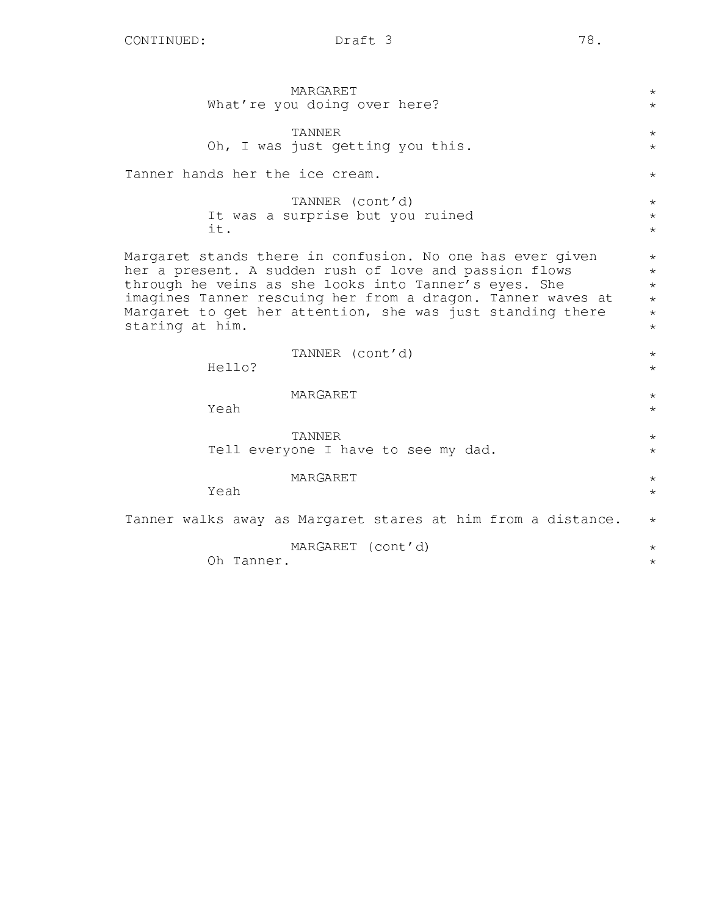MARGARET What're you doing over here? TANNER Oh, I was just getting you this. Tanner hands her the ice cream. TANNER (cont'd) It was a surprise but you ruined it. Margaret stands there in confusion. No one has ever given her a present. A sudden rush of love and passion flows through he veins as she looks into Tanner's eyes. She imagines Tanner rescuing her from a dragon. Tanner waves at Margaret to get her attention, she was just standing there staring at him. TANNER (cont'd) Hello? MARGARET Yeah TANNER Tell everyone I have to see my dad. MARGARET Yeah Tanner walks away as Margaret stares at him from a distance. MARGARET (cont'd) Oh Tanner. \* \* \* \* \* \* \* \* \* \* \* \* \* \* \* \* \* \* \* \* \* \* \* \* \*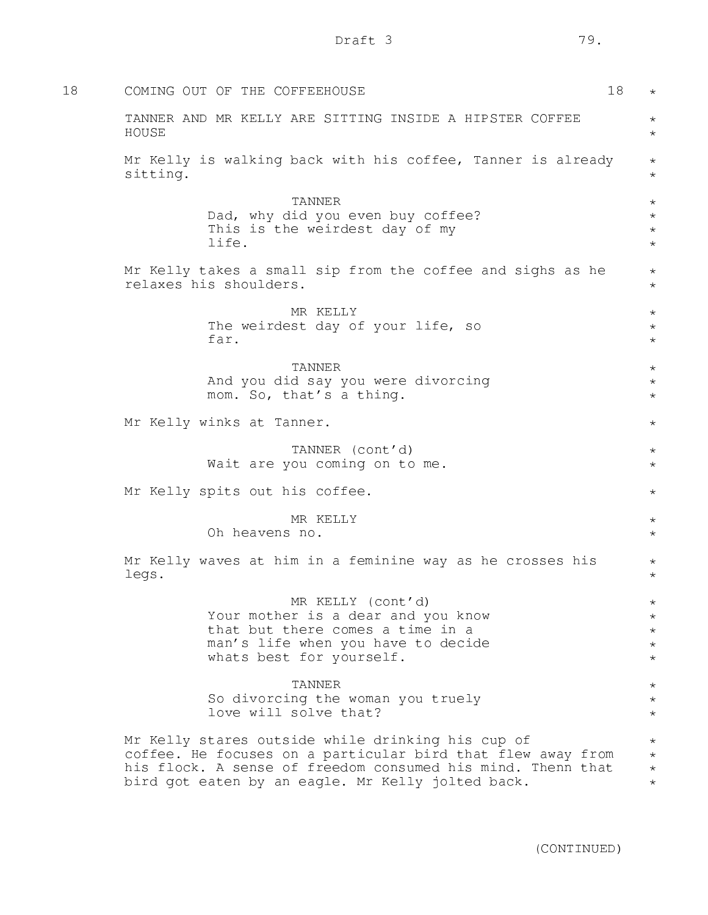| 18 | COMING OUT OF THE COFFEEHOUSE<br>18                                                                                                                                                                                                  | $\star$                                       |
|----|--------------------------------------------------------------------------------------------------------------------------------------------------------------------------------------------------------------------------------------|-----------------------------------------------|
|    | TANNER AND MR KELLY ARE SITTING INSIDE A HIPSTER COFFEE<br>HOUSE                                                                                                                                                                     | $\star$<br>$\star$                            |
|    | Mr Kelly is walking back with his coffee, Tanner is already<br>sitting.                                                                                                                                                              | $\star$<br>$\star$                            |
|    | <b>TANNER</b><br>Dad, why did you even buy coffee?<br>This is the weirdest day of my<br>life.                                                                                                                                        | $\star$<br>$\star$<br>$\star$<br>$\star$      |
|    | Mr Kelly takes a small sip from the coffee and sighs as he<br>relaxes his shoulders.                                                                                                                                                 | $\star$<br>$\star$                            |
|    | MR KELLY<br>The weirdest day of your life, so<br>far.                                                                                                                                                                                | $\star$<br>$\star$<br>$\star$                 |
|    | <b>TANNER</b><br>And you did say you were divorcing<br>mom. So, that's a thing.                                                                                                                                                      | $\star$<br>$\star$<br>$\star$                 |
|    | Mr Kelly winks at Tanner.                                                                                                                                                                                                            | $\star$                                       |
|    | TANNER (cont'd)<br>Wait are you coming on to me.                                                                                                                                                                                     | $\star$<br>$\star$                            |
|    | Mr Kelly spits out his coffee.                                                                                                                                                                                                       | $\star$                                       |
|    | MR KELLY<br>Oh heavens no.                                                                                                                                                                                                           | $\star$<br>$\star$                            |
|    | Mr Kelly waves at him in a feminine way as he crosses his<br>legs.                                                                                                                                                                   | $\star$<br>$\star$                            |
|    | MR KELLY (cont'd)<br>Your mother is a dear and you know<br>that but there comes a time in a<br>man's life when you have to decide<br>whats best for yourself.                                                                        | $\star$<br>$\star$<br>$\star$<br>$\star$      |
|    | TANNER<br>So divorcing the woman you truely<br>love will solve that?                                                                                                                                                                 | $\star$<br>$\star$<br>$\star$                 |
|    | Mr Kelly stares outside while drinking his cup of<br>coffee. He focuses on a particular bird that flew away from<br>his flock. A sense of freedom consumed his mind. Thenn that<br>bird got eaten by an eagle. Mr Kelly jolted back. | $^\star$<br>$^{\star}$<br>$\star$<br>$^\star$ |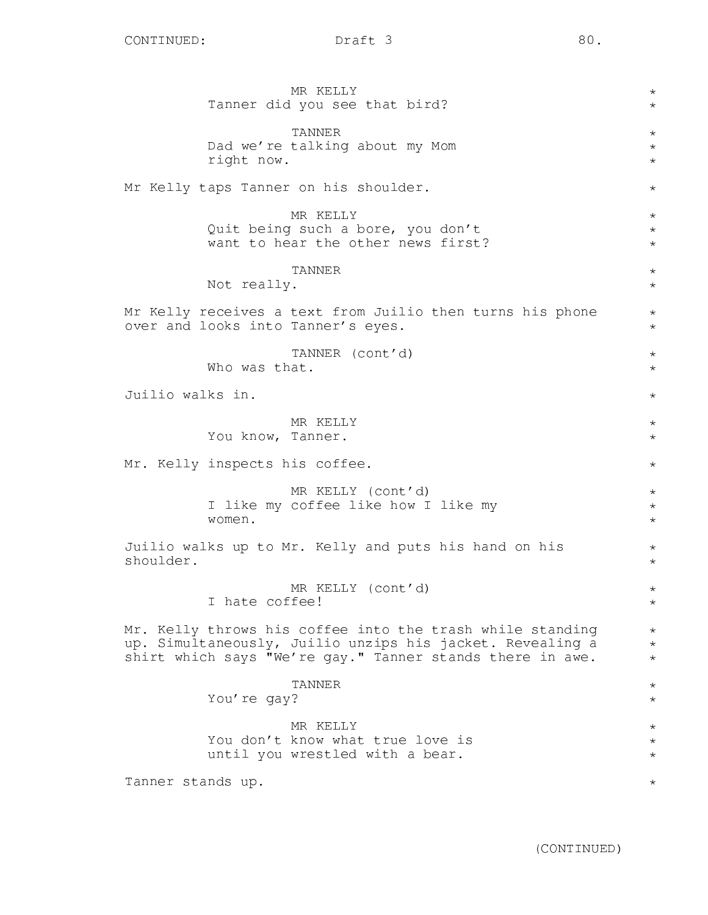|                                |                   | MR KELLY<br>Tanner did you see that bird?                                                                                                                                           | $\star$<br>$\star$                     |  |
|--------------------------------|-------------------|-------------------------------------------------------------------------------------------------------------------------------------------------------------------------------------|----------------------------------------|--|
|                                | right now.        | TANNER<br>Dad we're talking about my Mom                                                                                                                                            | $\star$<br>$\star$<br>$\star$          |  |
|                                |                   | Mr Kelly taps Tanner on his shoulder.                                                                                                                                               | $^{\star}$                             |  |
|                                |                   | MR KELLY<br>Quit being such a bore, you don't<br>want to hear the other news first?                                                                                                 | $^{\star}$<br>$^{\star}$<br>$^{\star}$ |  |
|                                | Not really.       | TANNER                                                                                                                                                                              | $\star$<br>$\star$                     |  |
|                                |                   | Mr Kelly receives a text from Juilio then turns his phone<br>over and looks into Tanner's eyes.                                                                                     | $\star$<br>$\star$                     |  |
|                                | Who was that.     | TANNER (cont'd)                                                                                                                                                                     | $\star$<br>$\star$                     |  |
| Juilio walks in.               |                   |                                                                                                                                                                                     |                                        |  |
|                                | You know, Tanner. | MR KELLY                                                                                                                                                                            | $^{\star}$<br>$\star$                  |  |
| Mr. Kelly inspects his coffee. |                   |                                                                                                                                                                                     |                                        |  |
|                                | women.            | MR KELLY (cont'd)<br>I like my coffee like how I like my                                                                                                                            | $^{\star}$<br>$\star$<br>$\star$       |  |
| shoulder.                      |                   | Juilio walks up to Mr. Kelly and puts his hand on his                                                                                                                               | $^{\star}$<br>$\star$                  |  |
|                                | I hate coffee!    | MR KELLY (cont'd)                                                                                                                                                                   | $\star$                                |  |
|                                |                   | Mr. Kelly throws his coffee into the trash while standing<br>up. Simultaneously, Juilio unzips his jacket. Revealing a<br>shirt which says "We're gay." Tanner stands there in awe. | $^\star$<br>$\star$<br>$^\star$        |  |
|                                | You're gay?       | TANNER                                                                                                                                                                              | $^\star$<br>$^\star$                   |  |
|                                |                   | MR KELLY<br>You don't know what true love is<br>until you wrestled with a bear.                                                                                                     | $^\star$<br>$^\star$<br>$^\star$       |  |
| Tanner stands up.              |                   |                                                                                                                                                                                     | $^\star$                               |  |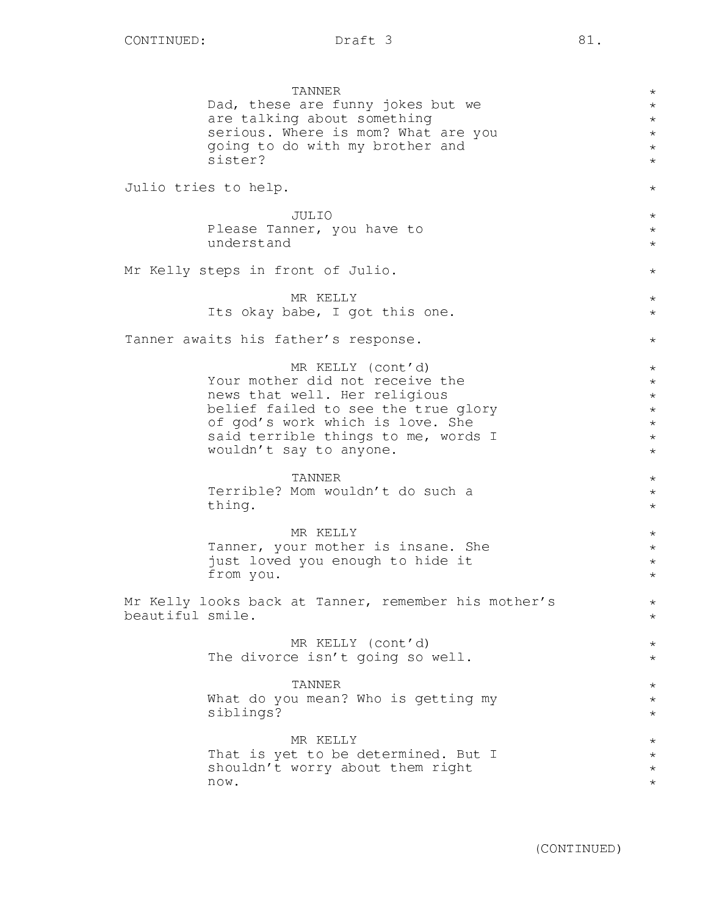TANNER Dad, these are funny jokes but we are talking about something serious. Where is mom? What are you going to do with my brother and sister? Julio tries to help. JULIO Please Tanner, you have to understand Mr Kelly steps in front of Julio. MR KELLY Its okay babe, I got this one. Tanner awaits his father's response. MR KELLY (cont'd) Your mother did not receive the news that well. Her religious belief failed to see the true glory of god's work which is love. She said terrible things to me, words I wouldn't say to anyone. TANNER Terrible? Mom wouldn't do such a thing. MR KELLY Tanner, your mother is insane. She just loved you enough to hide it from you. Mr Kelly looks back at Tanner, remember his mother's beautiful smile. MR KELLY (cont'd) The divorce isn't going so well. TANNER What do you mean? Who is getting my siblings? MR KELLY That is yet to be determined. But I shouldn't worry about them right now. \*  $\star$ \* \* \* \* \* \* \* \* \* \*  $\star$ \* \* \* \* \* \* \* \*  $\star$ \* \* \* \* \* \* \* \* \* \* \* \* \* \* \* \* \*